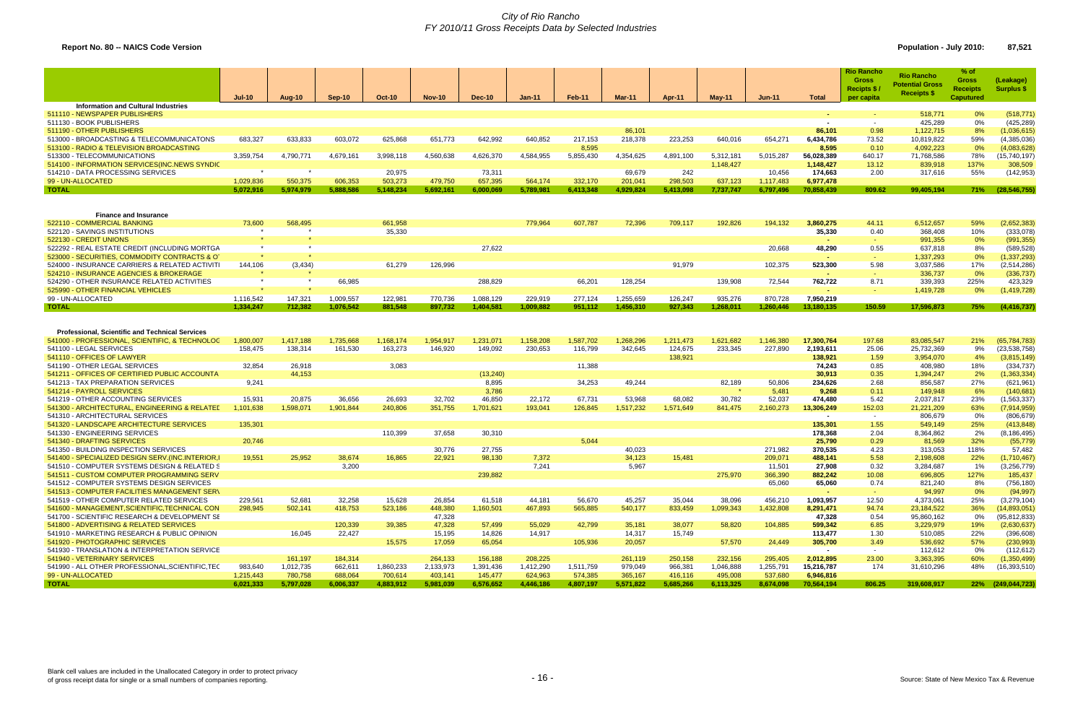### *City of Rio Rancho FY 2010/11 Gross Receipts Data by Selected Industries*

# **Report No. 80 -- NAICS Code Version Population - July 2010: 87,521**

|                                                        | $Jul-10$  | Aug-10    | Sep-10    | <b>Oct-10</b> | <b>Nov-10</b> | <b>Dec-10</b> | $Jan-11$  | Feb-11    | Mar-11    | Apr-11    | $May-11$  | $Jun-11$  | <b>Total</b>    | <b>Rio Rancho</b><br><b>Gross</b><br>Recipts $$$<br>per capita | <b>Rio Rancho</b><br><b>Potential Gross</b><br><b>Receipts \$</b> | % of<br><b>Gross</b><br><b>Receipts</b><br><b>Caputured</b> | (Leakage)<br>Surplus \$ |
|--------------------------------------------------------|-----------|-----------|-----------|---------------|---------------|---------------|-----------|-----------|-----------|-----------|-----------|-----------|-----------------|----------------------------------------------------------------|-------------------------------------------------------------------|-------------------------------------------------------------|-------------------------|
| Information and Cultural Industries                    |           |           |           |               |               |               |           |           |           |           |           |           |                 |                                                                |                                                                   |                                                             |                         |
| 511110 - NEWSPAPER PUBLISHERS                          |           |           |           |               |               |               |           |           |           |           |           |           | <b>COL</b>      |                                                                | 518,771                                                           | 0%                                                          | (518, 771)              |
| 511130 - BOOK PUBLISHERS                               |           |           |           |               |               |               |           |           |           |           |           |           | $\sim$          | $\sim$                                                         | 425,289                                                           | 0%                                                          | (425, 289)              |
| 511190 - OTHER PUBLISHERS                              |           |           |           |               |               |               |           |           | 86,101    |           |           |           | 86,101          | 0.98                                                           | 1,122,715                                                         | 8%                                                          | (1,036,615)             |
| 513000 - BROADCASTING & TELECOMMUNICATONS              | 683,327   | 633,833   | 603,072   | 625,868       | 651,773       | 642,992       | 640,852   | 217,153   | 218,378   | 223,253   | 640,016   | 654,27    | 6,434,786       | 73.52                                                          | 10,819,822                                                        | 59%                                                         | (4,385,036)             |
| 513100 - RADIO & TELEVISION BROADCASTING               |           |           |           |               |               |               |           | 8,595     |           |           |           |           | 8.595           | 0.10                                                           | 4,092,223                                                         | 0%                                                          | (4,083,628)             |
| 513300 - TELECOMMUNICATIONS                            | 3,359,754 | 4,790,771 | 4,679,161 | 3,998,118     | 4,560,638     | 4,626,370     | 4,584,955 | 5,855,430 | 4,354,625 | 4,891,100 | 5,312,181 | 5,015,287 | 56,028,389      | 640.17                                                         | 71,768,586                                                        | 78%                                                         | (15,740,197)            |
| 514100 - INFORMATION SERVICES (INC. NEWS SYNDIC        |           |           |           |               |               |               |           |           |           |           | 1,148,427 |           | 1,148,427       | 13.12                                                          | 839,918                                                           | 137%                                                        | 308,509                 |
| 514210 - DATA PROCESSING SERVICES                      | $\star$   | $\star$   |           | 20,975        |               | 73,311        |           |           | 69,679    | 242       |           | 10,456    | 174,663         | 2.00                                                           | 317,616                                                           | 55%                                                         | (142, 953)              |
| 99 - UN-ALLOCATED                                      |           |           |           |               |               |               |           |           |           | 298,503   |           |           |                 |                                                                |                                                                   |                                                             |                         |
|                                                        | 1,029,836 | 550,375   | 606,353   | 503,273       | 479,750       | 657,395       | 564,174   | 332,170   | 201,041   |           | 637,123   | 1,117,483 | 6,977,478       |                                                                |                                                                   |                                                             |                         |
| <b>TOTAL</b>                                           | 5,072,916 | 5,974,979 | 5,888,586 | 5,148,234     | 5,692,161     | 6,000,069     | 5,789,981 | 6,413,348 | 4,929,824 | 5,413,098 | 7,737,747 | 6,797,496 | 70,858,439      | 809.62                                                         | 99,405,194                                                        | 71%                                                         | (28, 546, 755)          |
|                                                        |           |           |           |               |               |               |           |           |           |           |           |           |                 |                                                                |                                                                   |                                                             |                         |
|                                                        |           |           |           |               |               |               |           |           |           |           |           |           |                 |                                                                |                                                                   |                                                             |                         |
| <b>Finance and Insurance</b>                           |           |           |           |               |               |               |           |           |           |           |           |           |                 |                                                                |                                                                   |                                                             |                         |
| 522110 - COMMERCIAL BANKING                            | 73,600    | 568,495   |           | 661,958       |               |               | 779,964   | 607,787   | 72,396    | 709,117   | 192,826   | 194,132   | 3,860,275       | 44.11                                                          | 6,512,657                                                         | 59%                                                         | (2,652,383)             |
| 522120 - SAVINGS INSTITUTIONS                          | $\star$   |           |           | 35,330        |               |               |           |           |           |           |           |           | 35,330          | 0.40                                                           | 368,408                                                           | 10%                                                         | (333,078)               |
| 522130 - CREDIT UNIONS                                 |           |           |           |               |               |               |           |           |           |           |           |           | <b>Contract</b> | $\sim$                                                         | 991,355                                                           | 0%                                                          | (991, 355)              |
| 522292 - REAL ESTATE CREDIT (INCLUDING MORTGA          | $\star$   |           |           |               |               | 27,622        |           |           |           |           |           | 20,668    | 48,290          | 0.55                                                           | 637,818                                                           | 8%                                                          | (589, 528)              |
| 523000 - SECURITIES, COMMODITY CONTRACTS & OT          |           |           |           |               |               |               |           |           |           |           |           |           | $\sim$          | $\sim$                                                         | 1,337,293                                                         | 0%                                                          | (1, 337, 293)           |
| 524000 - INSURANCE CARRIERS & RELATED ACTIVITI         | 144,106   | (3, 434)  |           | 61,279        | 126,996       |               |           |           |           | 91,979    |           | 102,375   | 523,300         | 5.98                                                           | 3,037,586                                                         | 17%                                                         | (2,514,286)             |
| 524210 - INSURANCE AGENCIES & BROKERAGE                |           |           |           |               |               |               |           |           |           |           |           |           |                 | $\sim$                                                         | 336,737                                                           | 0%                                                          | (336, 737)              |
| 524290 - OTHER INSURANCE RELATED ACTIVITIES            | $\star$   |           | 66,985    |               |               | 288,829       |           | 66,201    | 128,254   |           | 139,908   | 72,544    | 762,722         | 8.71                                                           | 339,393                                                           | 225%                                                        | 423,329                 |
| 525990 - OTHER FINANCIAL VEHICLES                      |           |           |           |               |               |               |           |           |           |           |           |           |                 | <b>Section</b>                                                 | 1,419,728                                                         | 0%                                                          | (1,419,728)             |
| 99 - UN-ALLOCATED                                      | 1,116,542 | 147,321   | 1,009,557 | 122,981       | 770,736       | 1,088,129     | 229,919   | 277,124   | 1,255,659 | 126,247   | 935,276   | 870,728   | 7,950,219       |                                                                |                                                                   |                                                             |                         |
| <b>TOTAL</b>                                           | 1.334.247 | 712,382   | 1,076,542 | 881,548       | 897,732       | 1,404,581     | 1,009,882 | 951,112   | 1,456,310 | 927,343   | 1,268,011 | 1,260,446 | 13,180,135      | 150.59                                                         | 17,596,873                                                        | 75%                                                         | (4, 416, 737)           |
|                                                        |           |           |           |               |               |               |           |           |           |           |           |           |                 |                                                                |                                                                   |                                                             |                         |
| <b>Professional, Scientific and Technical Services</b> |           |           |           |               |               |               |           |           |           |           |           |           |                 |                                                                |                                                                   |                                                             |                         |
| 541000 - PROFESSIONAL, SCIENTIFIC, & TECHNOLOC         | 1,800,007 | 1,417,188 | 1,735,668 | 1,168,174     | 1,954,917     | 1,231,071     | 1,158,208 | 1,587,702 | 1,268,296 | 1,211,473 | 1,621,682 | 1,146,380 | 17,300,764      | 197.68                                                         | 83,085,547                                                        | 21%                                                         | (65, 784, 783)          |
| 541100 - LEGAL SERVICES                                | 158,475   | 138,314   | 161,530   | 163,273       | 146,920       | 149,092       | 230,653   | 116,799   | 342,645   | 124,675   | 233,345   | 227,890   | 2,193,611       | 25.06                                                          | 25,732,369                                                        | 9%                                                          | (23, 538, 758)          |
| 541110 - OFFICES OF LAWYER                             |           |           |           |               |               |               |           |           |           | 138,921   |           |           | 138,921         | 1.59                                                           | 3,954,070                                                         | 4%                                                          | (3,815,149)             |
| 541190 - OTHER LEGAL SERVICES                          | 32,854    | 26,918    |           | 3,083         |               |               |           | 11,388    |           |           |           |           | 74,243          | 0.85                                                           | 408,980                                                           | 18%                                                         | (334, 737)              |
| 541211 - OFFICES OF CERTIFIED PUBLIC ACCOUNTA          |           | 44,153    |           |               |               | (13,240)      |           |           |           |           |           |           | 30,913          | 0.35                                                           | 1,394,247                                                         | 2%                                                          | (1,363,334)             |
| 541213 - TAX PREPARATION SERVICES                      | 9,241     |           |           |               |               | 8,895         |           | 34,253    | 49,244    |           | 82,189    | 50,806    | 234,626         | 2.68                                                           | 856,587                                                           | 27%                                                         | (621, 961)              |
| 541214 - PAYROLL SERVICES                              |           |           |           |               |               | 3,786         |           |           |           |           |           | 5,481     | 9,268           | 0.11                                                           | 149,948                                                           | 6%                                                          | (140, 681)              |
| 541219 - OTHER ACCOUNTING SERVICES                     | 15,931    | 20,875    | 36,656    | 26,693        | 32,702        | 46,850        | 22,172    | 67,731    | 53,968    | 68,082    | 30,782    | 52,037    | 474,480         | 5.42                                                           | 2,037,817                                                         | 23%                                                         | (1,563,337)             |
| 541300 - ARCHITECTURAL, ENGINEERING & RELATED          | 1,101,638 | 1,598,071 | 1,901,844 | 240,806       | 351,755       | 1,701,621     | 193,041   | 126,845   | 1,517,232 | 1,571,649 | 841,475   | 2,160,273 | 13,306,249      | 152.03                                                         | 21,221,209                                                        | 63%                                                         | (7,914,959)             |
| 541310 - ARCHITECTURAL SERVICES                        |           |           |           |               |               |               |           |           |           |           |           |           | $\sim$          | $\sim$                                                         | 806,679                                                           | 0%                                                          | (806, 679)              |
| 541320 - LANDSCAPE ARCHITECTURE SERVICES               | 135,301   |           |           |               |               |               |           |           |           |           |           |           | 135,301         | 1.55                                                           | 549,149                                                           | 25%                                                         | (413, 848)              |
| 541330 - ENGINEERING SERVICES                          |           |           |           | 110,399       | 37,658        | 30,310        |           |           |           |           |           |           | 178,368         | 2.04                                                           | 8,364,862                                                         | 2%                                                          | (8, 186, 495)           |
| 541340 - DRAFTING SERVICES                             | 20,746    |           |           |               |               |               |           | 5,044     |           |           |           |           | 25,790          | 0.29                                                           | 81,569                                                            | 32%                                                         | (55, 779)               |
| 541350 - BUILDING INSPECTION SERVICES                  |           |           |           |               | 30,776        | 27,755        |           |           | 40,023    |           |           | 271,982   | 370,535         | 4.23                                                           | 313,053                                                           | 118%                                                        | 57,482                  |
| 541400 - SPECIALIZED DESIGN SERV.(INC.INTERIOR.)       | 19,551    | 25,952    | 38,674    | 16,865        | 22,921        | 98,130        | 7,372     |           | 34,123    | 15,481    |           | 209,071   | 488,141         | 5.58                                                           | 2,198,608                                                         | 22%                                                         | (1,710,467)             |
| 541510 - COMPUTER SYSTEMS DESIGN & RELATED S           |           |           | 3,200     |               |               |               | 7,241     |           | 5,967     |           |           | 11,501    | 27,908          | 0.32                                                           | 3,284,687                                                         | 1%                                                          | (3,256,779)             |
|                                                        |           |           |           |               |               | 239,882       |           |           |           |           |           |           |                 |                                                                |                                                                   |                                                             |                         |
| 541511 - CUSTOM COMPUTER PROGRAMMING SERV              |           |           |           |               |               |               |           |           |           |           | 275,970   | 366,390   | 882,242         | 10.08                                                          | 696,805                                                           | 127%                                                        | 185,437                 |
| 541512 - COMPUTER SYSTEMS DESIGN SERVICES              |           |           |           |               |               |               |           |           |           |           |           | 65,060    | 65,060          | 0.74                                                           | 821,240                                                           | 8%                                                          | (756, 180)              |
| 541513 - COMPUTER FACILITIES MANAGEMENT SERN           |           |           |           |               |               |               |           |           |           |           |           |           | a.              | car.                                                           | 94,997                                                            | 0%                                                          | (94, 997)               |
| 541519 - OTHER COMPUTER RELATED SERVICES               | 229,561   | 52,681    | 32,258    | 15,628        | 26,854        | 61,518        | 44,181    | 56,670    | 45,257    | 35,044    | 38,096    | 456,210   | 1,093,957       | 12.50                                                          | 4,373,061                                                         | 25%                                                         | (3,279,104)             |
| 541600 - MANAGEMENT, SCIENTIFIC, TECHNICAL CON         | 298,945   | 502,141   | 418,753   | 523,186       | 448,380       | 1,160,501     | 467,893   | 565,885   | 540,177   | 833,459   | 1,099,343 | 1,432,808 | 8,291,471       | 94.74                                                          | 23, 184, 522                                                      | 36%                                                         | (14,893,051)            |
| 541700 - SCIENTIFIC RESEARCH & DEVELOPMENT SE          |           |           |           |               | 47,328        |               |           |           |           |           |           |           | 47,328          | 0.54                                                           | 95,860,162                                                        | 0%                                                          | (95, 812, 833)          |
| 541800 - ADVERTISING & RELATED SERVICES                |           |           | 120,339   | 39,385        | 47,328        | 57,499        | 55,029    | 42,799    | 35,181    | 38,077    | 58,820    | 104,885   | 599,342         | 6.85                                                           | 3,229,979                                                         | 19%                                                         | (2,630,637)             |
| 541910 - MARKETING RESEARCH & PUBLIC OPINION           |           | 16,045    | 22,427    |               | 15,195        | 14,826        | 14,917    |           | 14,317    | 15,749    |           |           | 113,477         | 1.30                                                           | 510,085                                                           | 22%                                                         | (396, 608)              |
| 541920 - PHOTOGRAPHIC SERVICES                         |           |           |           | 15,575        | 17,059        | 65,054        |           | 105,936   | 20,057    |           | 57,570    | 24,449    | 305,700         | 3.49                                                           | 536,692                                                           | 57%                                                         | (230, 993)              |
| 541930 - TRANSLATION & INTERPRETATION SERVICE          |           |           |           |               |               |               |           |           |           |           |           |           | $\sim$          | $\sim$                                                         | 112,612                                                           | 0%                                                          | (112, 612)              |
| 541940 - VETERINARY SERVICES                           |           | 161,197   | 184,314   |               | 264,133       | 156,188       | 208,225   |           | 261,119   | 250,158   | 232,156   | 295,405   | 2,012,895       | 23.00                                                          | 3,363,395                                                         | 60%                                                         | (1,350,499)             |
| 541990 - ALL OTHER PROFESSIONAL, SCIENTIFIC, TEC       | 983,640   | 1,012,735 | 662,611   | 1,860,233     | 2,133,973     | 1,391,436     | 1,412,290 | 1,511,759 | 979,049   | 966,381   | 1,046,888 | 1,255,791 | 15,216,787      | 174                                                            | 31,610,296                                                        | 48%                                                         | (16, 393, 510)          |
| 99 - UN-ALLOCATED                                      | 1,215,443 | 780,758   | 688,064   | 700,614       | 403,141       | 145,477       | 624,963   | 574,385   | 365,167   | 416,116   | 495,008   | 537,680   | 6,946,816       |                                                                |                                                                   |                                                             |                         |
| <b>TOTAL</b>                                           | 6,021,333 | 5,797,028 | 6,006,337 | 4,883,912     | 5,981,039     | 6,576,652     | 4,446,186 | 4,807,197 | 5,571,822 | 5,685,266 | 6,113,325 | 8,674,098 | 70,564,194      | 806.25                                                         | 319,608,917                                                       |                                                             | 22% (249,044,723)       |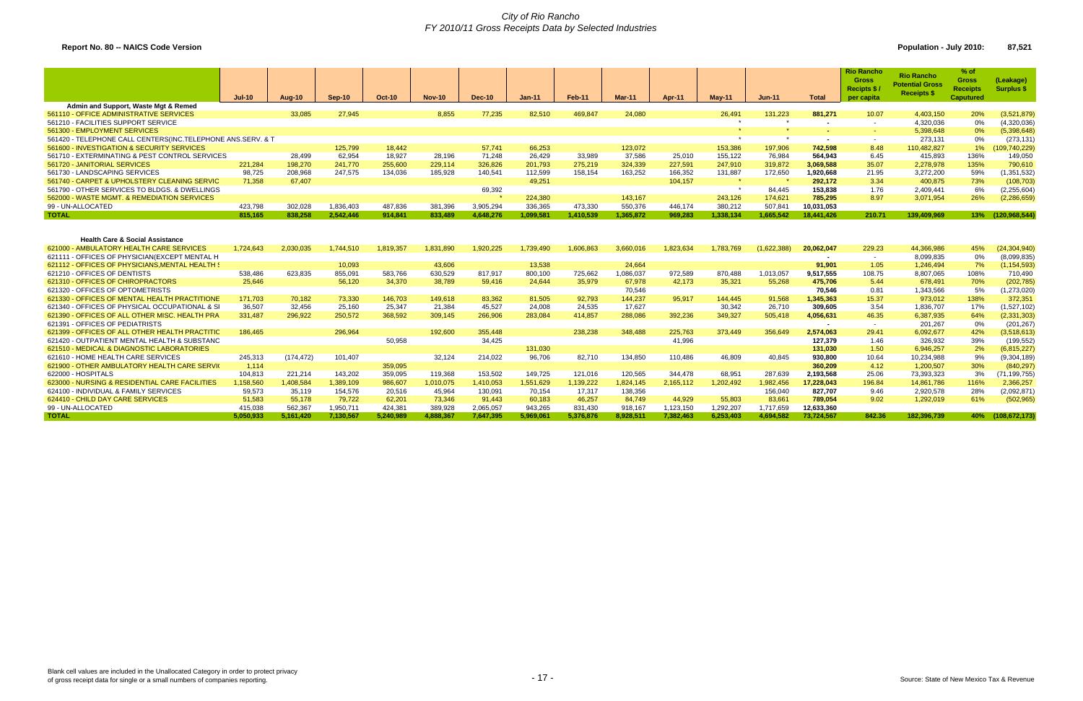### *City of Rio Rancho FY 2010/11 Gross Receipts Data by Selected Industries*

**Report No. 80 -- NAICS Code Version Population - July 2010: 87,521** 

|                                                                                                                                          | $Jul-10$  | Aug-10     | Sep-10    | <b>Oct-10</b> | <b>Nov-10</b> | <b>Dec-10</b> | <b>Jan-11</b> | <b>Feb-11</b> | <b>Mar-11</b> | Apr-11    | $May-11$  | <b>Jun-11</b> | <b>Total</b>         | <b>Rio Rancho</b><br><b>Gross</b><br>Recipts \$<br>per capita | <b>Rio Rancho</b><br><b>Potential Gross</b><br><b>Receipts \$</b> | $%$ of<br><b>Gross</b><br><b>Receipts</b><br><b>Caputured</b> | (Leakage)<br>Surplus \$       |
|------------------------------------------------------------------------------------------------------------------------------------------|-----------|------------|-----------|---------------|---------------|---------------|---------------|---------------|---------------|-----------|-----------|---------------|----------------------|---------------------------------------------------------------|-------------------------------------------------------------------|---------------------------------------------------------------|-------------------------------|
| Admin and Support, Waste Mgt & Remed                                                                                                     |           |            |           |               |               |               |               |               |               |           |           |               |                      |                                                               |                                                                   |                                                               |                               |
| 561110 - OFFICE ADMINISTRATIVE SERVICES                                                                                                  |           | 33,085     | 27,945    |               | 8,855         | 77,235        | 82,510        | 469,847       | 24,080        |           | 26,491    | 131,223       | 881,271              | 10.07                                                         | 4,403,150                                                         | 20%                                                           | (3,521,879)                   |
| 561210 - FACILITIES SUPPORT SERVICE                                                                                                      |           |            |           |               |               |               |               |               |               |           |           |               |                      | $\sim$                                                        | 4,320,036                                                         | 0%                                                            | (4,320,036)                   |
| 561300 - EMPLOYMENT SERVICES                                                                                                             |           |            |           |               |               |               |               |               |               |           |           |               |                      | <b>Security</b>                                               | 5,398,648                                                         | 0%                                                            | (5,398,648)                   |
| 561420 - TELEPHONE CALL CENTERS(INC.TELEPHONE ANS.SERV. & T                                                                              |           |            |           |               |               |               |               |               |               |           | $\star$   | $\star$       | $\sim$               | $\sim$                                                        | 273.131                                                           | $0\%$                                                         | (273, 131)                    |
| 561600 - INVESTIGATION & SECURITY SERVICES                                                                                               |           |            | 125,799   | 18.442        |               | 57.741        | 66,253        |               | 123,072       |           | 153,386   | 197,906       | 742.598              | 8.48                                                          | 110.482.827                                                       | $1\%$                                                         | 109,740,229)                  |
| 561710 - EXTERMINATING & PEST CONTROL SERVICES                                                                                           |           | 28,499     | 62,954    | 18,927        | 28,196        | 71,248        | 26,429        | 33,989        | 37,586        | 25,010    | 155,122   | 76,984        | 564.943              | 6.45                                                          | 415.893                                                           | 136%                                                          | 149,050                       |
| 561720 - JANITORIAL SERVICES                                                                                                             | 221,284   | 198,270    | 241,770   | 255,600       | 229,114       | 326,826       | 201,793       | 275,219       | 324,339       | 227,591   | 247,910   | 319,872       | 3,069,588            | 35.07                                                         | 2.278.978                                                         | 135%                                                          | 790,610                       |
| 561730 - LANDSCAPING SERVICES                                                                                                            | 98,725    | 208,968    | 247.575   | 134,036       | 185,928       | 140,541       | 112,599       | 158,154       | 163,252       | 166,352   | 131,887   | 172,650       | 1,920,668            | 21.95                                                         | 3,272,200                                                         | 59%                                                           | (1,351,532)                   |
| 561740 - CARPET & UPHOLSTERY CLEANING SERVIC                                                                                             | 71.358    | 67,407     |           |               |               |               | 49.251        |               |               | 104.157   | $\star$   |               | 292.172              | 3.34                                                          | 400.875                                                           | 73%                                                           | (108, 703)                    |
| 561790 - OTHER SERVICES TO BLDGS, & DWELLINGS                                                                                            |           |            |           |               |               | 69,392        |               |               |               |           | $\star$   | 84.445        | 153.838              | 1.76                                                          | 2.409.441                                                         | 6%                                                            | (2, 255, 604)                 |
| 562000 - WASTE MGMT, & REMEDIATION SERVICES                                                                                              |           |            |           |               |               |               | 224,380       |               | 143,167       |           | 243,126   | 174.621       | 785.295              | 8.97                                                          | 3,071,954                                                         | 26%                                                           | (2, 286, 659)                 |
| 99 - UN-ALLOCATED                                                                                                                        | 423.798   | 302.028    | 1.836.403 | 487.836       | 381.396       | 3.905.294     | 336.365       | 473.330       | 550.376       | 446.174   | 380.212   | 507.841       | 10,031,053           |                                                               |                                                                   |                                                               |                               |
| <b>TOTAL</b>                                                                                                                             | 815.165   | 838.258    | 2.542.446 | 914.841       | 833,489       | 4.648.276     | 1.099.581     | 1.410.539     | 1,365,872     | 969.283   | 1,338,134 | 1.665.542     | 18,441,426           | 210.71                                                        | 139.409.969                                                       | 13%                                                           | (120, 968, 544)               |
| <b>Health Care &amp; Social Assistance</b><br>621000 - AMBULATORY HEALTH CARE SERVICES<br>621111 - OFFICES OF PHYSICIAN (EXCEPT MENTAL H | 1,724,643 | 2,030,035  | 1.744.510 | 1,819,357     | 1.831.890     | 1,920,225     | 1,739,490     | 1,606,863     | 3,660,016     | 1,823,634 | 1,783,769 | (1,622,388)   | 20,062,047<br>$\sim$ | 229.23<br>$\sim$                                              | 44,366,986<br>8,099,835                                           | 45%<br>0%                                                     | (24, 304, 940)<br>(8,099,835) |
| 621112 - OFFICES OF PHYSICIANS, MENTAL HEALTH (                                                                                          |           |            | 10,093    |               | 43,606        |               | 13,538        |               | 24,664        |           |           |               | 91.901               | 1.05                                                          | 1,246,494                                                         | 7%                                                            | (1, 154, 593)                 |
| 621210 - OFFICES OF DENTISTS                                                                                                             | 538,486   | 623,835    | 855,091   | 583,766       | 630,529       | 817,917       | 800,100       | 725,662       | 1,086,037     | 972,589   | 870,488   | 1,013,057     | 9,517,555            | 108.75                                                        | 8,807,065                                                         | 108%                                                          | 710,490                       |
| 621310 - OFFICES OF CHIROPRACTORS                                                                                                        | 25,646    |            | 56,120    | 34,370        | 38,789        | 59,416        | 24,644        | 35,979        | 67,978        | 42,173    | 35,321    | 55,268        | 475,706              | 5.44                                                          | 678,491                                                           | 70%                                                           | (202, 785)                    |
| 621320 - OFFICES OF OPTOMETRISTS                                                                                                         |           |            |           |               |               |               |               |               | 70,546        |           |           |               | 70.546               | 0.81                                                          | 1,343,566                                                         | 5%                                                            | (1,273,020)                   |
| 621330 - OFFICES OF MENTAL HEALTH PRACTITIONE                                                                                            | 171.703   | 70.182     | 73.330    | 146.703       | 149,618       | 83.362        | 81.505        | 92.793        | 144,237       | 95,917    | 144.445   | 91.568        | 1,345,363            | 15.37                                                         | 973.012                                                           | 138%                                                          | 372,351                       |
| 621340 - OFFICES OF PHYSICAL OCCUPATIONAL & SI                                                                                           | 36,507    | 32,456     | 25,160    | 25,347        | 21,384        | 45,527        | 24,008        | 24,535        | 17,627        |           | 30,342    | 26,710        | 309,605              | 3.54                                                          | 1,836,707                                                         | 17%                                                           | (1,527,102)                   |
| 621390 - OFFICES OF ALL OTHER MISC. HEALTH PRA                                                                                           | 331.487   | 296.922    | 250.572   | 368.592       | 309.145       | 266.906       | 283.084       | 414.857       | 288,086       | 392,236   | 349,327   | 505.418       | 4,056,631            | 46.35                                                         | 6.387.935                                                         | 64%                                                           | (2,331,303)                   |
| 621391 - OFFICES OF PEDIATRISTS                                                                                                          |           |            |           |               |               |               |               |               |               |           |           |               | $\sim$               | $\sim$                                                        | 201.267                                                           | 0%                                                            | (201, 267)                    |
| 621399 - OFFICES OF ALL OTHER HEALTH PRACTITIO                                                                                           | 186.465   |            | 296,964   |               | 192,600       | 355,448       |               | 238,238       | 348,488       | 225,763   | 373.449   | 356.649       | 2.574.063            | 29.41                                                         | 6.092.677                                                         | 42%                                                           | (3,518,613)                   |
| 621420 - OUTPATIENT MENTAL HEALTH & SUBSTANC                                                                                             |           |            |           | 50,958        |               | 34,425        |               |               |               | 41,996    |           |               | 127,379              | 1.46                                                          | 326.932                                                           | 39%                                                           | (199, 552)                    |
| 621510 - MEDICAL & DIAGNOSTIC LABORATORIES                                                                                               |           |            |           |               |               |               | 131,030       |               |               |           |           |               | 131.030              | 1.50                                                          | 6.946.257                                                         | 2%                                                            | (6,815,227)                   |
| 621610 - HOME HEALTH CARE SERVICES                                                                                                       | 245,313   | (174, 472) | 101,407   |               | 32,124        | 214,022       | 96.706        | 82,710        | 134,850       | 110.486   | 46.809    | 40.845        | 930.800              | 10.64                                                         | 10.234.988                                                        | 9%                                                            | (9,304,189)                   |
| 621900 - OTHER AMBULATORY HEALTH CARE SERVIC                                                                                             | 1,114     |            |           | 359,095       |               |               |               |               |               |           |           |               | 360,209              | 4.12                                                          | 1.200.507                                                         | 30%                                                           | (840, 297)                    |
| 622000 - HOSPITALS                                                                                                                       | 104,813   | 221,214    | 143,202   | 359,095       | 119,368       | 153,502       | 149,725       | 121,016       | 120,565       | 344.478   | 68,951    | 287,639       | 2,193,568            | 25.06                                                         | 73,393,323                                                        | 3%                                                            | (71, 199, 755)                |
| 623000 - NURSING & RESIDENTIAL CARE FACILITIES                                                                                           | 1,158,560 | 1,408,584  | 1,389,109 | 986,607       | 1,010,075     | 1,410,053     | 1,551,629     | 1,139,222     | 1,824,145     | 2,165,112 | 1,202,492 | 1,982,456     | 17,228,043           | 196.84                                                        | 14,861,786                                                        | 116%                                                          | 2,366,257                     |
| 624100 - INDIVIDUAL & FAMILY SERVICES                                                                                                    | 59,573    | 35,119     | 154,576   | 20,516        | 45,964        | 130,091       | 70,154        | 17,317        | 138,356       |           |           | 156,040       | 827,707              | 9.46                                                          | 2,920,578                                                         | 28%                                                           | (2,092,871)                   |
| 624410 - CHILD DAY CARE SERVICES                                                                                                         | 51,583    | 55,178     | 79,722    | 62,201        | 73,346        | 91,443        | 60,183        | 46,257        | 84,749        | 44.929    | 55.803    | 83,661        | 789,054              | 9.02                                                          | 1,292,019                                                         | 61%                                                           | (502, 965)                    |
| 99 - UN-ALLOCATED                                                                                                                        | 415,038   | 562,367    | 1,950,711 | 424,381       | 389,928       | 2,065,057     | 943,265       | 831.430       | 918,167       | 1,123,150 | 1,292,207 | 1,717,659     | 12,633,360           |                                                               |                                                                   |                                                               |                               |
| <b>TOTAL</b>                                                                                                                             | 5.050.933 | 5.161.420  | 7.130.567 | 5.240.989     | 4.888.367     | 7.647.395     | 5.969.061     | 5.376.876     | 8,928,511     | 7.382.463 | 6.253.403 | 4.694.582     | 73.724.567           | 842.36                                                        | 182.396.739                                                       | 40%                                                           | (108.672.173)                 |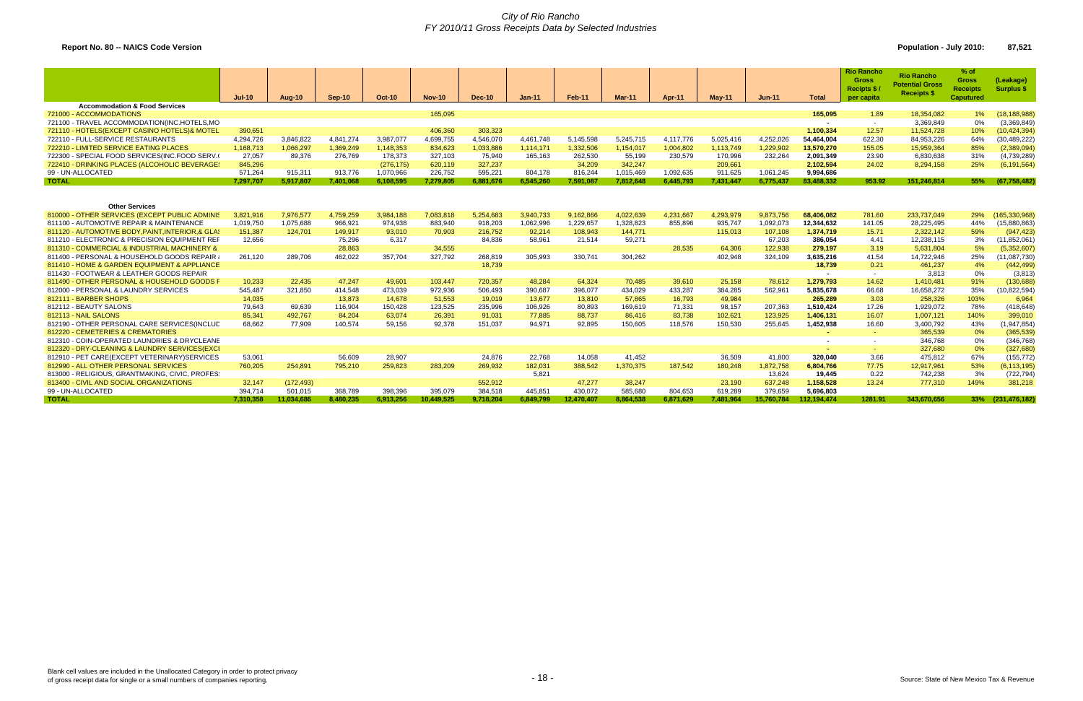# *City of Rio Rancho FY 2010/11 Gross Receipts Data by Selected Industries*

# **Report No. 80 -- NAICS Code Version Population - July 2010: 87,521**

|                                                | $Jul-10$  | <b>Aug-10</b> | Sep-10    | <b>Oct-10</b> | $Nov-10$   | Dec-10    | $Jan-11$  | Feb-11     | Mar-11    | Apr-11    | <b>Mav-11</b> | <b>Jun-11</b> | <b>Total</b>     | <b>Rio Rancho</b><br><b>Gross</b><br><b>Recipts \$</b><br>per capita | <b>Rio Rancho</b><br><b>Potential Gross</b><br><b>Receipts \$</b> | $%$ of<br><b>Gross</b><br><b>Receipts</b><br><b>Caputured</b> | (Leakage)<br><b>Surplus \$</b> |
|------------------------------------------------|-----------|---------------|-----------|---------------|------------|-----------|-----------|------------|-----------|-----------|---------------|---------------|------------------|----------------------------------------------------------------------|-------------------------------------------------------------------|---------------------------------------------------------------|--------------------------------|
| <b>Accommodation &amp; Food Services</b>       |           |               |           |               |            |           |           |            |           |           |               |               |                  |                                                                      |                                                                   |                                                               |                                |
| 721000 - ACCOMMODATIONS                        |           |               |           |               | 165,095    |           |           |            |           |           |               |               | 165.095          | 1.89                                                                 | 18,354,082                                                        | 1%                                                            | (18, 188, 988)                 |
| 721100 - TRAVEL ACCOMMODATION(INC.HOTELS,MO    |           |               |           |               |            |           |           |            |           |           |               |               | $\sim$           | $\sim$                                                               | 3,369,849                                                         | 0%                                                            | (3,369,849)                    |
| 721110 - HOTELS(EXCEPT CASINO HOTELS)& MOTEL   | 390,651   |               |           |               | 406,360    | 303,323   |           |            |           |           |               |               | 1,100,334        | 12.57                                                                | 11,524,728                                                        | 10%                                                           | (10, 424, 394)                 |
| 722110 - FULL-SERVICE RESTAURANTS              | 4,294,726 | 3.846.822     | 4.841.274 | 3,987,077     | 4,699,755  | 4,546,070 | 4.461.748 | 5,145,598  | 5,245,715 | 4.117.776 | 5,025,416     | 4,252,026     | 54,464,004       | 622.30                                                               | 84.953.226                                                        | 64%                                                           | (30, 489, 222)                 |
| 722210 - LIMITED SERVICE EATING PLACES         | 1,168,713 | 1,066,297     | 1,369,249 | 1,148,353     | 834,623    | 1,033,886 | 1,114,171 | 1,332,506  | 1,154,017 | 1,004,802 | 1,113,749     | 1,229,902     | 13,570,270       | 155.05                                                               | 15,959,364                                                        | 85%                                                           | (2,389,094)                    |
| 722300 - SPECIAL FOOD SERVICES(INC.FOOD SERV.  | 27.057    | 89.376        | 276,769   | 178,373       | 327,103    | 75,940    | 165.163   | 262,530    | 55,199    | 230.579   | 170,996       | 232,264       | 2,091,349        | 23.90                                                                | 6.830.638                                                         | 31%                                                           | (4,739,289)                    |
| 722410 - DRINKING PLACES (ALCOHOLIC BEVERAGE:  | 845,296   |               |           | (276, 175)    | 620,119    | 327,237   |           | 34.209     | 342.247   |           | 209.661       |               | 2.102.594        | 24.02                                                                | 8.294.158                                                         | 25%                                                           | (6, 191, 564)                  |
| 99 - UN-ALLOCATED                              | 571,264   | 915.311       | 913.776   | 1.070.966     | 226,752    | 595,221   | 804.178   | 816.244    | 1.015.469 | 1.092.635 | 911.625       | 1.061.245     | 9.994.686        |                                                                      |                                                                   |                                                               |                                |
| <b>TOTAL</b>                                   | 7,297,707 | 5.917.807     | 7.401.068 | 6,108,595     | 7,279,805  | 6,881,676 | 6.545.260 | 7.591.087  | 7,812,648 | 6.445.793 | 7,431,447     | 6.775.437     | 83.488.332       | 953.92                                                               | 151.246.814                                                       | 55%                                                           | (67, 758, 482)                 |
| <b>Other Services</b>                          |           |               |           |               |            |           |           |            |           |           |               |               |                  |                                                                      |                                                                   |                                                               |                                |
| 810000 - OTHER SERVICES (EXCEPT PUBLIC ADMINIS | 3,821,916 | 7,976,577     | 4,759,259 | 3,984,188     | 7,083,818  | 5,254,683 | 3,940,733 | 9,162,866  | 4,022,639 | 4,231,667 | 4,293,979     | 9,873,756     | 68,406,082       | 781.60                                                               | 233,737,049                                                       | 29%                                                           | 165,330,968                    |
| 811100 - AUTOMOTIVE REPAIR & MAINTENANCE       | 1,019,750 | 1,075,688     | 966,921   | 974.938       | 883,940    | 918,203   | 1,062,996 | 1,229,657  | 1,328,823 | 855,896   | 935,747       | 1,092,073     | 12,344,632       | 141.05                                                               | 28,225,495                                                        | 44%                                                           | (15,880,863)                   |
| 811120 - AUTOMOTIVE BODY.PAINT.INTERIOR.& GLA: | 151,387   | 124.701       | 149,917   | 93,010        | 70.903     | 216,752   | 92,214    | 108,943    | 144,771   |           | 115,013       | 107,108       | 1.374.719        | 15.71                                                                | 2,322,142                                                         | 59%                                                           | (947, 423)                     |
| 811210 - ELECTRONIC & PRECISION EQUIPMENT REP  | 12,656    |               | 75,296    | 6,317         |            | 84,836    | 58,961    | 21,514     | 59,271    |           |               | 67,203        | 386,054          | 4.41                                                                 | 12,238,115                                                        | 3%                                                            | (11, 852, 061)                 |
| 811310 - COMMERCIAL & INDUSTRIAL MACHINERY &   |           |               | 28,863    |               | 34,555     |           |           |            |           | 28,535    | 64.306        | 122,938       | 279,197          | 3.19                                                                 | 5,631,804                                                         | 5%                                                            | (5,352,607)                    |
| 811400 - PERSONAL & HOUSEHOLD GOODS REPAIR     | 261,120   | 289.706       | 462.022   | 357.704       | 327,792    | 268,819   | 305.993   | 330,741    | 304,262   |           | 402.948       | 324.109       | 3,635,216        | 41.54                                                                | 14,722,946                                                        | 25%                                                           | (11,087,730)                   |
| 811410 - HOME & GARDEN EQUIPMENT & APPLIANCE   |           |               |           |               |            | 18,739    |           |            |           |           |               |               | 18,739           | 0.21                                                                 | 461,237                                                           | 4%                                                            | (442, 499)                     |
| 811430 - FOOTWEAR & LEATHER GOODS REPAIR       |           |               |           |               |            |           |           |            |           |           |               |               | $\sim$           | $\sim$                                                               | 3.813                                                             | $0\%$                                                         | (3, 813)                       |
| 811490 - OTHER PERSONAL & HOUSEHOLD GOODS F    | 10,233    | 22,435        | 47,247    | 49,601        | 103,447    | 720,357   | 48,284    | 64,324     | 70,485    | 39,610    | 25,158        | 78,612        | 1,279,793        | 14.62                                                                | 1,410,481                                                         | 91%                                                           | (130, 688)                     |
| 812000 - PERSONAL & LAUNDRY SERVICES           | 545.487   | 321.850       | 414.548   | 473.039       | 972,936    | 506.493   | 390.687   | 396,077    | 434.029   | 433,287   | 384.285       | 562.961       | 5,835,678        | 66.68                                                                | 16.658.272                                                        | 35%                                                           | (10, 822, 594)                 |
| 812111 - BARBER SHOPS                          | 14.035    |               | 13.873    | 14.678        | 51,553     | 19.019    | 13,677    | 13.810     | 57.865    | 16,793    | 49,984        |               | 265,289          | 3.03                                                                 | 258.326                                                           | 103%                                                          | 6,964                          |
| 812112 - BEAUTY SALONS                         | 79,643    | 69,639        | 116,904   | 150,428       | 123,525    | 235,996   | 106,926   | 80,893     | 169,619   | 71,331    | 98,157        | 207,363       | 1,510,424        | 17.26                                                                | 1,929,072                                                         | 78%                                                           | (418, 648)                     |
| 812113 - NAIL SALONS                           | 85,341    | 492,767       | 84,204    | 63,074        | 26,391     | 91,031    | 77,885    | 88,737     | 86,416    | 83,738    | 102,621       | 123,925       | 1,406,131        | 16.07                                                                | 1,007,121                                                         | 140%                                                          | 399,010                        |
| 812190 - OTHER PERSONAL CARE SERVICES (INCLUE  | 68.662    | 77.909        | 140.574   | 59.156        | 92,378     | 151,037   | 94.971    | 92.895     | 150,605   | 118,576   | 150,530       | 255.645       | 1,452,938        | 16.60                                                                | 3,400,792                                                         | 43%                                                           | (1,947,854)                    |
| 812220 - CEMETERIES & CREMATORIES              |           |               |           |               |            |           |           |            |           |           |               |               | <b>CONTINUES</b> | $\sim$                                                               | 365,539                                                           | 0%                                                            | (365, 539)                     |
| 812310 - COIN-OPERATED LAUNDRIES & DRYCLEANE   |           |               |           |               |            |           |           |            |           |           |               |               | $\sim$           | $\sim$                                                               | 346,768                                                           | $0\%$                                                         | (346, 768)                     |
| 812320 - DRY-CLEANING & LAUNDRY SERVICES (EXCI |           |               |           |               |            |           |           |            |           |           |               |               |                  | $\sim$                                                               | 327.680                                                           | 0%                                                            | (327, 680)                     |
| 812910 - PET CARE(EXCEPT VETERINARY)SERVICES   | 53,061    |               | 56.609    | 28,907        |            | 24.876    | 22.768    | 14.058     | 41,452    |           | 36.509        | 41.800        | 320.040          | 3.66                                                                 | 475.812                                                           | 67%                                                           | (155, 772)                     |
| 812990 - ALL OTHER PERSONAL SERVICES           | 760,205   | 254,891       | 795,210   | 259,823       | 283,209    | 269,932   | 182,031   | 388,542    | 1,370,375 | 187,542   | 180,248       | 1,872,758     | 6,804,766        | 77.75                                                                | 12,917,961                                                        | 53%                                                           | (6, 113, 195)                  |
| 813000 - RELIGIOUS, GRANTMAKING, CIVIC, PROFES |           |               |           |               |            |           | 5,821     |            |           |           |               | 13,624        | 19,445           | 0.22                                                                 | 742,238                                                           | 3%                                                            | (722, 794)                     |
| 813400 - CIVIL AND SOCIAL ORGANIZATIONS        | 32.147    | (172, 493)    |           |               |            | 552.912   |           | 47.277     | 38.247    |           | 23.190        | 637.248       | 1.158.528        | 13.24                                                                | 777.310                                                           | 149%                                                          | 381.218                        |
| 99 - UN-ALLOCATED                              | 394.714   | 501.015       | 368.789   | 398.396       | 395.079    | 384.518   | 445.851   | 430.072    | 585.680   | 804.653   | 619.289       | 379.659       | 5.696.803        |                                                                      |                                                                   |                                                               |                                |
| <b>TOTAL</b>                                   | 7.310.358 | 11.034.686    | 8.480.235 | 6,913,256     | 10.449.525 | 9.718.204 | 6.849.799 | 12.470.407 | 8,864,538 | 6.871.629 | 7.481.964     | 15.760.784    | 112.194.474      | 1281.91                                                              | 343.670.656                                                       | 33%                                                           | (231, 476, 182)                |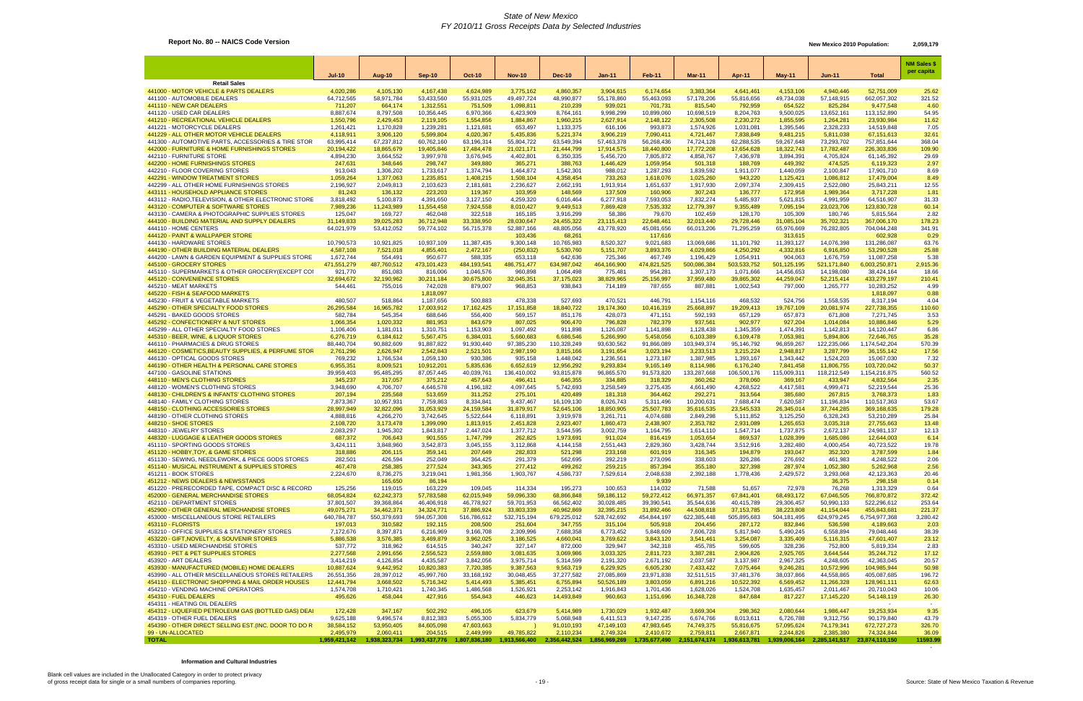# **Report No. 80 -- NAICS Code Version** 2,059,179 New Mexico 2010 Population: 2,059,179

|                                                                                                 |                         |                         |                         |                         |                         |                         |                         |                         |                         |                         |                         |                         |                            | <b>NM Sales \$</b><br>per capita |
|-------------------------------------------------------------------------------------------------|-------------------------|-------------------------|-------------------------|-------------------------|-------------------------|-------------------------|-------------------------|-------------------------|-------------------------|-------------------------|-------------------------|-------------------------|----------------------------|----------------------------------|
|                                                                                                 | <b>Jul-10</b>           | Aug-10                  | $Sep-10$                | <b>Oct-10</b>           | <b>Nov-10</b>           | <b>Dec-10</b>           | <b>Jan-11</b>           | Feb-11                  | Mar-11                  | Apr-11                  | <b>May-11</b>           | Jun-11                  | <b>Total</b>               |                                  |
| <b>Retail Sales</b><br>441000 - MOTOR VEHICLE & PARTS DEALERS                                   | 4,020,286               | 4,105,130               | 4,167,438               | 4,624,989               | 3,775,162               | 4,860,357               | 3,904,615               | 6,174,654               | 3,383,364               | 4,641,461               | 4,153,106               | 4,940,446               | 52,751,009                 | 25.62                            |
| 441100 - AUTOMOBILE DEALERS                                                                     | 64,712,565              | 58,971,784              | 53,433,560              | 55,931,025              | 49,497,724              | 48,990,877              | 55,178,860              | 55,463,093              | 57,178,206              | 55,816,656              | 49,734,038              | 57,148,915              | 662,057,302                | 321.52                           |
| 441110 - NEW CAR DEALERS                                                                        | 711,207                 | 664,174                 | 1,312,551               | 751,509                 | 1,098,811               | 210,239                 | 939,021                 | 701,731                 | 815,540                 | 792,959                 | 654,522                 | 825,284                 | 9,477,548                  | 4.60                             |
| 441120 - USED CAR DEALERS<br>441210 - RECREATIONAL VEHICLE DEALERS                              | 8,887,674<br>1,550,796  | 8,797,508<br>2,429,453  | 10,356,445<br>2,119,105 | 6,970,366<br>1,554,856  | 6,423,909<br>1,884,867  | 8,764,161<br>1,960,215  | 9,998,299<br>2,627,914  | 10,899,060<br>2,148,122 | 10,698,519<br>2,305,508 | 8,204,763<br>2,230,272  | 9,500,025<br>1,855,595  | 13,652,161<br>1,264,28' | 113,152,890<br>23,930,984  | 54.95<br>11.62                   |
| 441221 - MOTORCYCLE DEALERS                                                                     | 1,261,421               | 1,170,828               | 1,239,281               | 1,121,681               | 653,497                 | 1,133,375               | 616,106                 | 993,873                 | 1,574,926               | 1,031,081               | 1,395,546               | 2,328,233               | 14,519,848                 | 7.05                             |
| 441229 - ALL OTHER MOTOR VEHICLE DEALERS                                                        | 4,118,911               | 3,906,120               | 5,599,804               | 4,020,367               | 5,435,836               | 5,221,374               | 3,906,219               | 7,090,411               | 4,721,467               | 7,838,849               | 9,481,215               | 5,811,038               | 67,151,613                 | 32.61                            |
| 441300 - AUTOMOTIVE PARTS, ACCESSORIES & TIRE STOR                                              | 63,995,414              | 67,237,812              | 60,762,160              | 63,196,314              | 55,804,722              | 63,549,394              | 57,463,378              | 56,268,436              | 74,724,128              | 62,288,535              | 59,267,648              | 73,293,702              | 757,851,644                | 368.04                           |
| 442000 - FURNITURE & HOME FURNISHINGS STORES<br>442110 - FURNITURE STORE                        | 20,194,422<br>4,894,230 | 18,865,679<br>3,664,552 | 19,405,846<br>3,997,978 | 17,484,478<br>3,676,945 | 21,021,171<br>4,402,801 | 21,444,799<br>6,350,335 | 17,914,575<br>5,456,720 | 18,440,800<br>7,805,872 | 17,772,208<br>4,858,767 | 17,654,628<br>7,436,978 | 18,322,743<br>3,894,391 | 17,782,487<br>4,705,824 | 226,303,836<br>61,145,392  | 109.90<br>29.69                  |
| 442200 - HOME FURNISHINGS STORES                                                                | 247,631                 | 348,646                 | 298,747                 | 349,880                 | 365,271                 | 388,763                 | 1,446,429               | 1,059,954               | 501,318                 | 188,769                 | 449,392                 | 474,525                 | 6,119,323                  | 2.97                             |
| 442210 - FLOOR COVERING STORES                                                                  | 913,043                 | 1,306,202               | 1,733,617               | 1,374,794               | 1,464,872               | 1,542,301               | 988,012                 | 1,287,293               | 1,839,592               | 1,911,077               | 1,440,059               | 2,100,847               | 17,901,710                 | 8.69                             |
| 442291 - WINDOW TREATMENT STORES<br>442299 - ALL OTHER HOME FURNISHINGS STORES                  | 1,059,264<br>2,196,927  | 1,377,063<br>2,049,813  | 1,235,851<br>2,103,623  | 1,408,215<br>2,181,681  | 1,508,104<br>2,236,627  | 4,358,454<br>2,662,191  | 733,263<br>1,913,914    | 1,618,076<br>1,651,637  | 1,025,260<br>1,917,930  | 943,220<br>2,097,374    | 1,125,421<br>2,309,415  | 1,086,812<br>2,522,080  | 17,479,004<br>25,843,211   | 8.49<br>12.55                    |
| 443111 - HOUSEHOLD APPLIANCE STORES                                                             | 81,243                  | 136,132                 | 223,203                 | 119,367                 | 103,959                 | 148,569                 | 137,509                 | 160,906                 | 307,243                 | 136,777                 | 172,958                 | 1,989,364               | 3,717,228                  | 1.81                             |
| 443112 - RADIO, TELEVISION, & OTHER ELECTRONIC STORE                                            | 3,818,492               | 5,100,873               | 4,391,650               | 3,127,150               | 4,259,320               | 6,016,464               | 6,277,918               | 7,593,053               | 7,832,274               | 5,485,937               | 5,621,815               | 4,991,959               | 64,516,907                 | 31.33                            |
| 443120 - COMPUTER & SOFTWARE STORES                                                             | 7,989,236               | 11,243,989              | 11,554,458              | 7,924,558               | 8,010,427               | 9,449,513               | 7,869,428               | 7,535,332               | 12,779,397              | 9,355,489               | 7,095,194               | 23,023,706              | 123,830,728                | 60.14                            |
| 443130 - CAMERA & PHOTOGRAPHIC SUPPLIES STORES<br>444100 - BUILDING MATERIAL AND SUPPLY DEALERS | 125,047<br>31,149,833   | 169,727<br>39,025,283   | 462,048<br>36,712,948   | 322,518<br>33,338,950   | 165,185<br>28,030,647   | 3,916,299<br>24,455,322 | 58,386<br>23,115,413    | 79,670<br>22,648,461    | 102,459<br>32,013,440   | 128,170<br>29,728,446   | 105,309<br>31,085,104   | 180,746<br>35,702,32    | 5,815,564<br>367,006,170   | 2.82<br>178.23                   |
| 444110 - HOME CENTERS                                                                           | 64,021,979              | 53,412,052              | 59,774,102              | 56,715,378              | 52,887,166              | 48,805,056              | 43,778,920              | 45,081,656              | 66,013,206              | 71,295,259              | 65,976,669              | 76,282,805              | 704,044,248                | 341.91                           |
| 444120 - PAINT & WALLPAPER STORE                                                                |                         |                         |                         |                         | 103,436                 | 68,261                  |                         | 117,616                 |                         |                         | 313,615                 |                         | 602,928                    | 0.29                             |
| 444130 - HARDWARE STORES                                                                        | 10,790,573              | 10,921,825              | 10,937,109              | 11,387,435              | 9,300,148               | 10,765,983              | 8,520,327               | 9,021,683               | 13,069,686              | 11,101,792              | 11,393,127              | 14,076,398              | 131,286,087                | 63.76                            |
| 444190 - OTHER BUILDING MATERIAL DEALERS<br>444200 - LAWN & GARDEN EQUIPMENT & SUPPLIES STORE   | 4,587,108<br>1,672,744  | 7,521,018<br>554,491    | 4,855,401<br>950,677    | 2,472,167<br>588,335    | (250, 832)<br>653,118   | 5,530,760<br>642,636    | 5, 151, 707<br>725,346  | 3,893,376<br>467,749    | 4,029,866<br>1,196,429  | 4,250,292<br>1,054,911  | 4,332,816<br>904,063    | 6,916,850<br>1,676,759  | 53,290,528<br>11,087,258   | 25.88<br>5.38                    |
| 445100 - GROCERY STORES                                                                         | 471,551,279             | 487,760,512             | 473,101,423             | 484, 193, 541           | 486,751,477             | 634,987,042             | 464,166,900             | 474,821,525             | 500,086,384             | 503,533,752             | 501,125,195             | 521,171,840             | 6,003,250,871              | 2,915.36                         |
| 445110 - SUPERMARKETS & OTHER GROCERY (EXCEPT COI                                               | 921,770                 | 851,083                 | 816,006                 | 1,046,576               | 960,898                 | 1,064,498               | 775,481                 | 954,281                 | 1,307,173               | 1,071,666               | 14,456,653              | 14,198,080              | 38,424,164                 | 18.66                            |
| 445120 - CONVENIENCE STORES<br>445210 - MEAT MARKETS                                            | 32,694,672              | 32,190,962              | 30,211,184              | 30,675,800              | 32,045,351              | 37,175,023              | 38,829,965              | 25,156,997              | 37,959,480              | 39,865,302              | 44,259,047              | 52,215,414              | 433,279,197                | 210.41                           |
| 445220 - FISH & SEAFOOD MARKETS                                                                 | 544,461                 | 755,016                 | 742,028<br>1,818,097    | 879,007                 | 968,853                 | 938,843                 | 714,189                 | 787,655                 | 887,881                 | 1,002,543               | 797,000                 | 1,265,777               | 10,283,252<br>1,818,097    | 4.99<br>0.88                     |
| 445230 - FRUIT & VEGETABLE MARKETS                                                              | 480,507                 | 518,864                 | 1,187,656               | 500,883                 | 478,338                 | 527,693                 | 470,521                 | 446,791                 | 1,154,116               | 468,532                 | 524,756                 | 1,558,535               | 8,317,194                  | 4.04                             |
| 445290 - OTHER SPECIALTY FOOD STORES                                                            | 26,295,584              | 16,965,782              | 17,003,912              | 17, 162, 425            | 17, 151, 858            | 18,840,722              | 19,174,360              | 10,416,319              | 25,668,897              | 19,209,413              | 19,767,109              | 20,081,974              | 227,738,355                | 110.60                           |
| 445291 - BAKED GOODS STORES                                                                     | 582,784                 | 545,354                 | 688,646                 | 556,400                 | 569,157                 | 851,176                 | 428,073                 | 471,151                 | 592,193                 | 657,129                 | 657,873                 | 671,808                 | 7,271,745                  | 3.53<br>5.29                     |
| 445292 - CONFECTIONERY & NUT STORES<br>445299 - ALL OTHER SPECIALTY FOOD STORES                 | 1,066,354<br>1,106,406  | 1,020,332<br>1,181,011  | 881,953<br>1,310,751    | 843,679<br>1,153,903    | 807,025<br>1,097,492    | 906,470<br>911,898      | 796,828<br>1,126,087    | 782,379<br>1,141,898    | 937,561<br>1,128,438    | 902,977<br>1,345,359    | 927,204<br>1,474,391    | 1,014,084<br>1,142,813  | 10,886,846<br>14,120,447   | 6.86                             |
| 445310 - BEER, WINE, & LIQUOR STORES                                                            | 6,276,719               | 6,184,612               | 5,567,475               | 6,384,031               | 5,660,683               | 6,686,546               | 5,266,990               | 5,458,056               | 6,103,389               | 6,109,478               | 7,053,981               | 5,894,806               | 72,646,765                 | 35.28                            |
| 446110 - PHARMACIES & DRUG STORES                                                               | 88,440,704              | 90,882,609              | 91,887,822              | 91,930,440              | 97,385,230              | 110,328,249             | 93,630,562              | 91,866,089              | 103,949,374             | 95,146,792              | 96,859,267              | 122,235,066             | 1,174,542,204              | 570.39                           |
| 446120 - COSMETICS, BEAUTY SUPPLIES, & PERFUME STOR<br>446130 - OPTICAL GOODS STORES            | 2,761,296<br>769,232    | 2,626,947<br>1,766,534  | 2,542,843<br>1,059,130  | 2,521,501<br>930,386    | 2,987,190<br>935,158    | 3,815,166<br>1,448,042  | 3,191,654<br>1,236,561  | 3,023,194<br>1,273,187  | 3,233,513<br>1,387,985  | 3,215,224<br>1,393,167  | 2,948,817<br>1,343,442  | 3,287,799<br>1,524,203  | 36, 155, 142<br>15,067,030 | 17.56<br>7.32                    |
| 446190 - OTHER HEALTH & PERSONAL CARE STORES                                                    | 6,955,351               | 8,009,521               | 10,912,201              | 5,835,636               | 6,652,619               | 12,956,292              | 9,293,834               | 9,165,149               | 8,114,986               | 6,176,240               | 7,841,458               | 11,806,755              | 103,720,042                | 50.37                            |
| 447100 - GASOLINE STATIONS                                                                      | 39,959,403              | 95,485,295              | 87,057,445              | 40,039,761              | 136,410,002             | 93,815,878              | 96,865,570              | 91,573,820              | 133,287,668             | 106,500,176             | 115,009,311             | 118,212,549             | 1,154,216,875              | 560.52                           |
| 448110 - MEN'S CLOTHING STORES                                                                  | 345,237                 | 317,057                 | 375,212                 | 457,643                 | 496,411                 | 646,355                 | 334,885                 | 318,329                 | 360,262                 | 378,060                 | 369,167                 | 433,947                 | 4,832,564                  | 2.35                             |
| 448120 - WOMEN'S CLOTHING STORES<br>448130 - CHILDREN'S & INFANTS' CLOTHING STORES              | 3,948,690<br>207,194    | 4,706,707<br>235,568    | 4,646,578<br>513,659    | 4,196,182<br>311,252    | 4,097,645<br>275,101    | 5,742,693<br>420,489    | 3,258,549<br>181,318    | 3,275,435<br>364,462    | 4,661,490<br>292,271    | 4,268,522<br>313,564    | 4,417,581<br>385,680    | 4,999,471<br>267,815    | 52,219,544<br>3,768,373    | 25.36<br>1.83                    |
| 448140 - FAMILY CLOTHING STORES                                                                 | 7,873,367               | 10,957,931              | 7,759,863               | 8,334,841               | 9,437,467               | 16,109,130              | 8,026,743               | 5,311,496               | 10,200,631              | 7,688,474               | 7,620,587               | 11,196,834              | 110,517,363                | 53.67                            |
| 448150 - CLOTHING ACCESSORIES STORES                                                            | 28,997,949              | 32,822,096              | 31,053,929              | 24,159,584              | 31,879,917              | 52,645,106              | 18,850,905              | 25,507,783              | 35,616,535              | 23,545,533              | 26,345,014              | 37,744,285              | 369,168,635                | 179.28                           |
| 448190 - OTHER CLOTHING STORES<br>448210 - SHOE STORES                                          | 4,888,816<br>2,108,720  | 4,266,270<br>3,173,478  | 3,742,645<br>1,399,090  | 5,522,644<br>1,813,915  | 6,118,891<br>2,451,828  | 3,919,978<br>2,923,407  | 3,261,711<br>1,860,473  | 4,074,688<br>2,438,907  | 2,849,298<br>2,353,782  | 5,111,852<br>2,931,089  | 3,125,250<br>1,265,653  | 6,328,243<br>3,035,318  | 53,210,289<br>27,755,663   | 25.84<br>13.48                   |
| 448310 - JEWELRY STORES                                                                         | 2,083,297               | 1,945,302               | 1,843,817               | 2,447,024               | 1,377,712               | 3,544,595               | 3,002,759               | 1,164,795               | 1,614,110               | 1,547,714               | 1,737,875               | 2,672,137               | 24,981,137                 | 12.13                            |
| 448320 - LUGGAGE & LEATHER GOODS STORES                                                         | 687,372                 | 706,643                 | 901,555                 | 1,747,799               | 262,825                 | 1,973,691               | 911,024                 | 816,419                 | 1,053,654               | 869,537                 | 1,028,399               | 1,685,086               | 12,644,003                 | 6.14                             |
| 451110 - SPORTING GOODS STORES                                                                  | 3,424,111               | 3,848,960               | 3,542,873               | 3,045,155               | 3,112,868               | 4,144,158               | 2,551,443               | 2,829,360               | 3,428,744               | 3,512,916               | 3,282,480               | 4,000,454               | 40,723,522                 | 19.78                            |
| 451120 - HOBBY, TOY, & GAME STORES<br>451130 - SEWING, NEEDLEWORK, & PIECE GODS STORES          | 318,886<br>282,501      | 206,115<br>426,594      | 359,141<br>252,049      | 207,649<br>364,425      | 282,833<br>291,379      | 521,298<br>562,695      | 233,168<br>392,219      | 601,919<br>273,096      | 316,345<br>338,603      | 194,879<br>326,286      | 193,047<br>276,692      | 352,320<br>461,983      | 3,787,599<br>4,248,522     | 1.84<br>2.06                     |
| 451140 - MUSICAL INSTRUMENT & SUPPLIES STORES                                                   | 467,478                 | 258,385                 | 277,524                 | 343,365                 | 277,412                 | 499,262                 | 259,215                 | 857,394                 | 355,180                 | 327,398                 | 287,974                 | 1,052,380               | 5,262,968                  | 2.56                             |
| 451211 - BOOK STORES                                                                            | 2,224,670               | 8,736,275               | 3,219,041               | 1,981,356               | 1,903,767               | 4,586,737               | 7,529,614               | 2,048,638               | 2,392,188               | 1,778,436               | 2,429,572               | 3,293,068               | 42,123,363                 | 20.46                            |
| 451212 - NEWS DEALERS & NEWSSTANDS<br>451220 - PRERECORDED TAPE, COMPACT DISC & RECORD          | 125,256                 | 165,650                 | 86,194<br>163,229       |                         |                         |                         |                         | 9,939<br>114,032        |                         | 51,657                  |                         | 36,375<br>76,268        | 298,158                    | 0.14                             |
| 452000 - GENERAL MERCHANDISE STORES                                                             | 68,054,824              | 119,015<br>62,242,373   | 57,783,588              | 109,045<br>62,015,949   | 114,334<br>59,096,330   | 195,273<br>68,866,848   | 100,653<br>59,186,112   | 59,272,412              | 71,588<br>66,971,357    | 67,841,401              | 72,978<br>68,493,172    | 67,046,505              | 1,313,329<br>766,870,872   | 0.64<br>372.42                   |
| 452110 - DEPARTMENT STORES                                                                      | 37,801,507              | 39,368,864              | 46,406,918              | 46,778,927              | 59,701,953              | 66,562,402              | 30,028,485              | 39,390,541              | 35,544,636              | 40,415,789              | 29,306,457              | 50,990,133              | 522,296,612                | 253.64                           |
| 452900 - OTHER GENERAL MERCHANDISE STORES                                                       | 49,075,271              | 34,462,371              | 34,324,771              | 37,886,924              | 33,803,339              | 40,962,869              | 32,395,215              | 31,892,466              | 44,508,818              | 37, 153, 785            | 38,223,808              | 41,154,044              | 455,843,681                | 221.37                           |
| 453000 - MISCELLANEOUS STORE RETAILERS<br>453110 - FLORISTS                                     | 640,784,787<br>197,013  | 550,379,693<br>310,582  | 594,057,308<br>192,115  | 516,786,612<br>208,500  | 532,715,194<br>251,604  | 679,225,012<br>347,755  | 528,742,692<br>315,104  | 454,844,197<br>505,918  | 622,385,448<br>204,456  | 505,895,683<br>287,172  | 504,181,495<br>832,846  | 624,979,245<br>536,598  | 6,754,977,368<br>4,189,663 | 3,280.42<br>2.03                 |
| 453210 - OFFICE SUPPLIES & STATIONERY STORES                                                    | 7,172,676               | 8,397,871               | 6,216,969               | 9,166,708               | 2,309,996               | 7,688,358               | 6,773,452               | 5,848,609               | 7,606,728               | 5,817,940               | 5,490,245               | 6,558,894               | 79,048,446                 | 38.39                            |
| 453220 - GIFT, NOVELTY, & SOUVENIR STORES                                                       | 5,886,538               | 3,576,385               | 3,469,879               | 3,962,025               | 3,186,525               | 4,660,041               | 3,769,622               | 3,843,120               | 3,541,461               | 3,254,087               | 3,335,409               | 5,116,315               | 47,601,407                 | 23.12                            |
| 453310 - USED MERCHANDISE STORES<br>453910 - PET & PET SUPPLIES STORES                          | 537,772                 | 318,962                 | 614,515                 | 340,247                 | 327,147                 | 872,000                 | 329,947                 | 342,318                 | 455,785                 | 599,605                 | 328,236                 | 752,800                 | 5,819,334                  | 2.83                             |
| 453920 - ART DEALERS                                                                            | 2,277,568<br>3,414,219  | 2,991,656<br>4,126,854  | 2,556,523<br>4,435,587  | 2,559,880<br>3,842,056  | 3,081,635<br>3,975,714  | 3,069,986<br>5,314,599  | 3,033,325<br>2,191,320  | 2,811,723<br>2,671,192  | 3,387,281<br>2,037,587  | 2,904,826<br>3,137,987  | 2,925,765<br>2,967,325  | 3,644,544<br>4,248,605  | 35,244,712<br>42,363,045   | 17.12<br>20.57                   |
| 453930 - MANUFACTURED (MOBILE) HOME DEALERS                                                     | 10,887,624              | 9,442,952               | 10,820,383              | 7,720,385               | 9,387,563               | 9,563,719               | 6,229,925               | 6,605,230               | 7,433,422               | 7,075,464               | 9,246,281               | 10,572,996              | 104,985,944                | 50.98                            |
| 453990 - ALL OTHER MISCELLANEOUS STORES RETAILERS                                               | 26,551,356              | 28,397,012              | 45,997,760              | 33,168,192              | 30,048,455              | 37,277,582              | 27,085,869              | 23,971,838              | 32,511,515              | 37,481,376              | 38,037,866              | 44,558,865              | 405,087,685                | 196.72                           |
| 454110 - ELECTRONIC SHOPPING & MAIL ORDER HOUSES<br>454210 - VENDING MACHINE OPERATORS          | 12,441,794<br>1,574,708 | 3,668,502<br>1,710,421  | 5,716,342<br>1,740,345  | 5,414,493<br>1,486,568  | 5,385,451<br>1,526,921  | 6,755,894<br>2,253,142  | 50,526,189<br>1,916,843 | 3,803,059<br>1,701,436  | 6,891,216<br>1,628,026  | 10,522,392<br>1,524,708 | 6,569,452<br>1,635,457  | 11,266,328<br>2,011,467 | 128,961,111<br>20,710,043  | 62.63<br>10.06                   |
| 454310 - FUEL DEALERS                                                                           | 495,626                 | 458,044                 | 427,916                 | 554,843                 | 446,623                 | 14,493,849              | 960,663                 | 1,151,696               | 16,348,728              | 847,684                 | 817,227                 | 17,145,220              | 54,148,119                 | 26.30                            |
| 454311 - HEATING OIL DEALERS                                                                    |                         |                         |                         |                         |                         |                         |                         |                         |                         |                         |                         |                         | $\sim$                     | $\sim$ $-$                       |
| 454312 - LIQUEFIED PETROLEUM GAS (BOTTLED GAS) DEAI                                             | 172,428                 | 347,167                 | 502,292                 | 496,105                 | 623,679                 | 5,414,989               | 1,730,029               | 1,932,487               | 3,669,304               | 298,362                 | 2,080,644               | 1,986,447               | 19,253,934                 | 9.35                             |
| 454319 - OTHER FUEL DEALERS<br>454390 - OTHER DIRECT SELLING EST. (INC. DOOR TO DO R            | 9,625,188<br>38,584,152 | 9,496,574<br>53,950,405 | 8,812,383<br>84,605,098 | 5,055,300<br>47,603,663 | 5,834,779               | 5,068,948<br>91,010,193 | 6,411,513<br>47,149,103 | 9,147,235<br>47,983,645 | 6,674,766<br>74,749,375 | 8,013,611<br>55,816,675 | 6,726,788<br>57,095,624 | 9,312,756<br>74,179,341 | 90,179,840<br>672,727,273  | 43.79<br>326.70                  |
| 99 - UN-ALLOCATED                                                                               | 2,495,979               | 2,060,411               | 204,515                 | 2,449,999               | 49,785,822              | 2,110,234               | 2,749,324               | 2,410,672               | 2,759,811               | 2,667,871               | 2,244,826               | 2,385,380               | 74,324,844                 | 36.09                            |
| <b>TOTAL</b>                                                                                    | 1,959,421,142           |                         |                         |                         | 1,913,566,400           | 2,356,442,524           |                         |                         |                         |                         | 1,939,006,164           | 2,285,141,517           | 23,874,110,150             | 11593.99                         |

**Information and Cultural Industries**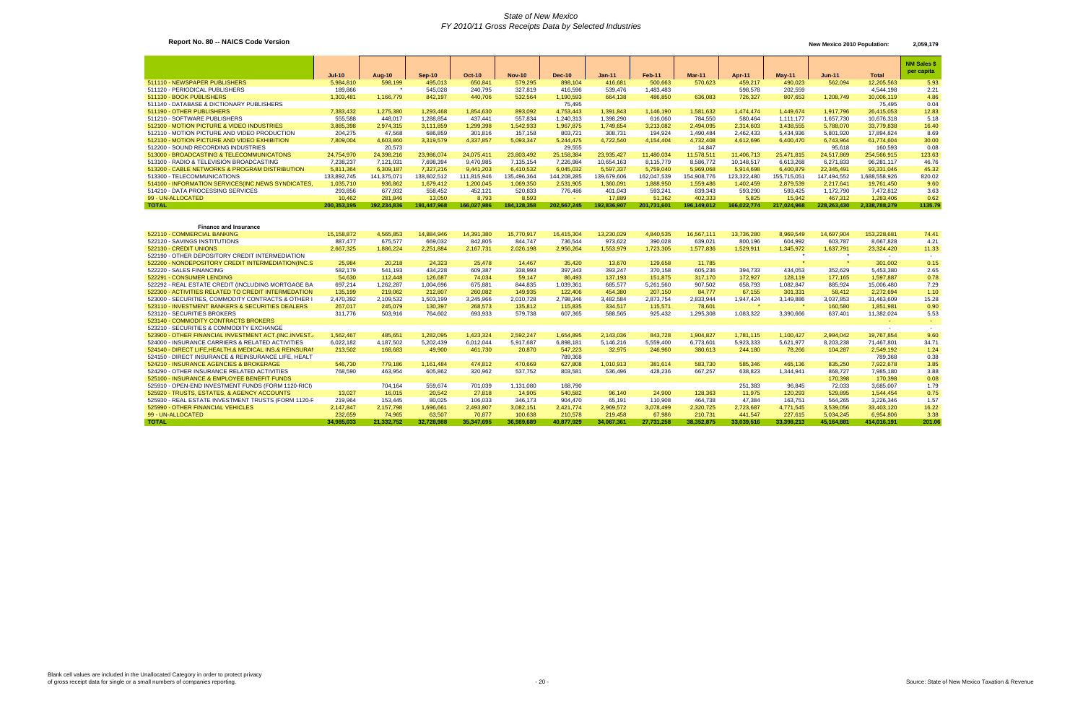# **Report No. 80 -- NAICS Code Version** 2,059,179 New Mexico 2010 Population: 2,059,179

|                                                      |             |             |            |             |               |               |               |               |               |             |             |             |               | <b>NM Sales \$</b><br>per capita |
|------------------------------------------------------|-------------|-------------|------------|-------------|---------------|---------------|---------------|---------------|---------------|-------------|-------------|-------------|---------------|----------------------------------|
|                                                      | $Jul-10$    | Aug-10      | $Sep-10$   | $Oct-10$    | <b>Nov-10</b> | <b>Dec-10</b> | <b>Jan-11</b> | <b>Feb-11</b> | <b>Mar-11</b> | Apr-11      | $May-11$    | Jun-11      | Total         |                                  |
| 511110 - NEWSPAPER PUBLISHERS                        | 5,984,810   | 598,199     | 495,013    | 650,841     | 579,295       | 898,104       | 416,681       | 500,663       | 570,623       | 459,217     | 490,023     | 562,094     | 12,205,563    | 5.93                             |
| 511120 - PERIODICAL PUBLISHERS                       | 189,866     |             | 545,028    | 240,795     | 327,819       | 416,596       | 539,476       | 1,483,483     |               | 598,578     | 202.559     |             | 4,544,198     | 2.21                             |
| 511130 - BOOK PUBLISHERS                             | 1,303,481   | 1,166,779   | 842,197    | 440,706     | 532,564       | 1,190,593     | 664,138       | 486,850       | 636,083       | 726,327     | 807,653     | 1,208,749   | 10,006,119    | 4.86                             |
| 511140 - DATABASE & DICTIONARY PUBLISHERS            |             |             |            |             |               | 75,495        |               |               |               |             |             |             | 75.495        | 0.04                             |
| 511190 - OTHER PUBLISHERS                            | 7,383,432   | 1,275,380   | 1,293,468  | 1,854,630   | 893,092       | 4,753,443     | 1,391,843     | 1,146,190     | 1,581,632     | 1.474.474   | 1.449.674   | 1,917,796   | 26,415,053    | 12.83                            |
| 511210 - SOFTWARE PUBLISHERS                         | 555,588     | 448.017     | 1,288,854  | 437.441     | 557,834       | 1,240,313     | 1,398,290     | 616,060       | 784,550       | 580,464     | 1.111.177   | 1,657,730   | 10,676,318    | 5.18                             |
| 512100 - MOTION PICTURE & VIDEO INDUSTRIES           | 3,885,398   | 2,974,315   | 3,111,859  | 1,299,398   | 1,542,933     | 1,967,875     | 1,749,654     | 3,213,082     | 2.494.095     | 2.314.603   | 3,438,555   | 5,788,070   | 33,779,838    | 16.40                            |
| 512110 - MOTION PICTURE AND VIDEO PRODUCTION         | 204,275     | 47,568      | 686,859    | 301,816     | 157,158       | 803,721       | 308,731       | 194,924       | .490,484      | 2,462,433   | 5,434,936   | 5,801,920   | 17,894,824    | 8.69                             |
| 512130 - MOTION PICTURE AND VIDEO EXHIBITION         | 7,809,004   | 4,603,860   | 3,319,579  | 4,337,857   | 5,093,347     | 5,244,475     | 4.722.540     | 4.154.404     | 4.732.408     | 4.612.696   | 6.400.470   | 6,743,964   | 61.774.604    | 30.00                            |
| 512200 - SOUND RECORDING INDUSTRIES                  |             | 20,573      |            |             |               | 29,555        |               |               | 14,847        |             |             | 95,618      | 160,593       | 0.08                             |
| 513000 - BROADCASTING & TELECOMMUNICATONS            | 24.754.970  | 24,398,216  | 23,986,074 | 24.075.411  | 23.803.492    | 25,158,384    | 23.935.427    | 11.480.034    | 11.578.511    | 11.406.713  | 25.471.815  | 24,517,869  | 254.566.915   | 123.63                           |
| 513100 - RADIO & TELEVISION BROADCASTING             | 7,238,237   | 7,121,031   | 7,698,394  | 9,470,985   | 7,135,154     | 7,226,984     | 10,654,163    | 8,115,779     | 8,586,772     | 10,148,517  | 6.613.268   | 6,271,833   | 96,281,117    | 46.76                            |
| 513200 - CABLE NETWORKS & PROGRAM DISTRIBUTION       | 5,811,364   | 6,309,187   | 7,327,216  | 9,441,203   | 6,410,532     | 6,045,032     | 5,597,337     | 5,759,040     | 5,969,068     | 5,914,698   | 6,400,879   | 22,345,491  | 93,331,046    | 45.32                            |
| 513300 - TELECOMMUNICATIONS                          | 133,892,745 | 141.375.071 | 38.602.512 | 111.815.946 | 135.496.364   | 144.208.285   | 139,679,606   | 162.047.539   | 154.908.776   | 123.322.480 | 155.715.051 | 147.494.552 | .688.558.926  | 820.02                           |
| 514100 - INFORMATION SERVICES (INC. NEWS SYNDICATES, | 1,035,710   | 936,862     | 1,679,412  | 1,200,045   | 1,069,350     | 2,531,905     | 1,360,091     | 1,888,950     | 1,559,486     | 1,402,459   | 2,879,539   | 2,217,641   | 19,761,450    | 9.60                             |
| 514210 - DATA PROCESSING SERVICES                    | 293,856     | 677.932     | 558.452    | 452,121     | 520,833       | 776.486       | 401.043       | 593.241       | 839.343       | 593,290     | 593.425     | 1,172,790   | 7.472.812     | 3.63                             |
| 99 - UN-ALLOCATED                                    | 10.462      | 281.846     | 13.050     | 8.793       | 8.593         |               | 17.889        | 51.362        | 402.333       | 5.825       | 15.942      | 467,312     | 1.283.406     | 0.62                             |
| <b>TOTAL</b>                                         | 200,353,195 | 192,234,836 | 91.447.968 | 166,027,986 | 184,128,358   | 202.567.245   | 192,836,907   | 201,731,601   | 196.149.012   | 166.022.774 | 217.024.968 | 228.263.430 | 2,338,788,279 | 1135.79                          |

| <b>Finance and Insurance</b>                           |            |            |            |            |            |            |            |            |            |            |            |            |             |        |
|--------------------------------------------------------|------------|------------|------------|------------|------------|------------|------------|------------|------------|------------|------------|------------|-------------|--------|
| 522110 - COMMERCIAL BANKING                            | 15,158,872 | 4,565,853  | 14,884,946 | 14,391,380 | 15.770.917 | 16,415,304 | 13,230,029 | 4,840,535  | 16,567,111 | 13,736,280 | 8,969,549  | 14,697,904 | 153.228.681 | 74.41  |
| 522120 - SAVINGS INSTITUTIONS                          | 887.477    | 675.577    | 669.032    | 842,805    | 844.747    | 736.544    | 973.622    | 390.028    | 639.021    | 800.196    | 604.992    | 603.787    | 8,667,828   | 4.21   |
| 522130 - CREDIT UNIONS                                 | 2,667,325  | 1,886,224  | 2,251,884  | 2,167,731  | 2,026,198  | 2,956,264  | 1,553,979  | 1,723,305  | 1,577,836  | 1,529,911  | 1,345,972  | 1,637,791  | 23,324,420  | 11.33  |
| 522190 - OTHER DEPOSITORY CREDIT INTERMEDIATION        |            |            |            |            |            |            |            |            |            |            |            |            |             |        |
| 522200 - NONDEPOSITORY CREDIT INTERMEDIATION(INC.S     | 25,984     | 20,218     | 24,323     | 25,478     | 14,467     | 35,420     | 13,670     | 129,658    | 11,785     |            |            |            | 301,002     | 0.15   |
| 522220 - SALES FINANCING                               | 582,179    | 541,193    | 434.228    | 609,387    | 338,993    | 397.343    | 393.247    | 370,158    | 605,236    | 394.733    | 434.053    | 352.629    | 5,453,380   | 2.65   |
| 522291 - CONSUMER LENDING                              | 54,630     | 112,448    | 126.687    | 74.034     | 59.147     | 86.493     | 137.193    | 151,875    | 317.170    | 172,927    | 128,119    | 177,165    | 1,597,887   | 0.78   |
| 522292 - REAL ESTATE CREDIT (INCLUDING MORTGAGE BA     | 697,214    | 1,262,287  | 1.004.696  | 675,881    | 844,835    | 1,039,361  | 685,577    | 5,261,560  | 907.502    | 658,793    | 1.082.847  | 885,924    | 15,006,480  | 7.29   |
| 522300 - ACTIVITIES RELATED TO CREDIT INTERMEDATION    | 135,199    | 219,062    | 212,807    | 260,082    | 149.935    | 122.406    | 454,380    | 207,150    | 84,777     | 67.155     | 301,331    | 58,412     | 2.272.694   | 1.10   |
| 523000 - SECURITIES, COMMODITY CONTRACTS & OTHER       | 2,470,392  | 2,109,532  | 1,503,199  | 3,245,966  | 2,010,728  | 2,798,346  | 3,482,584  | 2,873,754  | 2,833,944  | 1,947,424  | 3,149,886  | 3,037,853  | 31,463,609  | 15.28  |
| 523110 - INVESTMENT BANKERS & SECURITIES DEALERS       | 267,017    | 245,079    | 130,397    | 268,573    | 135,812    | 115,835    | 334.517    | 115,571    | 78.601     | $\star$    | $\star$    | 160,580    | 1,851,981   | 0.90   |
| 523120 - SECURITIES BROKERS                            | 311.776    | 503,916    | 764,602    | 693,933    | 579,738    | 607,365    | 588,565    | 925,432    | ,295,308   | 1,083,322  | 3,390,666  | 637,401    | 11,382,024  | 5.53   |
| 523140 - COMMODITY CONTRACTS BROKERS                   |            |            |            |            |            |            |            |            |            |            |            |            |             |        |
| 523210 - SECURITIES & COMMODITY EXCHANGE               |            |            |            |            |            |            |            |            |            |            |            |            |             |        |
| 523900 - OTHER FINANCIAL INVESTMENT ACT. (INC.INVEST., | 1,562,467  | 485,651    | 1,282,095  | 1,423,324  | 2,592,247  | 1,654,895  | 2,143,036  | 843,728    | 1,904,827  | 1,781,115  | 1,100,427  | 2,994,042  | 19.767.854  | 9.60   |
| 524000 - INSURANCE CARRIERS & RELATED ACTIVITIES       | 6.022.182  | 4,187,502  | 5.202.439  | 6.012.044  | 5.917.687  | 6.898.181  | 5.146.216  | 5.559.400  | 6.773.601  | 5.923.333  | 5,621,977  | 8.203.238  | 71.467.801  | 34.71  |
| 524140 - DIRECT LIFE HEALTH & MEDICAL INS & REINSURAI  | 213.502    | 168,683    | 49,900     | 461,730    | 20,870     | 547,223    | 32,975     | 246,960    | 380.613    | 244.180    | 78.266     | 104.287    | 2,549,192   | 1.24   |
| 524150 - DIRECT INSURANCE & REINSURANCE LIFE, HEALT    |            |            |            |            |            | 789,368    |            |            |            |            |            |            | 789,368     | 0.38   |
| 524210 - INSURANCE AGENCIES & BROKERAGE                | 546,730    | 779.186    | 1.161.484  | 474.812    | 470.669    | 627,808    | 1,010,913  | 381,614    | 583,730    | 585,346    | 465.136    | 835,250    | 7,922,678   | 3.85   |
| 524290 - OTHER INSURANCE RELATED ACTIVITIES            | 768,590    | 463,954    | 605,862    | 320,962    | 537,752    | 803,581    | 536,496    | 428,236    | 667,257    | 638,823    | 1.344.941  | 868,727    | 7,985,180   | 3.88   |
| 525100 - INSURANCE & EMPLOYEE BENEFIT FUNDS            |            |            |            |            |            |            |            |            |            |            |            | 170,398    | 170,398     | 0.08   |
| 525910 - OPEN-END INVESTMENT FUNDS (FORM 1120-RICI)    |            | 704.164    | 559.674    | 701,039    | 1.131.080  | 168,790    |            |            |            | 251,383    | 96.845     | 72,033     | 3.685.007   | 1.79   |
| 525920 - TRUSTS, ESTATES, & AGENCY ACCOUNTS            | 13,027     | 16,015     | 20,542     | 27,818     | 14,905     | 540,582    | 96,140     | 24,900     | 128,363    | 11,975     | 120,293    | 529,895    | 1,544,454   | 0.75   |
| 525930 - REAL ESTATE INVESTMENT TRUSTS (FORM 1120-F    | 219,964    | 153,445    | 80,025     | 106,033    | 346,173    | 904,470    | 65,191     | 110,908    | 464,738    | 47,384     | 163,751    | 564,265    | 3,226,346   | 1.57   |
| 525990 - OTHER FINANCIAL VEHICLES                      | 2,147,847  | 2,157,798  | 1,696,661  | 2,493,807  | 3,082,151  | 2.421.774  | 2,969,572  | 3,078,499  | 2,320,725  | 2,723,687  | 4.771.545  | 3,539,056  | 33.403.120  | 16.22  |
| 99 - UN-ALLOCATED                                      | 232,659    | 74,965     | 63,507     | 70.877     | 100,638    | 210,578    | 219,458    | 67,986     | 210,731    | 441.547    | 227.615    | 5.034.245  | 6,954,806   | 3.38   |
| <b>TOTAL</b>                                           | 34.985.033 | 21.332.752 | 32.728.988 | 35.347.695 | 36.989.689 | 40.877.929 | 34.067.361 | 27.731.258 | 38.352.875 | 33.039.516 | 33.398.213 | 45.164.881 | 414.016.191 | 201.06 |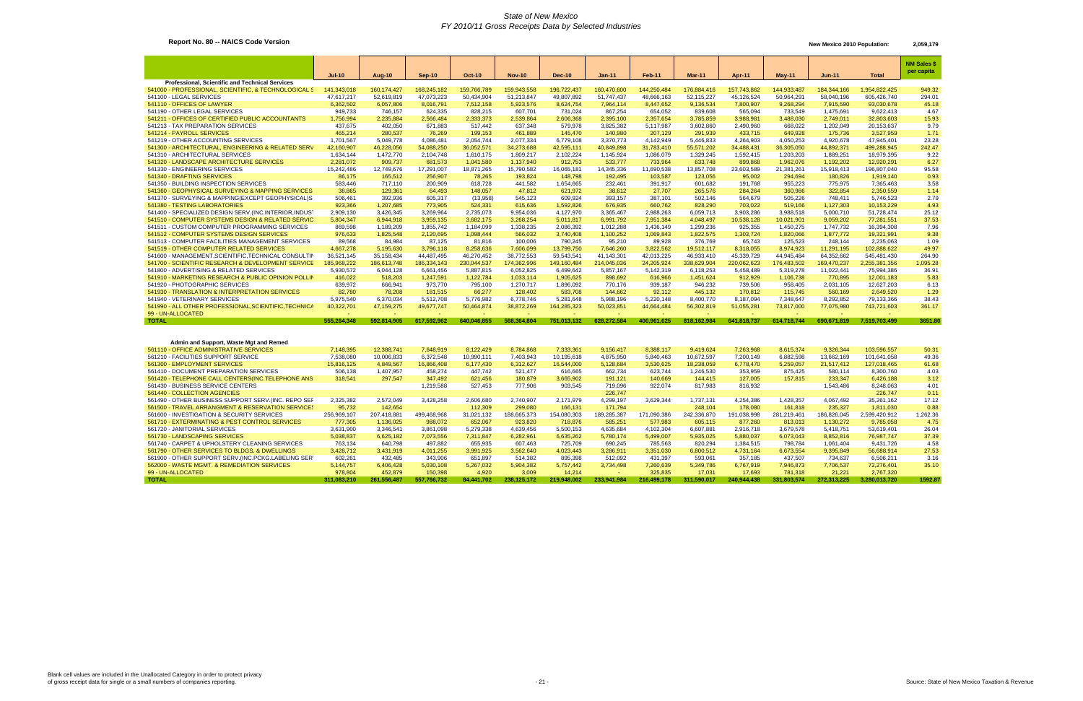### **Report No. 80 -- NAICS Code Version** 2,059,179 New Mexico 2010 Population: 2,059,179

| <b>NM Sales \$</b><br>per capita<br><b>Jul-10</b><br>Aug-10<br><b>Oct-10</b><br><b>Nov-10</b><br><b>Dec-10</b><br>Feb-11<br>Mar-11<br><b>Total</b><br>$Sep-10$<br><b>Jan-11</b><br>Apr-11<br>$May-11$<br>Jun-11<br>Professional, Scientific and Technical Services<br>541000 - PROFESSIONAL, SCIENTIFIC, & TECHNOLOGICAL S<br>160, 174, 427<br>168,245,182<br>159,766,789<br>159,943,558<br>196,722,437<br>160,470,600<br>144,250,484<br>176,884,416<br>157,743,862<br>144,933,487<br>184, 344, 166<br>1,954,822,425<br>949.32<br>141,343,018<br>541100 - LEGAL SERVICES<br>47,073,223<br>294.01<br>47,617,217<br>52,619,819<br>50,434,904<br>51,213,847<br>49,807,892<br>51,747,437<br>48,666,163<br>52,115,227<br>45,126,524<br>50,964,291<br>58,040,196<br>605,426,740<br>541110 - OFFICES OF LAWYER<br>6,362,502<br>8,447,652<br>9,136,534<br>6,057,806<br>8,016,791<br>7,512,158<br>5,923,576<br>8,624,754<br>7,964,114<br>7,800,907<br>9,268,294<br>7,915,590<br>93,030,678<br>45.18<br>949,733<br>867,254<br>565,094<br>9,622,413<br>541190 - OTHER LEGAL SERVICES<br>746,157<br>624,335<br>828,215<br>607,701<br>731,024<br>654,052<br>839,608<br>733,549<br>1,475,691<br>4.67<br>541211 - OFFICES OF CERTIFIED PUBLIC ACCOUNTANTS<br>1,756,994<br>2,235,884<br>2,566,484<br>2,333,373<br>2,539,864<br>2,606,368<br>2,395,100<br>2,357,654<br>3,785,859<br>3,988,981<br>3,488,030<br>2,749,011<br>32,803,603<br>15.93<br>541213 - TAX PREPARATION SERVICES<br>437,675<br>402,050<br>517,442<br>637,348<br>3,825,382<br>668,022<br>1,202,049<br>9.79<br>671,883<br>579,978<br>5,117,987<br>3,602,860<br>2,490,960<br>20,153,637<br>541214 - PAYROLL SERVICES<br>465,214<br>280,537<br>76,269<br>199,153<br>461,889<br>145,470<br>140,980<br>207,129<br>291,939<br>649,928<br>175,736<br>3,527,959<br>1.71<br>433,715<br>541219 - OTHER ACCOUNTING SERVICES<br>4,142,949<br>23.28<br>1,701,567<br>5,049,778<br>4,086,481<br>2,054,744<br>2,077,334<br>6,779,108<br>3,370,773<br>5,446,833<br>4,264,903<br>4,050,253<br>4,920,678<br>47,945,401<br>44,892,37<br>242.47<br>541300 - ARCHITECTURAL, ENGINEERING & RELATED SERV<br>42,160,907<br>46,228,056<br>54,088,250<br>36,052,571<br>34,273,688<br>42,595,111<br>40,849,898<br>31,783,410<br>55,571,202<br>34,488,431<br>36,305,050<br>499,288,945<br>541310 - ARCHITECTURAL SERVICES<br>1,634,144<br>1,472,770<br>2,104,748<br>1,610,175<br>2,102,224<br>1,145,924<br>1,086,079<br>1,329,245<br>1,592,415<br>1,203,203<br>1,889,251<br>18,979,395<br>9.22<br>1,809,217<br>541320 - LANDSCAPE ARCHITECTURE SERVICES<br>2,281,072<br>909,737<br>681,573<br>1,041,580<br>1,137,940<br>912,753<br>533,777<br>733,964<br>633,748<br>899,868<br>1,962,076<br>1,192,202<br>12,920,291<br>6.27<br>15,242,486<br>541330 - ENGINEERING SERVICES<br>12,749,676<br>17,291,007<br>18,871,265<br>15,790,582<br>16,065,181<br>14,345,336<br>11,690,538<br>13,857,708<br>23,603,589<br>21,381,261<br>15,918,413<br>196,807,040<br>95.58<br>86,175<br>165,512<br>256,907<br>78,265<br>148,798<br>192,495<br>103,587<br>123,056<br>294,694<br>180,826<br>0.93<br>541340 - DRAFTING SERVICES<br>193,824<br>95,002<br>1,919,140<br>541350 - BUILDING INSPECTION SERVICES<br>583,446<br>717,110<br>200,909<br>618,728<br>441,582<br>1,654,665<br>232,461<br>391,917<br>601,682<br>191,768<br>955,223<br>775,975<br>7,365,463<br>3.58<br>541360 - GEOPHYSICAL SURVEYING & MAPPING SERVICES<br>38,865<br>129,361<br>64,493<br>148,057<br>47,812<br>621,972<br>38,612<br>27,707<br>265,576<br>284,264<br>360,986<br>322,854<br>2,350,559<br>1.14<br>541370 - SURVEYING & MAPPING(EXCEPT GEOPHYSICAL)S<br>506,461<br>392,936<br>605,317<br>545,123<br>609,924<br>393,157<br>387,101<br>502,146<br>564,679<br>505,226<br>748,411<br>5,746,523<br>2.79<br>(13,958)<br>541380 - TESTING LABORATORIES<br>923,366<br>1,207,685<br>773,905<br>524,331<br>615,636<br>1,592,826<br>676,935<br>660,762<br>828,290<br>703,022<br>519,166<br>1,127,303<br>10,153,229<br>4.93<br>541400 - SPECIALIZED DESIGN SERV.(INC.INTERIOR, INDUST<br>2,909,130<br>3,426,345<br>3,269,964<br>2,735,073<br>9,954,036<br>4,127,970<br>3,365,467<br>2,988,263<br>6,059,713<br>3,903,286<br>3,988,518<br>5,000,710<br>51,728,474<br>25.12<br>541510 - COMPUTER SYSTEMS DESIGN & RELATED SERVIC<br>5,804,347<br>6,944,918<br>3,959,135<br>3,682,175<br>3,268,254<br>5,011,817<br>6,991,792<br>7,951,384<br>4,048,497<br>10,538,128<br>10,021,901<br>9,059,202<br>77,281,551<br>37.53<br>541511 - CUSTOM COMPUTER PROGRAMMING SERVICES<br>869,598<br>1,855,742<br>2,086,392<br>1,012,288<br>1,299,236<br>925,355<br>1,747,732<br>16,394,308<br>7.96<br>1,189,209<br>1,184,099<br>1,338,235<br>1,436,149<br>1,450,275<br>541512 - COMPUTER SYSTEMS DESIGN SERVICES<br>976,633<br>1,825,548<br>2,120,695<br>1,098,444<br>3,740,408<br>1,100,252<br>1,069,843<br>1,822,575<br>1,303,724<br>1,820,066<br>1,877,772<br>19,321,991<br>9.38<br>566,032<br>541513 - COMPUTER FACILITIES MANAGEMENT SERVICES<br>89,568<br>84,984<br>87,125<br>81,816<br>100,006<br>790,245<br>95,210<br>89,928<br>376,769<br>65,743<br>125,523<br>248,144<br>2,235,063<br>1.09<br>541519 - OTHER COMPUTER RELATED SERVICES<br>8,258,636<br>3,822,562<br>49.97<br>4,667,278<br>5,195,630<br>3,796,118<br>7,606,099<br>13,799,750<br>7,646,260<br>19,512,117<br>8,318,055<br>8,974,923<br>11,291,195<br>102,888,622<br>541600 - MANAGEMENT, SCIENTIFIC, TECHNICAL CONSULTIN<br>36,521,145<br>35, 158, 434<br>44,487,495<br>46,270,452<br>38,772,553<br>59,543,541<br>41,143,301<br>42,013,225<br>46,933,410<br>45,339,729<br>44,945,484<br>64,352,662<br>545,481,430<br>264.90<br>541700 - SCIENTIFIC RESEARCH & DEVELOPMENT SERVICE<br>185,968,222<br>186,613,748<br>186,334,143<br>230,044,537<br>174,362,996<br>149,160,484<br>214,045,036<br>24,205,924<br>338,629,904<br>220,062,623<br>176,483,502<br>169,470,237<br>2,255,381,356<br>1,095.28<br>5,930,572<br>5,887,815<br>5,142,319<br>11,022,441<br>36.91<br>541800 - ADVERTISING & RELATED SERVICES<br>6,044,128<br>6,661,456<br>6,052,825<br>6,499,642<br>5,857,167<br>6,118,253<br>5,458,489<br>5,319,278<br>75,994,386<br>541910 - MARKETING RESEARCH & PUBLIC OPINION POLLIN<br>416,022<br>518,203<br>1,247,591<br>1,122,784<br>1,033,114<br>1,905,625<br>898,692<br>616,966<br>1,451,624<br>912,929<br>1,106,738<br>770,895<br>12,001,183<br>5.83<br>541920 - PHOTOGRAPHIC SERVICES<br>639,972<br>666,941<br>973,770<br>795,100<br>1,270,717<br>1,896,092<br>770,176<br>939,187<br>946,232<br>739,506<br>958,405<br>2,031,105<br>12,627,203<br>6.13<br>541930 - TRANSLATION & INTERPRETATION SERVICES<br>82,780<br>78,208<br>181,515<br>66,277<br>128,402<br>583,708<br>144,662<br>92,112<br>445,132<br>170,812<br>115,745<br>560,169<br>2,649,520<br>1.29<br>541940 - VETERINARY SERVICES<br>5,975,540<br>5,512,708<br>5,776,982<br>6,778,746<br>5,220,148<br>8,400,770<br>8,187,094<br>7,348,647<br>8,292,852<br>38.43<br>6,370,034<br>5,281,648<br>5,988,196<br>79,133,366<br>541990 - ALL OTHER PROFESSIONAL, SCIENTIFIC, TECHNICA<br>47,159,275<br>50,464,874<br>164,285,323<br>50,023,851<br>44,664,484<br>73,817,000<br>77,075,980<br>40,322,701<br>49,677,747<br>38,872,269<br>56,302,819<br>51,055,281<br>743,721,603<br>361.17<br>99 - UN-ALLOCATED<br><b>TOTAL</b><br>555,264,348<br>592.814.905<br>617,592,962<br>640,046,855<br>568.364.804<br>751.013.132<br>628,272,584<br>400,961,625<br>818,162,984<br>641,818,737<br>614.718.744<br>690,671,819<br>7,519,703,499<br>3651.80<br>Admin and Support, Waste Mgt and Remed<br>561110 - OFFICE ADMINISTRATIVE SERVICES<br>7,148,395<br>12,388,741<br>7,648,919<br>8,122,429<br>8,784,868<br>7,333,361<br>9,156,417<br>8,388,117<br>9,419,624<br>7,263,968<br>8,615,374<br>9,326,344<br>103,596,557<br>50.31<br>561210 - FACILITIES SUPPORT SERVICE<br>6,882,598<br>7,538,080<br>10,006,833<br>6,372,548<br>10,990,111<br>7,403,943<br>10,195,618<br>4,875,950<br>5,840,463<br>10,672,597<br>7,200,149<br>13,662,169<br>101,641,058<br>49.36<br>561300 - EMPLOYMENT SERVICES<br>4,849,567<br>6,177,430<br>16,544,000<br>5,128,684<br>3,530,625<br>18,238,059<br>21,517,412<br>61.68<br>15,816,125<br>16,866,408<br>6,312,627<br>6,778,470<br>5,259,057<br>127,018,465<br>561410 - DOCUMENT PREPARATION SERVICES<br>506,138<br>458,274<br>447,742<br>623,744<br>4.03<br>1,407,957<br>521,477<br>616,665<br>662,734<br>1,246,530<br>353,959<br>875,425<br>580,114<br>8,300,760<br>561420 - TELEPHONE CALL CENTERS(INC.TELEPHONE ANS<br>318,541<br>347,492<br>233,347<br>297,547<br>621,456<br>180,879<br>3,665,902<br>191,121<br>140,669<br>144,415<br>127,005<br>157,815<br>6,426,188<br>3.12<br>561430 - BUSINESS SERVICE CENTERS<br>1,543,486<br>1,219,588<br>527,453<br>777,906<br>903,545<br>719,096<br>922,074<br>817,983<br>816,932<br>8,248,063<br>4.01<br>561440 - COLLECTION AGENCIES<br>226,747<br>226,747<br>0.11<br>561490 - OTHER BUSINESS SUPPORT SERV. (INC. REPO SEF<br>2,325,382<br>2,572,049<br>3,428,258<br>2,606,680<br>2,740,907<br>2,171,979<br>4,299,197<br>3,629,344<br>1,737,131<br>4,254,386<br>1,428,357<br>4,067,492<br>35,261,162<br>17.12<br>561500 - TRAVEL ARRANGMENT & RESERVATION SERVICES<br>95,732<br>142,654<br>299,080<br>166,131<br>171,794<br>248,104<br>235,327<br>0.88<br>112,309<br>178,080<br>161,818<br>1,811,030<br>561600 - INVESTIGATION & SECURITY SERVICES<br>256,969,107<br>207,418,881<br>31,021,132<br>188,665,373<br>154,080,303<br>189,285,387<br>242,336,870<br>191,038,998<br>281,219,461<br>186,826,045<br>2,599,420,912<br>1,262.36<br>499,468,968<br>171,090,386<br>561710 - EXTERMINATING & PEST CONTROL SERVICES<br>777,305<br>1,136,025<br>988,072<br>652,067<br>923,820<br>718,876<br>585,251<br>577,983<br>605,115<br>877,260<br>813,013<br>1,130,272<br>9,785,058<br>4.75<br>561720 - JANITORIAL SERVICES<br>3,631,900<br>3,346,541<br>3,861,098<br>5,279,338<br>4,639,456<br>5,500,153<br>4,635,684<br>4,102,304<br>6,607,881<br>2,916,718<br>3,679,578<br>5,418,751<br>53,619,401<br>26.04<br>561730 - LANDSCAPING SERVICES<br>5,038,837<br>6,625,182<br>7,073,556<br>6,635,262<br>5,780,174<br>5,499,007<br>5,935,025<br>6,073,043<br>8,852,816<br>76,987,747<br>37.39<br>7,311,847<br>6,282,961<br>5,880,037<br>561740 - CARPET & UPHOLSTERY CLEANING SERVICES<br>763.134<br>640,798<br>497.882<br>655,935<br>725,709<br>690,245<br>785,563<br>820,294<br>798.784<br>1.061.404<br>4.58<br>607.463<br>1,384,515<br>9,431,726<br>27.53<br>561790 - OTHER SERVICES TO BLDGS. & DWELLINGS<br>3,428,712<br>3,431,919<br>4,011,255<br>3,991,925<br>3,562,640<br>4,023,443<br>3,286,911<br>3,351,030<br>6,800,512<br>4,731,164<br>6,673,554<br>9,395,849<br>56,688,914<br>561900 - OTHER SUPPORT SERV (INC.PCKG.LABELING SER<br>602,261<br>432,485<br>343,906<br>651,897<br>514,382<br>895,398<br>512,092<br>431,397<br>593,061<br>357,185<br>437,507<br>734,637<br>6,506,211<br>3.16 |  |  |  |  |  |  |  |  |
|-------------------------------------------------------------------------------------------------------------------------------------------------------------------------------------------------------------------------------------------------------------------------------------------------------------------------------------------------------------------------------------------------------------------------------------------------------------------------------------------------------------------------------------------------------------------------------------------------------------------------------------------------------------------------------------------------------------------------------------------------------------------------------------------------------------------------------------------------------------------------------------------------------------------------------------------------------------------------------------------------------------------------------------------------------------------------------------------------------------------------------------------------------------------------------------------------------------------------------------------------------------------------------------------------------------------------------------------------------------------------------------------------------------------------------------------------------------------------------------------------------------------------------------------------------------------------------------------------------------------------------------------------------------------------------------------------------------------------------------------------------------------------------------------------------------------------------------------------------------------------------------------------------------------------------------------------------------------------------------------------------------------------------------------------------------------------------------------------------------------------------------------------------------------------------------------------------------------------------------------------------------------------------------------------------------------------------------------------------------------------------------------------------------------------------------------------------------------------------------------------------------------------------------------------------------------------------------------------------------------------------------------------------------------------------------------------------------------------------------------------------------------------------------------------------------------------------------------------------------------------------------------------------------------------------------------------------------------------------------------------------------------------------------------------------------------------------------------------------------------------------------------------------------------------------------------------------------------------------------------------------------------------------------------------------------------------------------------------------------------------------------------------------------------------------------------------------------------------------------------------------------------------------------------------------------------------------------------------------------------------------------------------------------------------------------------------------------------------------------------------------------------------------------------------------------------------------------------------------------------------------------------------------------------------------------------------------------------------------------------------------------------------------------------------------------------------------------------------------------------------------------------------------------------------------------------------------------------------------------------------------------------------------------------------------------------------------------------------------------------------------------------------------------------------------------------------------------------------------------------------------------------------------------------------------------------------------------------------------------------------------------------------------------------------------------------------------------------------------------------------------------------------------------------------------------------------------------------------------------------------------------------------------------------------------------------------------------------------------------------------------------------------------------------------------------------------------------------------------------------------------------------------------------------------------------------------------------------------------------------------------------------------------------------------------------------------------------------------------------------------------------------------------------------------------------------------------------------------------------------------------------------------------------------------------------------------------------------------------------------------------------------------------------------------------------------------------------------------------------------------------------------------------------------------------------------------------------------------------------------------------------------------------------------------------------------------------------------------------------------------------------------------------------------------------------------------------------------------------------------------------------------------------------------------------------------------------------------------------------------------------------------------------------------------------------------------------------------------------------------------------------------------------------------------------------------------------------------------------------------------------------------------------------------------------------------------------------------------------------------------------------------------------------------------------------------------------------------------------------------------------------------------------------------------------------------------------------------------------------------------------------------------------------------------------------------------------------------------------------------------------------------------------------------------------------------------------------------------------------------------------------------------------------------------------------------------------------------------------------------------------------------------------------------------------------------------------------------------------------------------------------------------------------------------------------------------------------------------------------------------------------------------------------------------------------------------------------------------------------------------------------------------------------------------------------------------------------------------------------------------------------------------------------------------------------------------------------------------------------------------------------------------------------------------------------------------------------------------------------------------------------------------------------------------------------------------------------------------------------------------------------------------------------------------------------------------------------------------------------------------------------------------------------------------------------------------------------------------------------------------------------------------------------------------------------------------------------------------------------------------------------------------------------------------------------------------------------------------------------------------------------------------------------------------------------------------------------------------------------------------------------------------------------------------------------------------------------------------------------------------------------------------------------------------------------------------------------------------------------------------------------------------------------------------------------------------------------------------------------------------------------------------------------------------------------------------------------------------------------------------------------------------------------------------------------------------------------------------------------------------------------------------------------------------------------------------------------------------------------------------------------------------------------------------------------------------------------------------------------------------------------------------------------------------------------------------------------------------------------------------------------------------------------------------------------------------------------------------------------------------------------------------------------------------------------------------------------------------------------------------------------------------------------------------------------------------------------------------------------------------------------------------------------------------------------------------------------------------------------------------------------------------------------------------------------------------------------------------------------------------------------------------------------------------------------------------------------------------------------------------------------------------------------------------------------------------------------------------------------------------------------------------------------------------------------------------------------------------------------------------------------------------------------------------------------------------------------------------------------------------------------------------------------------------------------------------------|--|--|--|--|--|--|--|--|
|                                                                                                                                                                                                                                                                                                                                                                                                                                                                                                                                                                                                                                                                                                                                                                                                                                                                                                                                                                                                                                                                                                                                                                                                                                                                                                                                                                                                                                                                                                                                                                                                                                                                                                                                                                                                                                                                                                                                                                                                                                                                                                                                                                                                                                                                                                                                                                                                                                                                                                                                                                                                                                                                                                                                                                                                                                                                                                                                                                                                                                                                                                                                                                                                                                                                                                                                                                                                                                                                                                                                                                                                                                                                                                                                                                                                                                                                                                                                                                                                                                                                                                                                                                                                                                                                                                                                                                                                                                                                                                                                                                                                                                                                                                                                                                                                                                                                                                                                                                                                                                                                                                                                                                                                                                                                                                                                                                                                                                                                                                                                                                                                                                                                                                                                                                                                                                                                                                                                                                                                                                                                                                                                                                                                                                                                                                                                                                                                                                                                                                                                                                                                                                                                                                                                                                                                                                                                                                                                                                                                                                                                                                                                                                                                                                                                                                                                                                                                                                                                                                                                                                                                                                                                                                                                                                                                                                                                                                                                                                                                                                                                                                                                                                                                                                                                                                                                                                                                                                                                                                                                                                                                                                                                                                                                                                                                                                                                                                                                                                                                                                                                                                                                                                                                                                                                                                                                                                                                                                                                                                                                                                                                                                                                                                                                                                                                                                                                                                                                                                                                                                                                                                                                                                                                                                                                                                                                                                                                                                                                                                                                                                                                                                                                                                                                                                                                                                                                                                                                                       |  |  |  |  |  |  |  |  |
|                                                                                                                                                                                                                                                                                                                                                                                                                                                                                                                                                                                                                                                                                                                                                                                                                                                                                                                                                                                                                                                                                                                                                                                                                                                                                                                                                                                                                                                                                                                                                                                                                                                                                                                                                                                                                                                                                                                                                                                                                                                                                                                                                                                                                                                                                                                                                                                                                                                                                                                                                                                                                                                                                                                                                                                                                                                                                                                                                                                                                                                                                                                                                                                                                                                                                                                                                                                                                                                                                                                                                                                                                                                                                                                                                                                                                                                                                                                                                                                                                                                                                                                                                                                                                                                                                                                                                                                                                                                                                                                                                                                                                                                                                                                                                                                                                                                                                                                                                                                                                                                                                                                                                                                                                                                                                                                                                                                                                                                                                                                                                                                                                                                                                                                                                                                                                                                                                                                                                                                                                                                                                                                                                                                                                                                                                                                                                                                                                                                                                                                                                                                                                                                                                                                                                                                                                                                                                                                                                                                                                                                                                                                                                                                                                                                                                                                                                                                                                                                                                                                                                                                                                                                                                                                                                                                                                                                                                                                                                                                                                                                                                                                                                                                                                                                                                                                                                                                                                                                                                                                                                                                                                                                                                                                                                                                                                                                                                                                                                                                                                                                                                                                                                                                                                                                                                                                                                                                                                                                                                                                                                                                                                                                                                                                                                                                                                                                                                                                                                                                                                                                                                                                                                                                                                                                                                                                                                                                                                                                                                                                                                                                                                                                                                                                                                                                                                                                                                                                                                       |  |  |  |  |  |  |  |  |
|                                                                                                                                                                                                                                                                                                                                                                                                                                                                                                                                                                                                                                                                                                                                                                                                                                                                                                                                                                                                                                                                                                                                                                                                                                                                                                                                                                                                                                                                                                                                                                                                                                                                                                                                                                                                                                                                                                                                                                                                                                                                                                                                                                                                                                                                                                                                                                                                                                                                                                                                                                                                                                                                                                                                                                                                                                                                                                                                                                                                                                                                                                                                                                                                                                                                                                                                                                                                                                                                                                                                                                                                                                                                                                                                                                                                                                                                                                                                                                                                                                                                                                                                                                                                                                                                                                                                                                                                                                                                                                                                                                                                                                                                                                                                                                                                                                                                                                                                                                                                                                                                                                                                                                                                                                                                                                                                                                                                                                                                                                                                                                                                                                                                                                                                                                                                                                                                                                                                                                                                                                                                                                                                                                                                                                                                                                                                                                                                                                                                                                                                                                                                                                                                                                                                                                                                                                                                                                                                                                                                                                                                                                                                                                                                                                                                                                                                                                                                                                                                                                                                                                                                                                                                                                                                                                                                                                                                                                                                                                                                                                                                                                                                                                                                                                                                                                                                                                                                                                                                                                                                                                                                                                                                                                                                                                                                                                                                                                                                                                                                                                                                                                                                                                                                                                                                                                                                                                                                                                                                                                                                                                                                                                                                                                                                                                                                                                                                                                                                                                                                                                                                                                                                                                                                                                                                                                                                                                                                                                                                                                                                                                                                                                                                                                                                                                                                                                                                                                                                                       |  |  |  |  |  |  |  |  |
|                                                                                                                                                                                                                                                                                                                                                                                                                                                                                                                                                                                                                                                                                                                                                                                                                                                                                                                                                                                                                                                                                                                                                                                                                                                                                                                                                                                                                                                                                                                                                                                                                                                                                                                                                                                                                                                                                                                                                                                                                                                                                                                                                                                                                                                                                                                                                                                                                                                                                                                                                                                                                                                                                                                                                                                                                                                                                                                                                                                                                                                                                                                                                                                                                                                                                                                                                                                                                                                                                                                                                                                                                                                                                                                                                                                                                                                                                                                                                                                                                                                                                                                                                                                                                                                                                                                                                                                                                                                                                                                                                                                                                                                                                                                                                                                                                                                                                                                                                                                                                                                                                                                                                                                                                                                                                                                                                                                                                                                                                                                                                                                                                                                                                                                                                                                                                                                                                                                                                                                                                                                                                                                                                                                                                                                                                                                                                                                                                                                                                                                                                                                                                                                                                                                                                                                                                                                                                                                                                                                                                                                                                                                                                                                                                                                                                                                                                                                                                                                                                                                                                                                                                                                                                                                                                                                                                                                                                                                                                                                                                                                                                                                                                                                                                                                                                                                                                                                                                                                                                                                                                                                                                                                                                                                                                                                                                                                                                                                                                                                                                                                                                                                                                                                                                                                                                                                                                                                                                                                                                                                                                                                                                                                                                                                                                                                                                                                                                                                                                                                                                                                                                                                                                                                                                                                                                                                                                                                                                                                                                                                                                                                                                                                                                                                                                                                                                                                                                                                                                       |  |  |  |  |  |  |  |  |
|                                                                                                                                                                                                                                                                                                                                                                                                                                                                                                                                                                                                                                                                                                                                                                                                                                                                                                                                                                                                                                                                                                                                                                                                                                                                                                                                                                                                                                                                                                                                                                                                                                                                                                                                                                                                                                                                                                                                                                                                                                                                                                                                                                                                                                                                                                                                                                                                                                                                                                                                                                                                                                                                                                                                                                                                                                                                                                                                                                                                                                                                                                                                                                                                                                                                                                                                                                                                                                                                                                                                                                                                                                                                                                                                                                                                                                                                                                                                                                                                                                                                                                                                                                                                                                                                                                                                                                                                                                                                                                                                                                                                                                                                                                                                                                                                                                                                                                                                                                                                                                                                                                                                                                                                                                                                                                                                                                                                                                                                                                                                                                                                                                                                                                                                                                                                                                                                                                                                                                                                                                                                                                                                                                                                                                                                                                                                                                                                                                                                                                                                                                                                                                                                                                                                                                                                                                                                                                                                                                                                                                                                                                                                                                                                                                                                                                                                                                                                                                                                                                                                                                                                                                                                                                                                                                                                                                                                                                                                                                                                                                                                                                                                                                                                                                                                                                                                                                                                                                                                                                                                                                                                                                                                                                                                                                                                                                                                                                                                                                                                                                                                                                                                                                                                                                                                                                                                                                                                                                                                                                                                                                                                                                                                                                                                                                                                                                                                                                                                                                                                                                                                                                                                                                                                                                                                                                                                                                                                                                                                                                                                                                                                                                                                                                                                                                                                                                                                                                                                                       |  |  |  |  |  |  |  |  |
|                                                                                                                                                                                                                                                                                                                                                                                                                                                                                                                                                                                                                                                                                                                                                                                                                                                                                                                                                                                                                                                                                                                                                                                                                                                                                                                                                                                                                                                                                                                                                                                                                                                                                                                                                                                                                                                                                                                                                                                                                                                                                                                                                                                                                                                                                                                                                                                                                                                                                                                                                                                                                                                                                                                                                                                                                                                                                                                                                                                                                                                                                                                                                                                                                                                                                                                                                                                                                                                                                                                                                                                                                                                                                                                                                                                                                                                                                                                                                                                                                                                                                                                                                                                                                                                                                                                                                                                                                                                                                                                                                                                                                                                                                                                                                                                                                                                                                                                                                                                                                                                                                                                                                                                                                                                                                                                                                                                                                                                                                                                                                                                                                                                                                                                                                                                                                                                                                                                                                                                                                                                                                                                                                                                                                                                                                                                                                                                                                                                                                                                                                                                                                                                                                                                                                                                                                                                                                                                                                                                                                                                                                                                                                                                                                                                                                                                                                                                                                                                                                                                                                                                                                                                                                                                                                                                                                                                                                                                                                                                                                                                                                                                                                                                                                                                                                                                                                                                                                                                                                                                                                                                                                                                                                                                                                                                                                                                                                                                                                                                                                                                                                                                                                                                                                                                                                                                                                                                                                                                                                                                                                                                                                                                                                                                                                                                                                                                                                                                                                                                                                                                                                                                                                                                                                                                                                                                                                                                                                                                                                                                                                                                                                                                                                                                                                                                                                                                                                                                                                       |  |  |  |  |  |  |  |  |
|                                                                                                                                                                                                                                                                                                                                                                                                                                                                                                                                                                                                                                                                                                                                                                                                                                                                                                                                                                                                                                                                                                                                                                                                                                                                                                                                                                                                                                                                                                                                                                                                                                                                                                                                                                                                                                                                                                                                                                                                                                                                                                                                                                                                                                                                                                                                                                                                                                                                                                                                                                                                                                                                                                                                                                                                                                                                                                                                                                                                                                                                                                                                                                                                                                                                                                                                                                                                                                                                                                                                                                                                                                                                                                                                                                                                                                                                                                                                                                                                                                                                                                                                                                                                                                                                                                                                                                                                                                                                                                                                                                                                                                                                                                                                                                                                                                                                                                                                                                                                                                                                                                                                                                                                                                                                                                                                                                                                                                                                                                                                                                                                                                                                                                                                                                                                                                                                                                                                                                                                                                                                                                                                                                                                                                                                                                                                                                                                                                                                                                                                                                                                                                                                                                                                                                                                                                                                                                                                                                                                                                                                                                                                                                                                                                                                                                                                                                                                                                                                                                                                                                                                                                                                                                                                                                                                                                                                                                                                                                                                                                                                                                                                                                                                                                                                                                                                                                                                                                                                                                                                                                                                                                                                                                                                                                                                                                                                                                                                                                                                                                                                                                                                                                                                                                                                                                                                                                                                                                                                                                                                                                                                                                                                                                                                                                                                                                                                                                                                                                                                                                                                                                                                                                                                                                                                                                                                                                                                                                                                                                                                                                                                                                                                                                                                                                                                                                                                                                                                                       |  |  |  |  |  |  |  |  |
|                                                                                                                                                                                                                                                                                                                                                                                                                                                                                                                                                                                                                                                                                                                                                                                                                                                                                                                                                                                                                                                                                                                                                                                                                                                                                                                                                                                                                                                                                                                                                                                                                                                                                                                                                                                                                                                                                                                                                                                                                                                                                                                                                                                                                                                                                                                                                                                                                                                                                                                                                                                                                                                                                                                                                                                                                                                                                                                                                                                                                                                                                                                                                                                                                                                                                                                                                                                                                                                                                                                                                                                                                                                                                                                                                                                                                                                                                                                                                                                                                                                                                                                                                                                                                                                                                                                                                                                                                                                                                                                                                                                                                                                                                                                                                                                                                                                                                                                                                                                                                                                                                                                                                                                                                                                                                                                                                                                                                                                                                                                                                                                                                                                                                                                                                                                                                                                                                                                                                                                                                                                                                                                                                                                                                                                                                                                                                                                                                                                                                                                                                                                                                                                                                                                                                                                                                                                                                                                                                                                                                                                                                                                                                                                                                                                                                                                                                                                                                                                                                                                                                                                                                                                                                                                                                                                                                                                                                                                                                                                                                                                                                                                                                                                                                                                                                                                                                                                                                                                                                                                                                                                                                                                                                                                                                                                                                                                                                                                                                                                                                                                                                                                                                                                                                                                                                                                                                                                                                                                                                                                                                                                                                                                                                                                                                                                                                                                                                                                                                                                                                                                                                                                                                                                                                                                                                                                                                                                                                                                                                                                                                                                                                                                                                                                                                                                                                                                                                                                                                       |  |  |  |  |  |  |  |  |
|                                                                                                                                                                                                                                                                                                                                                                                                                                                                                                                                                                                                                                                                                                                                                                                                                                                                                                                                                                                                                                                                                                                                                                                                                                                                                                                                                                                                                                                                                                                                                                                                                                                                                                                                                                                                                                                                                                                                                                                                                                                                                                                                                                                                                                                                                                                                                                                                                                                                                                                                                                                                                                                                                                                                                                                                                                                                                                                                                                                                                                                                                                                                                                                                                                                                                                                                                                                                                                                                                                                                                                                                                                                                                                                                                                                                                                                                                                                                                                                                                                                                                                                                                                                                                                                                                                                                                                                                                                                                                                                                                                                                                                                                                                                                                                                                                                                                                                                                                                                                                                                                                                                                                                                                                                                                                                                                                                                                                                                                                                                                                                                                                                                                                                                                                                                                                                                                                                                                                                                                                                                                                                                                                                                                                                                                                                                                                                                                                                                                                                                                                                                                                                                                                                                                                                                                                                                                                                                                                                                                                                                                                                                                                                                                                                                                                                                                                                                                                                                                                                                                                                                                                                                                                                                                                                                                                                                                                                                                                                                                                                                                                                                                                                                                                                                                                                                                                                                                                                                                                                                                                                                                                                                                                                                                                                                                                                                                                                                                                                                                                                                                                                                                                                                                                                                                                                                                                                                                                                                                                                                                                                                                                                                                                                                                                                                                                                                                                                                                                                                                                                                                                                                                                                                                                                                                                                                                                                                                                                                                                                                                                                                                                                                                                                                                                                                                                                                                                                                                                       |  |  |  |  |  |  |  |  |
|                                                                                                                                                                                                                                                                                                                                                                                                                                                                                                                                                                                                                                                                                                                                                                                                                                                                                                                                                                                                                                                                                                                                                                                                                                                                                                                                                                                                                                                                                                                                                                                                                                                                                                                                                                                                                                                                                                                                                                                                                                                                                                                                                                                                                                                                                                                                                                                                                                                                                                                                                                                                                                                                                                                                                                                                                                                                                                                                                                                                                                                                                                                                                                                                                                                                                                                                                                                                                                                                                                                                                                                                                                                                                                                                                                                                                                                                                                                                                                                                                                                                                                                                                                                                                                                                                                                                                                                                                                                                                                                                                                                                                                                                                                                                                                                                                                                                                                                                                                                                                                                                                                                                                                                                                                                                                                                                                                                                                                                                                                                                                                                                                                                                                                                                                                                                                                                                                                                                                                                                                                                                                                                                                                                                                                                                                                                                                                                                                                                                                                                                                                                                                                                                                                                                                                                                                                                                                                                                                                                                                                                                                                                                                                                                                                                                                                                                                                                                                                                                                                                                                                                                                                                                                                                                                                                                                                                                                                                                                                                                                                                                                                                                                                                                                                                                                                                                                                                                                                                                                                                                                                                                                                                                                                                                                                                                                                                                                                                                                                                                                                                                                                                                                                                                                                                                                                                                                                                                                                                                                                                                                                                                                                                                                                                                                                                                                                                                                                                                                                                                                                                                                                                                                                                                                                                                                                                                                                                                                                                                                                                                                                                                                                                                                                                                                                                                                                                                                                                                                       |  |  |  |  |  |  |  |  |
|                                                                                                                                                                                                                                                                                                                                                                                                                                                                                                                                                                                                                                                                                                                                                                                                                                                                                                                                                                                                                                                                                                                                                                                                                                                                                                                                                                                                                                                                                                                                                                                                                                                                                                                                                                                                                                                                                                                                                                                                                                                                                                                                                                                                                                                                                                                                                                                                                                                                                                                                                                                                                                                                                                                                                                                                                                                                                                                                                                                                                                                                                                                                                                                                                                                                                                                                                                                                                                                                                                                                                                                                                                                                                                                                                                                                                                                                                                                                                                                                                                                                                                                                                                                                                                                                                                                                                                                                                                                                                                                                                                                                                                                                                                                                                                                                                                                                                                                                                                                                                                                                                                                                                                                                                                                                                                                                                                                                                                                                                                                                                                                                                                                                                                                                                                                                                                                                                                                                                                                                                                                                                                                                                                                                                                                                                                                                                                                                                                                                                                                                                                                                                                                                                                                                                                                                                                                                                                                                                                                                                                                                                                                                                                                                                                                                                                                                                                                                                                                                                                                                                                                                                                                                                                                                                                                                                                                                                                                                                                                                                                                                                                                                                                                                                                                                                                                                                                                                                                                                                                                                                                                                                                                                                                                                                                                                                                                                                                                                                                                                                                                                                                                                                                                                                                                                                                                                                                                                                                                                                                                                                                                                                                                                                                                                                                                                                                                                                                                                                                                                                                                                                                                                                                                                                                                                                                                                                                                                                                                                                                                                                                                                                                                                                                                                                                                                                                                                                                                                                       |  |  |  |  |  |  |  |  |
|                                                                                                                                                                                                                                                                                                                                                                                                                                                                                                                                                                                                                                                                                                                                                                                                                                                                                                                                                                                                                                                                                                                                                                                                                                                                                                                                                                                                                                                                                                                                                                                                                                                                                                                                                                                                                                                                                                                                                                                                                                                                                                                                                                                                                                                                                                                                                                                                                                                                                                                                                                                                                                                                                                                                                                                                                                                                                                                                                                                                                                                                                                                                                                                                                                                                                                                                                                                                                                                                                                                                                                                                                                                                                                                                                                                                                                                                                                                                                                                                                                                                                                                                                                                                                                                                                                                                                                                                                                                                                                                                                                                                                                                                                                                                                                                                                                                                                                                                                                                                                                                                                                                                                                                                                                                                                                                                                                                                                                                                                                                                                                                                                                                                                                                                                                                                                                                                                                                                                                                                                                                                                                                                                                                                                                                                                                                                                                                                                                                                                                                                                                                                                                                                                                                                                                                                                                                                                                                                                                                                                                                                                                                                                                                                                                                                                                                                                                                                                                                                                                                                                                                                                                                                                                                                                                                                                                                                                                                                                                                                                                                                                                                                                                                                                                                                                                                                                                                                                                                                                                                                                                                                                                                                                                                                                                                                                                                                                                                                                                                                                                                                                                                                                                                                                                                                                                                                                                                                                                                                                                                                                                                                                                                                                                                                                                                                                                                                                                                                                                                                                                                                                                                                                                                                                                                                                                                                                                                                                                                                                                                                                                                                                                                                                                                                                                                                                                                                                                                                                       |  |  |  |  |  |  |  |  |
|                                                                                                                                                                                                                                                                                                                                                                                                                                                                                                                                                                                                                                                                                                                                                                                                                                                                                                                                                                                                                                                                                                                                                                                                                                                                                                                                                                                                                                                                                                                                                                                                                                                                                                                                                                                                                                                                                                                                                                                                                                                                                                                                                                                                                                                                                                                                                                                                                                                                                                                                                                                                                                                                                                                                                                                                                                                                                                                                                                                                                                                                                                                                                                                                                                                                                                                                                                                                                                                                                                                                                                                                                                                                                                                                                                                                                                                                                                                                                                                                                                                                                                                                                                                                                                                                                                                                                                                                                                                                                                                                                                                                                                                                                                                                                                                                                                                                                                                                                                                                                                                                                                                                                                                                                                                                                                                                                                                                                                                                                                                                                                                                                                                                                                                                                                                                                                                                                                                                                                                                                                                                                                                                                                                                                                                                                                                                                                                                                                                                                                                                                                                                                                                                                                                                                                                                                                                                                                                                                                                                                                                                                                                                                                                                                                                                                                                                                                                                                                                                                                                                                                                                                                                                                                                                                                                                                                                                                                                                                                                                                                                                                                                                                                                                                                                                                                                                                                                                                                                                                                                                                                                                                                                                                                                                                                                                                                                                                                                                                                                                                                                                                                                                                                                                                                                                                                                                                                                                                                                                                                                                                                                                                                                                                                                                                                                                                                                                                                                                                                                                                                                                                                                                                                                                                                                                                                                                                                                                                                                                                                                                                                                                                                                                                                                                                                                                                                                                                                                                                       |  |  |  |  |  |  |  |  |
|                                                                                                                                                                                                                                                                                                                                                                                                                                                                                                                                                                                                                                                                                                                                                                                                                                                                                                                                                                                                                                                                                                                                                                                                                                                                                                                                                                                                                                                                                                                                                                                                                                                                                                                                                                                                                                                                                                                                                                                                                                                                                                                                                                                                                                                                                                                                                                                                                                                                                                                                                                                                                                                                                                                                                                                                                                                                                                                                                                                                                                                                                                                                                                                                                                                                                                                                                                                                                                                                                                                                                                                                                                                                                                                                                                                                                                                                                                                                                                                                                                                                                                                                                                                                                                                                                                                                                                                                                                                                                                                                                                                                                                                                                                                                                                                                                                                                                                                                                                                                                                                                                                                                                                                                                                                                                                                                                                                                                                                                                                                                                                                                                                                                                                                                                                                                                                                                                                                                                                                                                                                                                                                                                                                                                                                                                                                                                                                                                                                                                                                                                                                                                                                                                                                                                                                                                                                                                                                                                                                                                                                                                                                                                                                                                                                                                                                                                                                                                                                                                                                                                                                                                                                                                                                                                                                                                                                                                                                                                                                                                                                                                                                                                                                                                                                                                                                                                                                                                                                                                                                                                                                                                                                                                                                                                                                                                                                                                                                                                                                                                                                                                                                                                                                                                                                                                                                                                                                                                                                                                                                                                                                                                                                                                                                                                                                                                                                                                                                                                                                                                                                                                                                                                                                                                                                                                                                                                                                                                                                                                                                                                                                                                                                                                                                                                                                                                                                                                                                                                       |  |  |  |  |  |  |  |  |
|                                                                                                                                                                                                                                                                                                                                                                                                                                                                                                                                                                                                                                                                                                                                                                                                                                                                                                                                                                                                                                                                                                                                                                                                                                                                                                                                                                                                                                                                                                                                                                                                                                                                                                                                                                                                                                                                                                                                                                                                                                                                                                                                                                                                                                                                                                                                                                                                                                                                                                                                                                                                                                                                                                                                                                                                                                                                                                                                                                                                                                                                                                                                                                                                                                                                                                                                                                                                                                                                                                                                                                                                                                                                                                                                                                                                                                                                                                                                                                                                                                                                                                                                                                                                                                                                                                                                                                                                                                                                                                                                                                                                                                                                                                                                                                                                                                                                                                                                                                                                                                                                                                                                                                                                                                                                                                                                                                                                                                                                                                                                                                                                                                                                                                                                                                                                                                                                                                                                                                                                                                                                                                                                                                                                                                                                                                                                                                                                                                                                                                                                                                                                                                                                                                                                                                                                                                                                                                                                                                                                                                                                                                                                                                                                                                                                                                                                                                                                                                                                                                                                                                                                                                                                                                                                                                                                                                                                                                                                                                                                                                                                                                                                                                                                                                                                                                                                                                                                                                                                                                                                                                                                                                                                                                                                                                                                                                                                                                                                                                                                                                                                                                                                                                                                                                                                                                                                                                                                                                                                                                                                                                                                                                                                                                                                                                                                                                                                                                                                                                                                                                                                                                                                                                                                                                                                                                                                                                                                                                                                                                                                                                                                                                                                                                                                                                                                                                                                                                                                                       |  |  |  |  |  |  |  |  |
|                                                                                                                                                                                                                                                                                                                                                                                                                                                                                                                                                                                                                                                                                                                                                                                                                                                                                                                                                                                                                                                                                                                                                                                                                                                                                                                                                                                                                                                                                                                                                                                                                                                                                                                                                                                                                                                                                                                                                                                                                                                                                                                                                                                                                                                                                                                                                                                                                                                                                                                                                                                                                                                                                                                                                                                                                                                                                                                                                                                                                                                                                                                                                                                                                                                                                                                                                                                                                                                                                                                                                                                                                                                                                                                                                                                                                                                                                                                                                                                                                                                                                                                                                                                                                                                                                                                                                                                                                                                                                                                                                                                                                                                                                                                                                                                                                                                                                                                                                                                                                                                                                                                                                                                                                                                                                                                                                                                                                                                                                                                                                                                                                                                                                                                                                                                                                                                                                                                                                                                                                                                                                                                                                                                                                                                                                                                                                                                                                                                                                                                                                                                                                                                                                                                                                                                                                                                                                                                                                                                                                                                                                                                                                                                                                                                                                                                                                                                                                                                                                                                                                                                                                                                                                                                                                                                                                                                                                                                                                                                                                                                                                                                                                                                                                                                                                                                                                                                                                                                                                                                                                                                                                                                                                                                                                                                                                                                                                                                                                                                                                                                                                                                                                                                                                                                                                                                                                                                                                                                                                                                                                                                                                                                                                                                                                                                                                                                                                                                                                                                                                                                                                                                                                                                                                                                                                                                                                                                                                                                                                                                                                                                                                                                                                                                                                                                                                                                                                                                                                       |  |  |  |  |  |  |  |  |
|                                                                                                                                                                                                                                                                                                                                                                                                                                                                                                                                                                                                                                                                                                                                                                                                                                                                                                                                                                                                                                                                                                                                                                                                                                                                                                                                                                                                                                                                                                                                                                                                                                                                                                                                                                                                                                                                                                                                                                                                                                                                                                                                                                                                                                                                                                                                                                                                                                                                                                                                                                                                                                                                                                                                                                                                                                                                                                                                                                                                                                                                                                                                                                                                                                                                                                                                                                                                                                                                                                                                                                                                                                                                                                                                                                                                                                                                                                                                                                                                                                                                                                                                                                                                                                                                                                                                                                                                                                                                                                                                                                                                                                                                                                                                                                                                                                                                                                                                                                                                                                                                                                                                                                                                                                                                                                                                                                                                                                                                                                                                                                                                                                                                                                                                                                                                                                                                                                                                                                                                                                                                                                                                                                                                                                                                                                                                                                                                                                                                                                                                                                                                                                                                                                                                                                                                                                                                                                                                                                                                                                                                                                                                                                                                                                                                                                                                                                                                                                                                                                                                                                                                                                                                                                                                                                                                                                                                                                                                                                                                                                                                                                                                                                                                                                                                                                                                                                                                                                                                                                                                                                                                                                                                                                                                                                                                                                                                                                                                                                                                                                                                                                                                                                                                                                                                                                                                                                                                                                                                                                                                                                                                                                                                                                                                                                                                                                                                                                                                                                                                                                                                                                                                                                                                                                                                                                                                                                                                                                                                                                                                                                                                                                                                                                                                                                                                                                                                                                                                                       |  |  |  |  |  |  |  |  |
|                                                                                                                                                                                                                                                                                                                                                                                                                                                                                                                                                                                                                                                                                                                                                                                                                                                                                                                                                                                                                                                                                                                                                                                                                                                                                                                                                                                                                                                                                                                                                                                                                                                                                                                                                                                                                                                                                                                                                                                                                                                                                                                                                                                                                                                                                                                                                                                                                                                                                                                                                                                                                                                                                                                                                                                                                                                                                                                                                                                                                                                                                                                                                                                                                                                                                                                                                                                                                                                                                                                                                                                                                                                                                                                                                                                                                                                                                                                                                                                                                                                                                                                                                                                                                                                                                                                                                                                                                                                                                                                                                                                                                                                                                                                                                                                                                                                                                                                                                                                                                                                                                                                                                                                                                                                                                                                                                                                                                                                                                                                                                                                                                                                                                                                                                                                                                                                                                                                                                                                                                                                                                                                                                                                                                                                                                                                                                                                                                                                                                                                                                                                                                                                                                                                                                                                                                                                                                                                                                                                                                                                                                                                                                                                                                                                                                                                                                                                                                                                                                                                                                                                                                                                                                                                                                                                                                                                                                                                                                                                                                                                                                                                                                                                                                                                                                                                                                                                                                                                                                                                                                                                                                                                                                                                                                                                                                                                                                                                                                                                                                                                                                                                                                                                                                                                                                                                                                                                                                                                                                                                                                                                                                                                                                                                                                                                                                                                                                                                                                                                                                                                                                                                                                                                                                                                                                                                                                                                                                                                                                                                                                                                                                                                                                                                                                                                                                                                                                                                                                       |  |  |  |  |  |  |  |  |
|                                                                                                                                                                                                                                                                                                                                                                                                                                                                                                                                                                                                                                                                                                                                                                                                                                                                                                                                                                                                                                                                                                                                                                                                                                                                                                                                                                                                                                                                                                                                                                                                                                                                                                                                                                                                                                                                                                                                                                                                                                                                                                                                                                                                                                                                                                                                                                                                                                                                                                                                                                                                                                                                                                                                                                                                                                                                                                                                                                                                                                                                                                                                                                                                                                                                                                                                                                                                                                                                                                                                                                                                                                                                                                                                                                                                                                                                                                                                                                                                                                                                                                                                                                                                                                                                                                                                                                                                                                                                                                                                                                                                                                                                                                                                                                                                                                                                                                                                                                                                                                                                                                                                                                                                                                                                                                                                                                                                                                                                                                                                                                                                                                                                                                                                                                                                                                                                                                                                                                                                                                                                                                                                                                                                                                                                                                                                                                                                                                                                                                                                                                                                                                                                                                                                                                                                                                                                                                                                                                                                                                                                                                                                                                                                                                                                                                                                                                                                                                                                                                                                                                                                                                                                                                                                                                                                                                                                                                                                                                                                                                                                                                                                                                                                                                                                                                                                                                                                                                                                                                                                                                                                                                                                                                                                                                                                                                                                                                                                                                                                                                                                                                                                                                                                                                                                                                                                                                                                                                                                                                                                                                                                                                                                                                                                                                                                                                                                                                                                                                                                                                                                                                                                                                                                                                                                                                                                                                                                                                                                                                                                                                                                                                                                                                                                                                                                                                                                                                                                                       |  |  |  |  |  |  |  |  |
|                                                                                                                                                                                                                                                                                                                                                                                                                                                                                                                                                                                                                                                                                                                                                                                                                                                                                                                                                                                                                                                                                                                                                                                                                                                                                                                                                                                                                                                                                                                                                                                                                                                                                                                                                                                                                                                                                                                                                                                                                                                                                                                                                                                                                                                                                                                                                                                                                                                                                                                                                                                                                                                                                                                                                                                                                                                                                                                                                                                                                                                                                                                                                                                                                                                                                                                                                                                                                                                                                                                                                                                                                                                                                                                                                                                                                                                                                                                                                                                                                                                                                                                                                                                                                                                                                                                                                                                                                                                                                                                                                                                                                                                                                                                                                                                                                                                                                                                                                                                                                                                                                                                                                                                                                                                                                                                                                                                                                                                                                                                                                                                                                                                                                                                                                                                                                                                                                                                                                                                                                                                                                                                                                                                                                                                                                                                                                                                                                                                                                                                                                                                                                                                                                                                                                                                                                                                                                                                                                                                                                                                                                                                                                                                                                                                                                                                                                                                                                                                                                                                                                                                                                                                                                                                                                                                                                                                                                                                                                                                                                                                                                                                                                                                                                                                                                                                                                                                                                                                                                                                                                                                                                                                                                                                                                                                                                                                                                                                                                                                                                                                                                                                                                                                                                                                                                                                                                                                                                                                                                                                                                                                                                                                                                                                                                                                                                                                                                                                                                                                                                                                                                                                                                                                                                                                                                                                                                                                                                                                                                                                                                                                                                                                                                                                                                                                                                                                                                                                                                       |  |  |  |  |  |  |  |  |
|                                                                                                                                                                                                                                                                                                                                                                                                                                                                                                                                                                                                                                                                                                                                                                                                                                                                                                                                                                                                                                                                                                                                                                                                                                                                                                                                                                                                                                                                                                                                                                                                                                                                                                                                                                                                                                                                                                                                                                                                                                                                                                                                                                                                                                                                                                                                                                                                                                                                                                                                                                                                                                                                                                                                                                                                                                                                                                                                                                                                                                                                                                                                                                                                                                                                                                                                                                                                                                                                                                                                                                                                                                                                                                                                                                                                                                                                                                                                                                                                                                                                                                                                                                                                                                                                                                                                                                                                                                                                                                                                                                                                                                                                                                                                                                                                                                                                                                                                                                                                                                                                                                                                                                                                                                                                                                                                                                                                                                                                                                                                                                                                                                                                                                                                                                                                                                                                                                                                                                                                                                                                                                                                                                                                                                                                                                                                                                                                                                                                                                                                                                                                                                                                                                                                                                                                                                                                                                                                                                                                                                                                                                                                                                                                                                                                                                                                                                                                                                                                                                                                                                                                                                                                                                                                                                                                                                                                                                                                                                                                                                                                                                                                                                                                                                                                                                                                                                                                                                                                                                                                                                                                                                                                                                                                                                                                                                                                                                                                                                                                                                                                                                                                                                                                                                                                                                                                                                                                                                                                                                                                                                                                                                                                                                                                                                                                                                                                                                                                                                                                                                                                                                                                                                                                                                                                                                                                                                                                                                                                                                                                                                                                                                                                                                                                                                                                                                                                                                                                                       |  |  |  |  |  |  |  |  |
|                                                                                                                                                                                                                                                                                                                                                                                                                                                                                                                                                                                                                                                                                                                                                                                                                                                                                                                                                                                                                                                                                                                                                                                                                                                                                                                                                                                                                                                                                                                                                                                                                                                                                                                                                                                                                                                                                                                                                                                                                                                                                                                                                                                                                                                                                                                                                                                                                                                                                                                                                                                                                                                                                                                                                                                                                                                                                                                                                                                                                                                                                                                                                                                                                                                                                                                                                                                                                                                                                                                                                                                                                                                                                                                                                                                                                                                                                                                                                                                                                                                                                                                                                                                                                                                                                                                                                                                                                                                                                                                                                                                                                                                                                                                                                                                                                                                                                                                                                                                                                                                                                                                                                                                                                                                                                                                                                                                                                                                                                                                                                                                                                                                                                                                                                                                                                                                                                                                                                                                                                                                                                                                                                                                                                                                                                                                                                                                                                                                                                                                                                                                                                                                                                                                                                                                                                                                                                                                                                                                                                                                                                                                                                                                                                                                                                                                                                                                                                                                                                                                                                                                                                                                                                                                                                                                                                                                                                                                                                                                                                                                                                                                                                                                                                                                                                                                                                                                                                                                                                                                                                                                                                                                                                                                                                                                                                                                                                                                                                                                                                                                                                                                                                                                                                                                                                                                                                                                                                                                                                                                                                                                                                                                                                                                                                                                                                                                                                                                                                                                                                                                                                                                                                                                                                                                                                                                                                                                                                                                                                                                                                                                                                                                                                                                                                                                                                                                                                                                                                       |  |  |  |  |  |  |  |  |
|                                                                                                                                                                                                                                                                                                                                                                                                                                                                                                                                                                                                                                                                                                                                                                                                                                                                                                                                                                                                                                                                                                                                                                                                                                                                                                                                                                                                                                                                                                                                                                                                                                                                                                                                                                                                                                                                                                                                                                                                                                                                                                                                                                                                                                                                                                                                                                                                                                                                                                                                                                                                                                                                                                                                                                                                                                                                                                                                                                                                                                                                                                                                                                                                                                                                                                                                                                                                                                                                                                                                                                                                                                                                                                                                                                                                                                                                                                                                                                                                                                                                                                                                                                                                                                                                                                                                                                                                                                                                                                                                                                                                                                                                                                                                                                                                                                                                                                                                                                                                                                                                                                                                                                                                                                                                                                                                                                                                                                                                                                                                                                                                                                                                                                                                                                                                                                                                                                                                                                                                                                                                                                                                                                                                                                                                                                                                                                                                                                                                                                                                                                                                                                                                                                                                                                                                                                                                                                                                                                                                                                                                                                                                                                                                                                                                                                                                                                                                                                                                                                                                                                                                                                                                                                                                                                                                                                                                                                                                                                                                                                                                                                                                                                                                                                                                                                                                                                                                                                                                                                                                                                                                                                                                                                                                                                                                                                                                                                                                                                                                                                                                                                                                                                                                                                                                                                                                                                                                                                                                                                                                                                                                                                                                                                                                                                                                                                                                                                                                                                                                                                                                                                                                                                                                                                                                                                                                                                                                                                                                                                                                                                                                                                                                                                                                                                                                                                                                                                                                                       |  |  |  |  |  |  |  |  |
|                                                                                                                                                                                                                                                                                                                                                                                                                                                                                                                                                                                                                                                                                                                                                                                                                                                                                                                                                                                                                                                                                                                                                                                                                                                                                                                                                                                                                                                                                                                                                                                                                                                                                                                                                                                                                                                                                                                                                                                                                                                                                                                                                                                                                                                                                                                                                                                                                                                                                                                                                                                                                                                                                                                                                                                                                                                                                                                                                                                                                                                                                                                                                                                                                                                                                                                                                                                                                                                                                                                                                                                                                                                                                                                                                                                                                                                                                                                                                                                                                                                                                                                                                                                                                                                                                                                                                                                                                                                                                                                                                                                                                                                                                                                                                                                                                                                                                                                                                                                                                                                                                                                                                                                                                                                                                                                                                                                                                                                                                                                                                                                                                                                                                                                                                                                                                                                                                                                                                                                                                                                                                                                                                                                                                                                                                                                                                                                                                                                                                                                                                                                                                                                                                                                                                                                                                                                                                                                                                                                                                                                                                                                                                                                                                                                                                                                                                                                                                                                                                                                                                                                                                                                                                                                                                                                                                                                                                                                                                                                                                                                                                                                                                                                                                                                                                                                                                                                                                                                                                                                                                                                                                                                                                                                                                                                                                                                                                                                                                                                                                                                                                                                                                                                                                                                                                                                                                                                                                                                                                                                                                                                                                                                                                                                                                                                                                                                                                                                                                                                                                                                                                                                                                                                                                                                                                                                                                                                                                                                                                                                                                                                                                                                                                                                                                                                                                                                                                                                                                       |  |  |  |  |  |  |  |  |
|                                                                                                                                                                                                                                                                                                                                                                                                                                                                                                                                                                                                                                                                                                                                                                                                                                                                                                                                                                                                                                                                                                                                                                                                                                                                                                                                                                                                                                                                                                                                                                                                                                                                                                                                                                                                                                                                                                                                                                                                                                                                                                                                                                                                                                                                                                                                                                                                                                                                                                                                                                                                                                                                                                                                                                                                                                                                                                                                                                                                                                                                                                                                                                                                                                                                                                                                                                                                                                                                                                                                                                                                                                                                                                                                                                                                                                                                                                                                                                                                                                                                                                                                                                                                                                                                                                                                                                                                                                                                                                                                                                                                                                                                                                                                                                                                                                                                                                                                                                                                                                                                                                                                                                                                                                                                                                                                                                                                                                                                                                                                                                                                                                                                                                                                                                                                                                                                                                                                                                                                                                                                                                                                                                                                                                                                                                                                                                                                                                                                                                                                                                                                                                                                                                                                                                                                                                                                                                                                                                                                                                                                                                                                                                                                                                                                                                                                                                                                                                                                                                                                                                                                                                                                                                                                                                                                                                                                                                                                                                                                                                                                                                                                                                                                                                                                                                                                                                                                                                                                                                                                                                                                                                                                                                                                                                                                                                                                                                                                                                                                                                                                                                                                                                                                                                                                                                                                                                                                                                                                                                                                                                                                                                                                                                                                                                                                                                                                                                                                                                                                                                                                                                                                                                                                                                                                                                                                                                                                                                                                                                                                                                                                                                                                                                                                                                                                                                                                                                                                                       |  |  |  |  |  |  |  |  |
|                                                                                                                                                                                                                                                                                                                                                                                                                                                                                                                                                                                                                                                                                                                                                                                                                                                                                                                                                                                                                                                                                                                                                                                                                                                                                                                                                                                                                                                                                                                                                                                                                                                                                                                                                                                                                                                                                                                                                                                                                                                                                                                                                                                                                                                                                                                                                                                                                                                                                                                                                                                                                                                                                                                                                                                                                                                                                                                                                                                                                                                                                                                                                                                                                                                                                                                                                                                                                                                                                                                                                                                                                                                                                                                                                                                                                                                                                                                                                                                                                                                                                                                                                                                                                                                                                                                                                                                                                                                                                                                                                                                                                                                                                                                                                                                                                                                                                                                                                                                                                                                                                                                                                                                                                                                                                                                                                                                                                                                                                                                                                                                                                                                                                                                                                                                                                                                                                                                                                                                                                                                                                                                                                                                                                                                                                                                                                                                                                                                                                                                                                                                                                                                                                                                                                                                                                                                                                                                                                                                                                                                                                                                                                                                                                                                                                                                                                                                                                                                                                                                                                                                                                                                                                                                                                                                                                                                                                                                                                                                                                                                                                                                                                                                                                                                                                                                                                                                                                                                                                                                                                                                                                                                                                                                                                                                                                                                                                                                                                                                                                                                                                                                                                                                                                                                                                                                                                                                                                                                                                                                                                                                                                                                                                                                                                                                                                                                                                                                                                                                                                                                                                                                                                                                                                                                                                                                                                                                                                                                                                                                                                                                                                                                                                                                                                                                                                                                                                                                                                       |  |  |  |  |  |  |  |  |
|                                                                                                                                                                                                                                                                                                                                                                                                                                                                                                                                                                                                                                                                                                                                                                                                                                                                                                                                                                                                                                                                                                                                                                                                                                                                                                                                                                                                                                                                                                                                                                                                                                                                                                                                                                                                                                                                                                                                                                                                                                                                                                                                                                                                                                                                                                                                                                                                                                                                                                                                                                                                                                                                                                                                                                                                                                                                                                                                                                                                                                                                                                                                                                                                                                                                                                                                                                                                                                                                                                                                                                                                                                                                                                                                                                                                                                                                                                                                                                                                                                                                                                                                                                                                                                                                                                                                                                                                                                                                                                                                                                                                                                                                                                                                                                                                                                                                                                                                                                                                                                                                                                                                                                                                                                                                                                                                                                                                                                                                                                                                                                                                                                                                                                                                                                                                                                                                                                                                                                                                                                                                                                                                                                                                                                                                                                                                                                                                                                                                                                                                                                                                                                                                                                                                                                                                                                                                                                                                                                                                                                                                                                                                                                                                                                                                                                                                                                                                                                                                                                                                                                                                                                                                                                                                                                                                                                                                                                                                                                                                                                                                                                                                                                                                                                                                                                                                                                                                                                                                                                                                                                                                                                                                                                                                                                                                                                                                                                                                                                                                                                                                                                                                                                                                                                                                                                                                                                                                                                                                                                                                                                                                                                                                                                                                                                                                                                                                                                                                                                                                                                                                                                                                                                                                                                                                                                                                                                                                                                                                                                                                                                                                                                                                                                                                                                                                                                                                                                                                                       |  |  |  |  |  |  |  |  |
|                                                                                                                                                                                                                                                                                                                                                                                                                                                                                                                                                                                                                                                                                                                                                                                                                                                                                                                                                                                                                                                                                                                                                                                                                                                                                                                                                                                                                                                                                                                                                                                                                                                                                                                                                                                                                                                                                                                                                                                                                                                                                                                                                                                                                                                                                                                                                                                                                                                                                                                                                                                                                                                                                                                                                                                                                                                                                                                                                                                                                                                                                                                                                                                                                                                                                                                                                                                                                                                                                                                                                                                                                                                                                                                                                                                                                                                                                                                                                                                                                                                                                                                                                                                                                                                                                                                                                                                                                                                                                                                                                                                                                                                                                                                                                                                                                                                                                                                                                                                                                                                                                                                                                                                                                                                                                                                                                                                                                                                                                                                                                                                                                                                                                                                                                                                                                                                                                                                                                                                                                                                                                                                                                                                                                                                                                                                                                                                                                                                                                                                                                                                                                                                                                                                                                                                                                                                                                                                                                                                                                                                                                                                                                                                                                                                                                                                                                                                                                                                                                                                                                                                                                                                                                                                                                                                                                                                                                                                                                                                                                                                                                                                                                                                                                                                                                                                                                                                                                                                                                                                                                                                                                                                                                                                                                                                                                                                                                                                                                                                                                                                                                                                                                                                                                                                                                                                                                                                                                                                                                                                                                                                                                                                                                                                                                                                                                                                                                                                                                                                                                                                                                                                                                                                                                                                                                                                                                                                                                                                                                                                                                                                                                                                                                                                                                                                                                                                                                                                                                       |  |  |  |  |  |  |  |  |
|                                                                                                                                                                                                                                                                                                                                                                                                                                                                                                                                                                                                                                                                                                                                                                                                                                                                                                                                                                                                                                                                                                                                                                                                                                                                                                                                                                                                                                                                                                                                                                                                                                                                                                                                                                                                                                                                                                                                                                                                                                                                                                                                                                                                                                                                                                                                                                                                                                                                                                                                                                                                                                                                                                                                                                                                                                                                                                                                                                                                                                                                                                                                                                                                                                                                                                                                                                                                                                                                                                                                                                                                                                                                                                                                                                                                                                                                                                                                                                                                                                                                                                                                                                                                                                                                                                                                                                                                                                                                                                                                                                                                                                                                                                                                                                                                                                                                                                                                                                                                                                                                                                                                                                                                                                                                                                                                                                                                                                                                                                                                                                                                                                                                                                                                                                                                                                                                                                                                                                                                                                                                                                                                                                                                                                                                                                                                                                                                                                                                                                                                                                                                                                                                                                                                                                                                                                                                                                                                                                                                                                                                                                                                                                                                                                                                                                                                                                                                                                                                                                                                                                                                                                                                                                                                                                                                                                                                                                                                                                                                                                                                                                                                                                                                                                                                                                                                                                                                                                                                                                                                                                                                                                                                                                                                                                                                                                                                                                                                                                                                                                                                                                                                                                                                                                                                                                                                                                                                                                                                                                                                                                                                                                                                                                                                                                                                                                                                                                                                                                                                                                                                                                                                                                                                                                                                                                                                                                                                                                                                                                                                                                                                                                                                                                                                                                                                                                                                                                                                                       |  |  |  |  |  |  |  |  |
|                                                                                                                                                                                                                                                                                                                                                                                                                                                                                                                                                                                                                                                                                                                                                                                                                                                                                                                                                                                                                                                                                                                                                                                                                                                                                                                                                                                                                                                                                                                                                                                                                                                                                                                                                                                                                                                                                                                                                                                                                                                                                                                                                                                                                                                                                                                                                                                                                                                                                                                                                                                                                                                                                                                                                                                                                                                                                                                                                                                                                                                                                                                                                                                                                                                                                                                                                                                                                                                                                                                                                                                                                                                                                                                                                                                                                                                                                                                                                                                                                                                                                                                                                                                                                                                                                                                                                                                                                                                                                                                                                                                                                                                                                                                                                                                                                                                                                                                                                                                                                                                                                                                                                                                                                                                                                                                                                                                                                                                                                                                                                                                                                                                                                                                                                                                                                                                                                                                                                                                                                                                                                                                                                                                                                                                                                                                                                                                                                                                                                                                                                                                                                                                                                                                                                                                                                                                                                                                                                                                                                                                                                                                                                                                                                                                                                                                                                                                                                                                                                                                                                                                                                                                                                                                                                                                                                                                                                                                                                                                                                                                                                                                                                                                                                                                                                                                                                                                                                                                                                                                                                                                                                                                                                                                                                                                                                                                                                                                                                                                                                                                                                                                                                                                                                                                                                                                                                                                                                                                                                                                                                                                                                                                                                                                                                                                                                                                                                                                                                                                                                                                                                                                                                                                                                                                                                                                                                                                                                                                                                                                                                                                                                                                                                                                                                                                                                                                                                                                                                       |  |  |  |  |  |  |  |  |
|                                                                                                                                                                                                                                                                                                                                                                                                                                                                                                                                                                                                                                                                                                                                                                                                                                                                                                                                                                                                                                                                                                                                                                                                                                                                                                                                                                                                                                                                                                                                                                                                                                                                                                                                                                                                                                                                                                                                                                                                                                                                                                                                                                                                                                                                                                                                                                                                                                                                                                                                                                                                                                                                                                                                                                                                                                                                                                                                                                                                                                                                                                                                                                                                                                                                                                                                                                                                                                                                                                                                                                                                                                                                                                                                                                                                                                                                                                                                                                                                                                                                                                                                                                                                                                                                                                                                                                                                                                                                                                                                                                                                                                                                                                                                                                                                                                                                                                                                                                                                                                                                                                                                                                                                                                                                                                                                                                                                                                                                                                                                                                                                                                                                                                                                                                                                                                                                                                                                                                                                                                                                                                                                                                                                                                                                                                                                                                                                                                                                                                                                                                                                                                                                                                                                                                                                                                                                                                                                                                                                                                                                                                                                                                                                                                                                                                                                                                                                                                                                                                                                                                                                                                                                                                                                                                                                                                                                                                                                                                                                                                                                                                                                                                                                                                                                                                                                                                                                                                                                                                                                                                                                                                                                                                                                                                                                                                                                                                                                                                                                                                                                                                                                                                                                                                                                                                                                                                                                                                                                                                                                                                                                                                                                                                                                                                                                                                                                                                                                                                                                                                                                                                                                                                                                                                                                                                                                                                                                                                                                                                                                                                                                                                                                                                                                                                                                                                                                                                                                                       |  |  |  |  |  |  |  |  |
|                                                                                                                                                                                                                                                                                                                                                                                                                                                                                                                                                                                                                                                                                                                                                                                                                                                                                                                                                                                                                                                                                                                                                                                                                                                                                                                                                                                                                                                                                                                                                                                                                                                                                                                                                                                                                                                                                                                                                                                                                                                                                                                                                                                                                                                                                                                                                                                                                                                                                                                                                                                                                                                                                                                                                                                                                                                                                                                                                                                                                                                                                                                                                                                                                                                                                                                                                                                                                                                                                                                                                                                                                                                                                                                                                                                                                                                                                                                                                                                                                                                                                                                                                                                                                                                                                                                                                                                                                                                                                                                                                                                                                                                                                                                                                                                                                                                                                                                                                                                                                                                                                                                                                                                                                                                                                                                                                                                                                                                                                                                                                                                                                                                                                                                                                                                                                                                                                                                                                                                                                                                                                                                                                                                                                                                                                                                                                                                                                                                                                                                                                                                                                                                                                                                                                                                                                                                                                                                                                                                                                                                                                                                                                                                                                                                                                                                                                                                                                                                                                                                                                                                                                                                                                                                                                                                                                                                                                                                                                                                                                                                                                                                                                                                                                                                                                                                                                                                                                                                                                                                                                                                                                                                                                                                                                                                                                                                                                                                                                                                                                                                                                                                                                                                                                                                                                                                                                                                                                                                                                                                                                                                                                                                                                                                                                                                                                                                                                                                                                                                                                                                                                                                                                                                                                                                                                                                                                                                                                                                                                                                                                                                                                                                                                                                                                                                                                                                                                                                                                       |  |  |  |  |  |  |  |  |
|                                                                                                                                                                                                                                                                                                                                                                                                                                                                                                                                                                                                                                                                                                                                                                                                                                                                                                                                                                                                                                                                                                                                                                                                                                                                                                                                                                                                                                                                                                                                                                                                                                                                                                                                                                                                                                                                                                                                                                                                                                                                                                                                                                                                                                                                                                                                                                                                                                                                                                                                                                                                                                                                                                                                                                                                                                                                                                                                                                                                                                                                                                                                                                                                                                                                                                                                                                                                                                                                                                                                                                                                                                                                                                                                                                                                                                                                                                                                                                                                                                                                                                                                                                                                                                                                                                                                                                                                                                                                                                                                                                                                                                                                                                                                                                                                                                                                                                                                                                                                                                                                                                                                                                                                                                                                                                                                                                                                                                                                                                                                                                                                                                                                                                                                                                                                                                                                                                                                                                                                                                                                                                                                                                                                                                                                                                                                                                                                                                                                                                                                                                                                                                                                                                                                                                                                                                                                                                                                                                                                                                                                                                                                                                                                                                                                                                                                                                                                                                                                                                                                                                                                                                                                                                                                                                                                                                                                                                                                                                                                                                                                                                                                                                                                                                                                                                                                                                                                                                                                                                                                                                                                                                                                                                                                                                                                                                                                                                                                                                                                                                                                                                                                                                                                                                                                                                                                                                                                                                                                                                                                                                                                                                                                                                                                                                                                                                                                                                                                                                                                                                                                                                                                                                                                                                                                                                                                                                                                                                                                                                                                                                                                                                                                                                                                                                                                                                                                                                                                                       |  |  |  |  |  |  |  |  |
|                                                                                                                                                                                                                                                                                                                                                                                                                                                                                                                                                                                                                                                                                                                                                                                                                                                                                                                                                                                                                                                                                                                                                                                                                                                                                                                                                                                                                                                                                                                                                                                                                                                                                                                                                                                                                                                                                                                                                                                                                                                                                                                                                                                                                                                                                                                                                                                                                                                                                                                                                                                                                                                                                                                                                                                                                                                                                                                                                                                                                                                                                                                                                                                                                                                                                                                                                                                                                                                                                                                                                                                                                                                                                                                                                                                                                                                                                                                                                                                                                                                                                                                                                                                                                                                                                                                                                                                                                                                                                                                                                                                                                                                                                                                                                                                                                                                                                                                                                                                                                                                                                                                                                                                                                                                                                                                                                                                                                                                                                                                                                                                                                                                                                                                                                                                                                                                                                                                                                                                                                                                                                                                                                                                                                                                                                                                                                                                                                                                                                                                                                                                                                                                                                                                                                                                                                                                                                                                                                                                                                                                                                                                                                                                                                                                                                                                                                                                                                                                                                                                                                                                                                                                                                                                                                                                                                                                                                                                                                                                                                                                                                                                                                                                                                                                                                                                                                                                                                                                                                                                                                                                                                                                                                                                                                                                                                                                                                                                                                                                                                                                                                                                                                                                                                                                                                                                                                                                                                                                                                                                                                                                                                                                                                                                                                                                                                                                                                                                                                                                                                                                                                                                                                                                                                                                                                                                                                                                                                                                                                                                                                                                                                                                                                                                                                                                                                                                                                                                                                       |  |  |  |  |  |  |  |  |
|                                                                                                                                                                                                                                                                                                                                                                                                                                                                                                                                                                                                                                                                                                                                                                                                                                                                                                                                                                                                                                                                                                                                                                                                                                                                                                                                                                                                                                                                                                                                                                                                                                                                                                                                                                                                                                                                                                                                                                                                                                                                                                                                                                                                                                                                                                                                                                                                                                                                                                                                                                                                                                                                                                                                                                                                                                                                                                                                                                                                                                                                                                                                                                                                                                                                                                                                                                                                                                                                                                                                                                                                                                                                                                                                                                                                                                                                                                                                                                                                                                                                                                                                                                                                                                                                                                                                                                                                                                                                                                                                                                                                                                                                                                                                                                                                                                                                                                                                                                                                                                                                                                                                                                                                                                                                                                                                                                                                                                                                                                                                                                                                                                                                                                                                                                                                                                                                                                                                                                                                                                                                                                                                                                                                                                                                                                                                                                                                                                                                                                                                                                                                                                                                                                                                                                                                                                                                                                                                                                                                                                                                                                                                                                                                                                                                                                                                                                                                                                                                                                                                                                                                                                                                                                                                                                                                                                                                                                                                                                                                                                                                                                                                                                                                                                                                                                                                                                                                                                                                                                                                                                                                                                                                                                                                                                                                                                                                                                                                                                                                                                                                                                                                                                                                                                                                                                                                                                                                                                                                                                                                                                                                                                                                                                                                                                                                                                                                                                                                                                                                                                                                                                                                                                                                                                                                                                                                                                                                                                                                                                                                                                                                                                                                                                                                                                                                                                                                                                                                                       |  |  |  |  |  |  |  |  |
|                                                                                                                                                                                                                                                                                                                                                                                                                                                                                                                                                                                                                                                                                                                                                                                                                                                                                                                                                                                                                                                                                                                                                                                                                                                                                                                                                                                                                                                                                                                                                                                                                                                                                                                                                                                                                                                                                                                                                                                                                                                                                                                                                                                                                                                                                                                                                                                                                                                                                                                                                                                                                                                                                                                                                                                                                                                                                                                                                                                                                                                                                                                                                                                                                                                                                                                                                                                                                                                                                                                                                                                                                                                                                                                                                                                                                                                                                                                                                                                                                                                                                                                                                                                                                                                                                                                                                                                                                                                                                                                                                                                                                                                                                                                                                                                                                                                                                                                                                                                                                                                                                                                                                                                                                                                                                                                                                                                                                                                                                                                                                                                                                                                                                                                                                                                                                                                                                                                                                                                                                                                                                                                                                                                                                                                                                                                                                                                                                                                                                                                                                                                                                                                                                                                                                                                                                                                                                                                                                                                                                                                                                                                                                                                                                                                                                                                                                                                                                                                                                                                                                                                                                                                                                                                                                                                                                                                                                                                                                                                                                                                                                                                                                                                                                                                                                                                                                                                                                                                                                                                                                                                                                                                                                                                                                                                                                                                                                                                                                                                                                                                                                                                                                                                                                                                                                                                                                                                                                                                                                                                                                                                                                                                                                                                                                                                                                                                                                                                                                                                                                                                                                                                                                                                                                                                                                                                                                                                                                                                                                                                                                                                                                                                                                                                                                                                                                                                                                                                                                       |  |  |  |  |  |  |  |  |
|                                                                                                                                                                                                                                                                                                                                                                                                                                                                                                                                                                                                                                                                                                                                                                                                                                                                                                                                                                                                                                                                                                                                                                                                                                                                                                                                                                                                                                                                                                                                                                                                                                                                                                                                                                                                                                                                                                                                                                                                                                                                                                                                                                                                                                                                                                                                                                                                                                                                                                                                                                                                                                                                                                                                                                                                                                                                                                                                                                                                                                                                                                                                                                                                                                                                                                                                                                                                                                                                                                                                                                                                                                                                                                                                                                                                                                                                                                                                                                                                                                                                                                                                                                                                                                                                                                                                                                                                                                                                                                                                                                                                                                                                                                                                                                                                                                                                                                                                                                                                                                                                                                                                                                                                                                                                                                                                                                                                                                                                                                                                                                                                                                                                                                                                                                                                                                                                                                                                                                                                                                                                                                                                                                                                                                                                                                                                                                                                                                                                                                                                                                                                                                                                                                                                                                                                                                                                                                                                                                                                                                                                                                                                                                                                                                                                                                                                                                                                                                                                                                                                                                                                                                                                                                                                                                                                                                                                                                                                                                                                                                                                                                                                                                                                                                                                                                                                                                                                                                                                                                                                                                                                                                                                                                                                                                                                                                                                                                                                                                                                                                                                                                                                                                                                                                                                                                                                                                                                                                                                                                                                                                                                                                                                                                                                                                                                                                                                                                                                                                                                                                                                                                                                                                                                                                                                                                                                                                                                                                                                                                                                                                                                                                                                                                                                                                                                                                                                                                                                                       |  |  |  |  |  |  |  |  |
|                                                                                                                                                                                                                                                                                                                                                                                                                                                                                                                                                                                                                                                                                                                                                                                                                                                                                                                                                                                                                                                                                                                                                                                                                                                                                                                                                                                                                                                                                                                                                                                                                                                                                                                                                                                                                                                                                                                                                                                                                                                                                                                                                                                                                                                                                                                                                                                                                                                                                                                                                                                                                                                                                                                                                                                                                                                                                                                                                                                                                                                                                                                                                                                                                                                                                                                                                                                                                                                                                                                                                                                                                                                                                                                                                                                                                                                                                                                                                                                                                                                                                                                                                                                                                                                                                                                                                                                                                                                                                                                                                                                                                                                                                                                                                                                                                                                                                                                                                                                                                                                                                                                                                                                                                                                                                                                                                                                                                                                                                                                                                                                                                                                                                                                                                                                                                                                                                                                                                                                                                                                                                                                                                                                                                                                                                                                                                                                                                                                                                                                                                                                                                                                                                                                                                                                                                                                                                                                                                                                                                                                                                                                                                                                                                                                                                                                                                                                                                                                                                                                                                                                                                                                                                                                                                                                                                                                                                                                                                                                                                                                                                                                                                                                                                                                                                                                                                                                                                                                                                                                                                                                                                                                                                                                                                                                                                                                                                                                                                                                                                                                                                                                                                                                                                                                                                                                                                                                                                                                                                                                                                                                                                                                                                                                                                                                                                                                                                                                                                                                                                                                                                                                                                                                                                                                                                                                                                                                                                                                                                                                                                                                                                                                                                                                                                                                                                                                                                                                                                       |  |  |  |  |  |  |  |  |
|                                                                                                                                                                                                                                                                                                                                                                                                                                                                                                                                                                                                                                                                                                                                                                                                                                                                                                                                                                                                                                                                                                                                                                                                                                                                                                                                                                                                                                                                                                                                                                                                                                                                                                                                                                                                                                                                                                                                                                                                                                                                                                                                                                                                                                                                                                                                                                                                                                                                                                                                                                                                                                                                                                                                                                                                                                                                                                                                                                                                                                                                                                                                                                                                                                                                                                                                                                                                                                                                                                                                                                                                                                                                                                                                                                                                                                                                                                                                                                                                                                                                                                                                                                                                                                                                                                                                                                                                                                                                                                                                                                                                                                                                                                                                                                                                                                                                                                                                                                                                                                                                                                                                                                                                                                                                                                                                                                                                                                                                                                                                                                                                                                                                                                                                                                                                                                                                                                                                                                                                                                                                                                                                                                                                                                                                                                                                                                                                                                                                                                                                                                                                                                                                                                                                                                                                                                                                                                                                                                                                                                                                                                                                                                                                                                                                                                                                                                                                                                                                                                                                                                                                                                                                                                                                                                                                                                                                                                                                                                                                                                                                                                                                                                                                                                                                                                                                                                                                                                                                                                                                                                                                                                                                                                                                                                                                                                                                                                                                                                                                                                                                                                                                                                                                                                                                                                                                                                                                                                                                                                                                                                                                                                                                                                                                                                                                                                                                                                                                                                                                                                                                                                                                                                                                                                                                                                                                                                                                                                                                                                                                                                                                                                                                                                                                                                                                                                                                                                                                                       |  |  |  |  |  |  |  |  |
|                                                                                                                                                                                                                                                                                                                                                                                                                                                                                                                                                                                                                                                                                                                                                                                                                                                                                                                                                                                                                                                                                                                                                                                                                                                                                                                                                                                                                                                                                                                                                                                                                                                                                                                                                                                                                                                                                                                                                                                                                                                                                                                                                                                                                                                                                                                                                                                                                                                                                                                                                                                                                                                                                                                                                                                                                                                                                                                                                                                                                                                                                                                                                                                                                                                                                                                                                                                                                                                                                                                                                                                                                                                                                                                                                                                                                                                                                                                                                                                                                                                                                                                                                                                                                                                                                                                                                                                                                                                                                                                                                                                                                                                                                                                                                                                                                                                                                                                                                                                                                                                                                                                                                                                                                                                                                                                                                                                                                                                                                                                                                                                                                                                                                                                                                                                                                                                                                                                                                                                                                                                                                                                                                                                                                                                                                                                                                                                                                                                                                                                                                                                                                                                                                                                                                                                                                                                                                                                                                                                                                                                                                                                                                                                                                                                                                                                                                                                                                                                                                                                                                                                                                                                                                                                                                                                                                                                                                                                                                                                                                                                                                                                                                                                                                                                                                                                                                                                                                                                                                                                                                                                                                                                                                                                                                                                                                                                                                                                                                                                                                                                                                                                                                                                                                                                                                                                                                                                                                                                                                                                                                                                                                                                                                                                                                                                                                                                                                                                                                                                                                                                                                                                                                                                                                                                                                                                                                                                                                                                                                                                                                                                                                                                                                                                                                                                                                                                                                                                                                       |  |  |  |  |  |  |  |  |
|                                                                                                                                                                                                                                                                                                                                                                                                                                                                                                                                                                                                                                                                                                                                                                                                                                                                                                                                                                                                                                                                                                                                                                                                                                                                                                                                                                                                                                                                                                                                                                                                                                                                                                                                                                                                                                                                                                                                                                                                                                                                                                                                                                                                                                                                                                                                                                                                                                                                                                                                                                                                                                                                                                                                                                                                                                                                                                                                                                                                                                                                                                                                                                                                                                                                                                                                                                                                                                                                                                                                                                                                                                                                                                                                                                                                                                                                                                                                                                                                                                                                                                                                                                                                                                                                                                                                                                                                                                                                                                                                                                                                                                                                                                                                                                                                                                                                                                                                                                                                                                                                                                                                                                                                                                                                                                                                                                                                                                                                                                                                                                                                                                                                                                                                                                                                                                                                                                                                                                                                                                                                                                                                                                                                                                                                                                                                                                                                                                                                                                                                                                                                                                                                                                                                                                                                                                                                                                                                                                                                                                                                                                                                                                                                                                                                                                                                                                                                                                                                                                                                                                                                                                                                                                                                                                                                                                                                                                                                                                                                                                                                                                                                                                                                                                                                                                                                                                                                                                                                                                                                                                                                                                                                                                                                                                                                                                                                                                                                                                                                                                                                                                                                                                                                                                                                                                                                                                                                                                                                                                                                                                                                                                                                                                                                                                                                                                                                                                                                                                                                                                                                                                                                                                                                                                                                                                                                                                                                                                                                                                                                                                                                                                                                                                                                                                                                                                                                                                                                                       |  |  |  |  |  |  |  |  |
|                                                                                                                                                                                                                                                                                                                                                                                                                                                                                                                                                                                                                                                                                                                                                                                                                                                                                                                                                                                                                                                                                                                                                                                                                                                                                                                                                                                                                                                                                                                                                                                                                                                                                                                                                                                                                                                                                                                                                                                                                                                                                                                                                                                                                                                                                                                                                                                                                                                                                                                                                                                                                                                                                                                                                                                                                                                                                                                                                                                                                                                                                                                                                                                                                                                                                                                                                                                                                                                                                                                                                                                                                                                                                                                                                                                                                                                                                                                                                                                                                                                                                                                                                                                                                                                                                                                                                                                                                                                                                                                                                                                                                                                                                                                                                                                                                                                                                                                                                                                                                                                                                                                                                                                                                                                                                                                                                                                                                                                                                                                                                                                                                                                                                                                                                                                                                                                                                                                                                                                                                                                                                                                                                                                                                                                                                                                                                                                                                                                                                                                                                                                                                                                                                                                                                                                                                                                                                                                                                                                                                                                                                                                                                                                                                                                                                                                                                                                                                                                                                                                                                                                                                                                                                                                                                                                                                                                                                                                                                                                                                                                                                                                                                                                                                                                                                                                                                                                                                                                                                                                                                                                                                                                                                                                                                                                                                                                                                                                                                                                                                                                                                                                                                                                                                                                                                                                                                                                                                                                                                                                                                                                                                                                                                                                                                                                                                                                                                                                                                                                                                                                                                                                                                                                                                                                                                                                                                                                                                                                                                                                                                                                                                                                                                                                                                                                                                                                                                                                                                       |  |  |  |  |  |  |  |  |
|                                                                                                                                                                                                                                                                                                                                                                                                                                                                                                                                                                                                                                                                                                                                                                                                                                                                                                                                                                                                                                                                                                                                                                                                                                                                                                                                                                                                                                                                                                                                                                                                                                                                                                                                                                                                                                                                                                                                                                                                                                                                                                                                                                                                                                                                                                                                                                                                                                                                                                                                                                                                                                                                                                                                                                                                                                                                                                                                                                                                                                                                                                                                                                                                                                                                                                                                                                                                                                                                                                                                                                                                                                                                                                                                                                                                                                                                                                                                                                                                                                                                                                                                                                                                                                                                                                                                                                                                                                                                                                                                                                                                                                                                                                                                                                                                                                                                                                                                                                                                                                                                                                                                                                                                                                                                                                                                                                                                                                                                                                                                                                                                                                                                                                                                                                                                                                                                                                                                                                                                                                                                                                                                                                                                                                                                                                                                                                                                                                                                                                                                                                                                                                                                                                                                                                                                                                                                                                                                                                                                                                                                                                                                                                                                                                                                                                                                                                                                                                                                                                                                                                                                                                                                                                                                                                                                                                                                                                                                                                                                                                                                                                                                                                                                                                                                                                                                                                                                                                                                                                                                                                                                                                                                                                                                                                                                                                                                                                                                                                                                                                                                                                                                                                                                                                                                                                                                                                                                                                                                                                                                                                                                                                                                                                                                                                                                                                                                                                                                                                                                                                                                                                                                                                                                                                                                                                                                                                                                                                                                                                                                                                                                                                                                                                                                                                                                                                                                                                                                                       |  |  |  |  |  |  |  |  |
|                                                                                                                                                                                                                                                                                                                                                                                                                                                                                                                                                                                                                                                                                                                                                                                                                                                                                                                                                                                                                                                                                                                                                                                                                                                                                                                                                                                                                                                                                                                                                                                                                                                                                                                                                                                                                                                                                                                                                                                                                                                                                                                                                                                                                                                                                                                                                                                                                                                                                                                                                                                                                                                                                                                                                                                                                                                                                                                                                                                                                                                                                                                                                                                                                                                                                                                                                                                                                                                                                                                                                                                                                                                                                                                                                                                                                                                                                                                                                                                                                                                                                                                                                                                                                                                                                                                                                                                                                                                                                                                                                                                                                                                                                                                                                                                                                                                                                                                                                                                                                                                                                                                                                                                                                                                                                                                                                                                                                                                                                                                                                                                                                                                                                                                                                                                                                                                                                                                                                                                                                                                                                                                                                                                                                                                                                                                                                                                                                                                                                                                                                                                                                                                                                                                                                                                                                                                                                                                                                                                                                                                                                                                                                                                                                                                                                                                                                                                                                                                                                                                                                                                                                                                                                                                                                                                                                                                                                                                                                                                                                                                                                                                                                                                                                                                                                                                                                                                                                                                                                                                                                                                                                                                                                                                                                                                                                                                                                                                                                                                                                                                                                                                                                                                                                                                                                                                                                                                                                                                                                                                                                                                                                                                                                                                                                                                                                                                                                                                                                                                                                                                                                                                                                                                                                                                                                                                                                                                                                                                                                                                                                                                                                                                                                                                                                                                                                                                                                                                                                       |  |  |  |  |  |  |  |  |
|                                                                                                                                                                                                                                                                                                                                                                                                                                                                                                                                                                                                                                                                                                                                                                                                                                                                                                                                                                                                                                                                                                                                                                                                                                                                                                                                                                                                                                                                                                                                                                                                                                                                                                                                                                                                                                                                                                                                                                                                                                                                                                                                                                                                                                                                                                                                                                                                                                                                                                                                                                                                                                                                                                                                                                                                                                                                                                                                                                                                                                                                                                                                                                                                                                                                                                                                                                                                                                                                                                                                                                                                                                                                                                                                                                                                                                                                                                                                                                                                                                                                                                                                                                                                                                                                                                                                                                                                                                                                                                                                                                                                                                                                                                                                                                                                                                                                                                                                                                                                                                                                                                                                                                                                                                                                                                                                                                                                                                                                                                                                                                                                                                                                                                                                                                                                                                                                                                                                                                                                                                                                                                                                                                                                                                                                                                                                                                                                                                                                                                                                                                                                                                                                                                                                                                                                                                                                                                                                                                                                                                                                                                                                                                                                                                                                                                                                                                                                                                                                                                                                                                                                                                                                                                                                                                                                                                                                                                                                                                                                                                                                                                                                                                                                                                                                                                                                                                                                                                                                                                                                                                                                                                                                                                                                                                                                                                                                                                                                                                                                                                                                                                                                                                                                                                                                                                                                                                                                                                                                                                                                                                                                                                                                                                                                                                                                                                                                                                                                                                                                                                                                                                                                                                                                                                                                                                                                                                                                                                                                                                                                                                                                                                                                                                                                                                                                                                                                                                                                                       |  |  |  |  |  |  |  |  |
|                                                                                                                                                                                                                                                                                                                                                                                                                                                                                                                                                                                                                                                                                                                                                                                                                                                                                                                                                                                                                                                                                                                                                                                                                                                                                                                                                                                                                                                                                                                                                                                                                                                                                                                                                                                                                                                                                                                                                                                                                                                                                                                                                                                                                                                                                                                                                                                                                                                                                                                                                                                                                                                                                                                                                                                                                                                                                                                                                                                                                                                                                                                                                                                                                                                                                                                                                                                                                                                                                                                                                                                                                                                                                                                                                                                                                                                                                                                                                                                                                                                                                                                                                                                                                                                                                                                                                                                                                                                                                                                                                                                                                                                                                                                                                                                                                                                                                                                                                                                                                                                                                                                                                                                                                                                                                                                                                                                                                                                                                                                                                                                                                                                                                                                                                                                                                                                                                                                                                                                                                                                                                                                                                                                                                                                                                                                                                                                                                                                                                                                                                                                                                                                                                                                                                                                                                                                                                                                                                                                                                                                                                                                                                                                                                                                                                                                                                                                                                                                                                                                                                                                                                                                                                                                                                                                                                                                                                                                                                                                                                                                                                                                                                                                                                                                                                                                                                                                                                                                                                                                                                                                                                                                                                                                                                                                                                                                                                                                                                                                                                                                                                                                                                                                                                                                                                                                                                                                                                                                                                                                                                                                                                                                                                                                                                                                                                                                                                                                                                                                                                                                                                                                                                                                                                                                                                                                                                                                                                                                                                                                                                                                                                                                                                                                                                                                                                                                                                                                                                       |  |  |  |  |  |  |  |  |
|                                                                                                                                                                                                                                                                                                                                                                                                                                                                                                                                                                                                                                                                                                                                                                                                                                                                                                                                                                                                                                                                                                                                                                                                                                                                                                                                                                                                                                                                                                                                                                                                                                                                                                                                                                                                                                                                                                                                                                                                                                                                                                                                                                                                                                                                                                                                                                                                                                                                                                                                                                                                                                                                                                                                                                                                                                                                                                                                                                                                                                                                                                                                                                                                                                                                                                                                                                                                                                                                                                                                                                                                                                                                                                                                                                                                                                                                                                                                                                                                                                                                                                                                                                                                                                                                                                                                                                                                                                                                                                                                                                                                                                                                                                                                                                                                                                                                                                                                                                                                                                                                                                                                                                                                                                                                                                                                                                                                                                                                                                                                                                                                                                                                                                                                                                                                                                                                                                                                                                                                                                                                                                                                                                                                                                                                                                                                                                                                                                                                                                                                                                                                                                                                                                                                                                                                                                                                                                                                                                                                                                                                                                                                                                                                                                                                                                                                                                                                                                                                                                                                                                                                                                                                                                                                                                                                                                                                                                                                                                                                                                                                                                                                                                                                                                                                                                                                                                                                                                                                                                                                                                                                                                                                                                                                                                                                                                                                                                                                                                                                                                                                                                                                                                                                                                                                                                                                                                                                                                                                                                                                                                                                                                                                                                                                                                                                                                                                                                                                                                                                                                                                                                                                                                                                                                                                                                                                                                                                                                                                                                                                                                                                                                                                                                                                                                                                                                                                                                                                                       |  |  |  |  |  |  |  |  |
|                                                                                                                                                                                                                                                                                                                                                                                                                                                                                                                                                                                                                                                                                                                                                                                                                                                                                                                                                                                                                                                                                                                                                                                                                                                                                                                                                                                                                                                                                                                                                                                                                                                                                                                                                                                                                                                                                                                                                                                                                                                                                                                                                                                                                                                                                                                                                                                                                                                                                                                                                                                                                                                                                                                                                                                                                                                                                                                                                                                                                                                                                                                                                                                                                                                                                                                                                                                                                                                                                                                                                                                                                                                                                                                                                                                                                                                                                                                                                                                                                                                                                                                                                                                                                                                                                                                                                                                                                                                                                                                                                                                                                                                                                                                                                                                                                                                                                                                                                                                                                                                                                                                                                                                                                                                                                                                                                                                                                                                                                                                                                                                                                                                                                                                                                                                                                                                                                                                                                                                                                                                                                                                                                                                                                                                                                                                                                                                                                                                                                                                                                                                                                                                                                                                                                                                                                                                                                                                                                                                                                                                                                                                                                                                                                                                                                                                                                                                                                                                                                                                                                                                                                                                                                                                                                                                                                                                                                                                                                                                                                                                                                                                                                                                                                                                                                                                                                                                                                                                                                                                                                                                                                                                                                                                                                                                                                                                                                                                                                                                                                                                                                                                                                                                                                                                                                                                                                                                                                                                                                                                                                                                                                                                                                                                                                                                                                                                                                                                                                                                                                                                                                                                                                                                                                                                                                                                                                                                                                                                                                                                                                                                                                                                                                                                                                                                                                                                                                                                                                       |  |  |  |  |  |  |  |  |
|                                                                                                                                                                                                                                                                                                                                                                                                                                                                                                                                                                                                                                                                                                                                                                                                                                                                                                                                                                                                                                                                                                                                                                                                                                                                                                                                                                                                                                                                                                                                                                                                                                                                                                                                                                                                                                                                                                                                                                                                                                                                                                                                                                                                                                                                                                                                                                                                                                                                                                                                                                                                                                                                                                                                                                                                                                                                                                                                                                                                                                                                                                                                                                                                                                                                                                                                                                                                                                                                                                                                                                                                                                                                                                                                                                                                                                                                                                                                                                                                                                                                                                                                                                                                                                                                                                                                                                                                                                                                                                                                                                                                                                                                                                                                                                                                                                                                                                                                                                                                                                                                                                                                                                                                                                                                                                                                                                                                                                                                                                                                                                                                                                                                                                                                                                                                                                                                                                                                                                                                                                                                                                                                                                                                                                                                                                                                                                                                                                                                                                                                                                                                                                                                                                                                                                                                                                                                                                                                                                                                                                                                                                                                                                                                                                                                                                                                                                                                                                                                                                                                                                                                                                                                                                                                                                                                                                                                                                                                                                                                                                                                                                                                                                                                                                                                                                                                                                                                                                                                                                                                                                                                                                                                                                                                                                                                                                                                                                                                                                                                                                                                                                                                                                                                                                                                                                                                                                                                                                                                                                                                                                                                                                                                                                                                                                                                                                                                                                                                                                                                                                                                                                                                                                                                                                                                                                                                                                                                                                                                                                                                                                                                                                                                                                                                                                                                                                                                                                                                                       |  |  |  |  |  |  |  |  |
|                                                                                                                                                                                                                                                                                                                                                                                                                                                                                                                                                                                                                                                                                                                                                                                                                                                                                                                                                                                                                                                                                                                                                                                                                                                                                                                                                                                                                                                                                                                                                                                                                                                                                                                                                                                                                                                                                                                                                                                                                                                                                                                                                                                                                                                                                                                                                                                                                                                                                                                                                                                                                                                                                                                                                                                                                                                                                                                                                                                                                                                                                                                                                                                                                                                                                                                                                                                                                                                                                                                                                                                                                                                                                                                                                                                                                                                                                                                                                                                                                                                                                                                                                                                                                                                                                                                                                                                                                                                                                                                                                                                                                                                                                                                                                                                                                                                                                                                                                                                                                                                                                                                                                                                                                                                                                                                                                                                                                                                                                                                                                                                                                                                                                                                                                                                                                                                                                                                                                                                                                                                                                                                                                                                                                                                                                                                                                                                                                                                                                                                                                                                                                                                                                                                                                                                                                                                                                                                                                                                                                                                                                                                                                                                                                                                                                                                                                                                                                                                                                                                                                                                                                                                                                                                                                                                                                                                                                                                                                                                                                                                                                                                                                                                                                                                                                                                                                                                                                                                                                                                                                                                                                                                                                                                                                                                                                                                                                                                                                                                                                                                                                                                                                                                                                                                                                                                                                                                                                                                                                                                                                                                                                                                                                                                                                                                                                                                                                                                                                                                                                                                                                                                                                                                                                                                                                                                                                                                                                                                                                                                                                                                                                                                                                                                                                                                                                                                                                                                                                       |  |  |  |  |  |  |  |  |
|                                                                                                                                                                                                                                                                                                                                                                                                                                                                                                                                                                                                                                                                                                                                                                                                                                                                                                                                                                                                                                                                                                                                                                                                                                                                                                                                                                                                                                                                                                                                                                                                                                                                                                                                                                                                                                                                                                                                                                                                                                                                                                                                                                                                                                                                                                                                                                                                                                                                                                                                                                                                                                                                                                                                                                                                                                                                                                                                                                                                                                                                                                                                                                                                                                                                                                                                                                                                                                                                                                                                                                                                                                                                                                                                                                                                                                                                                                                                                                                                                                                                                                                                                                                                                                                                                                                                                                                                                                                                                                                                                                                                                                                                                                                                                                                                                                                                                                                                                                                                                                                                                                                                                                                                                                                                                                                                                                                                                                                                                                                                                                                                                                                                                                                                                                                                                                                                                                                                                                                                                                                                                                                                                                                                                                                                                                                                                                                                                                                                                                                                                                                                                                                                                                                                                                                                                                                                                                                                                                                                                                                                                                                                                                                                                                                                                                                                                                                                                                                                                                                                                                                                                                                                                                                                                                                                                                                                                                                                                                                                                                                                                                                                                                                                                                                                                                                                                                                                                                                                                                                                                                                                                                                                                                                                                                                                                                                                                                                                                                                                                                                                                                                                                                                                                                                                                                                                                                                                                                                                                                                                                                                                                                                                                                                                                                                                                                                                                                                                                                                                                                                                                                                                                                                                                                                                                                                                                                                                                                                                                                                                                                                                                                                                                                                                                                                                                                                                                                                                                       |  |  |  |  |  |  |  |  |
|                                                                                                                                                                                                                                                                                                                                                                                                                                                                                                                                                                                                                                                                                                                                                                                                                                                                                                                                                                                                                                                                                                                                                                                                                                                                                                                                                                                                                                                                                                                                                                                                                                                                                                                                                                                                                                                                                                                                                                                                                                                                                                                                                                                                                                                                                                                                                                                                                                                                                                                                                                                                                                                                                                                                                                                                                                                                                                                                                                                                                                                                                                                                                                                                                                                                                                                                                                                                                                                                                                                                                                                                                                                                                                                                                                                                                                                                                                                                                                                                                                                                                                                                                                                                                                                                                                                                                                                                                                                                                                                                                                                                                                                                                                                                                                                                                                                                                                                                                                                                                                                                                                                                                                                                                                                                                                                                                                                                                                                                                                                                                                                                                                                                                                                                                                                                                                                                                                                                                                                                                                                                                                                                                                                                                                                                                                                                                                                                                                                                                                                                                                                                                                                                                                                                                                                                                                                                                                                                                                                                                                                                                                                                                                                                                                                                                                                                                                                                                                                                                                                                                                                                                                                                                                                                                                                                                                                                                                                                                                                                                                                                                                                                                                                                                                                                                                                                                                                                                                                                                                                                                                                                                                                                                                                                                                                                                                                                                                                                                                                                                                                                                                                                                                                                                                                                                                                                                                                                                                                                                                                                                                                                                                                                                                                                                                                                                                                                                                                                                                                                                                                                                                                                                                                                                                                                                                                                                                                                                                                                                                                                                                                                                                                                                                                                                                                                                                                                                                                                                       |  |  |  |  |  |  |  |  |
|                                                                                                                                                                                                                                                                                                                                                                                                                                                                                                                                                                                                                                                                                                                                                                                                                                                                                                                                                                                                                                                                                                                                                                                                                                                                                                                                                                                                                                                                                                                                                                                                                                                                                                                                                                                                                                                                                                                                                                                                                                                                                                                                                                                                                                                                                                                                                                                                                                                                                                                                                                                                                                                                                                                                                                                                                                                                                                                                                                                                                                                                                                                                                                                                                                                                                                                                                                                                                                                                                                                                                                                                                                                                                                                                                                                                                                                                                                                                                                                                                                                                                                                                                                                                                                                                                                                                                                                                                                                                                                                                                                                                                                                                                                                                                                                                                                                                                                                                                                                                                                                                                                                                                                                                                                                                                                                                                                                                                                                                                                                                                                                                                                                                                                                                                                                                                                                                                                                                                                                                                                                                                                                                                                                                                                                                                                                                                                                                                                                                                                                                                                                                                                                                                                                                                                                                                                                                                                                                                                                                                                                                                                                                                                                                                                                                                                                                                                                                                                                                                                                                                                                                                                                                                                                                                                                                                                                                                                                                                                                                                                                                                                                                                                                                                                                                                                                                                                                                                                                                                                                                                                                                                                                                                                                                                                                                                                                                                                                                                                                                                                                                                                                                                                                                                                                                                                                                                                                                                                                                                                                                                                                                                                                                                                                                                                                                                                                                                                                                                                                                                                                                                                                                                                                                                                                                                                                                                                                                                                                                                                                                                                                                                                                                                                                                                                                                                                                                                                                                                       |  |  |  |  |  |  |  |  |
|                                                                                                                                                                                                                                                                                                                                                                                                                                                                                                                                                                                                                                                                                                                                                                                                                                                                                                                                                                                                                                                                                                                                                                                                                                                                                                                                                                                                                                                                                                                                                                                                                                                                                                                                                                                                                                                                                                                                                                                                                                                                                                                                                                                                                                                                                                                                                                                                                                                                                                                                                                                                                                                                                                                                                                                                                                                                                                                                                                                                                                                                                                                                                                                                                                                                                                                                                                                                                                                                                                                                                                                                                                                                                                                                                                                                                                                                                                                                                                                                                                                                                                                                                                                                                                                                                                                                                                                                                                                                                                                                                                                                                                                                                                                                                                                                                                                                                                                                                                                                                                                                                                                                                                                                                                                                                                                                                                                                                                                                                                                                                                                                                                                                                                                                                                                                                                                                                                                                                                                                                                                                                                                                                                                                                                                                                                                                                                                                                                                                                                                                                                                                                                                                                                                                                                                                                                                                                                                                                                                                                                                                                                                                                                                                                                                                                                                                                                                                                                                                                                                                                                                                                                                                                                                                                                                                                                                                                                                                                                                                                                                                                                                                                                                                                                                                                                                                                                                                                                                                                                                                                                                                                                                                                                                                                                                                                                                                                                                                                                                                                                                                                                                                                                                                                                                                                                                                                                                                                                                                                                                                                                                                                                                                                                                                                                                                                                                                                                                                                                                                                                                                                                                                                                                                                                                                                                                                                                                                                                                                                                                                                                                                                                                                                                                                                                                                                                                                                                                                                       |  |  |  |  |  |  |  |  |
|                                                                                                                                                                                                                                                                                                                                                                                                                                                                                                                                                                                                                                                                                                                                                                                                                                                                                                                                                                                                                                                                                                                                                                                                                                                                                                                                                                                                                                                                                                                                                                                                                                                                                                                                                                                                                                                                                                                                                                                                                                                                                                                                                                                                                                                                                                                                                                                                                                                                                                                                                                                                                                                                                                                                                                                                                                                                                                                                                                                                                                                                                                                                                                                                                                                                                                                                                                                                                                                                                                                                                                                                                                                                                                                                                                                                                                                                                                                                                                                                                                                                                                                                                                                                                                                                                                                                                                                                                                                                                                                                                                                                                                                                                                                                                                                                                                                                                                                                                                                                                                                                                                                                                                                                                                                                                                                                                                                                                                                                                                                                                                                                                                                                                                                                                                                                                                                                                                                                                                                                                                                                                                                                                                                                                                                                                                                                                                                                                                                                                                                                                                                                                                                                                                                                                                                                                                                                                                                                                                                                                                                                                                                                                                                                                                                                                                                                                                                                                                                                                                                                                                                                                                                                                                                                                                                                                                                                                                                                                                                                                                                                                                                                                                                                                                                                                                                                                                                                                                                                                                                                                                                                                                                                                                                                                                                                                                                                                                                                                                                                                                                                                                                                                                                                                                                                                                                                                                                                                                                                                                                                                                                                                                                                                                                                                                                                                                                                                                                                                                                                                                                                                                                                                                                                                                                                                                                                                                                                                                                                                                                                                                                                                                                                                                                                                                                                                                                                                                                                                       |  |  |  |  |  |  |  |  |
|                                                                                                                                                                                                                                                                                                                                                                                                                                                                                                                                                                                                                                                                                                                                                                                                                                                                                                                                                                                                                                                                                                                                                                                                                                                                                                                                                                                                                                                                                                                                                                                                                                                                                                                                                                                                                                                                                                                                                                                                                                                                                                                                                                                                                                                                                                                                                                                                                                                                                                                                                                                                                                                                                                                                                                                                                                                                                                                                                                                                                                                                                                                                                                                                                                                                                                                                                                                                                                                                                                                                                                                                                                                                                                                                                                                                                                                                                                                                                                                                                                                                                                                                                                                                                                                                                                                                                                                                                                                                                                                                                                                                                                                                                                                                                                                                                                                                                                                                                                                                                                                                                                                                                                                                                                                                                                                                                                                                                                                                                                                                                                                                                                                                                                                                                                                                                                                                                                                                                                                                                                                                                                                                                                                                                                                                                                                                                                                                                                                                                                                                                                                                                                                                                                                                                                                                                                                                                                                                                                                                                                                                                                                                                                                                                                                                                                                                                                                                                                                                                                                                                                                                                                                                                                                                                                                                                                                                                                                                                                                                                                                                                                                                                                                                                                                                                                                                                                                                                                                                                                                                                                                                                                                                                                                                                                                                                                                                                                                                                                                                                                                                                                                                                                                                                                                                                                                                                                                                                                                                                                                                                                                                                                                                                                                                                                                                                                                                                                                                                                                                                                                                                                                                                                                                                                                                                                                                                                                                                                                                                                                                                                                                                                                                                                                                                                                                                                                                                                                                                       |  |  |  |  |  |  |  |  |
| 562000 - WASTE MGMT. & REMEDIATION SERVICES<br>5,144,757<br>6,406,428<br>5,030,108<br>5,267,032<br>5,904,382<br>5,757,442<br>3,734,498<br>7,260,639<br>5,349,786<br>6,767,919<br>7,946,873<br>7,706,537<br>72,276,401<br>35.10                                                                                                                                                                                                                                                                                                                                                                                                                                                                                                                                                                                                                                                                                                                                                                                                                                                                                                                                                                                                                                                                                                                                                                                                                                                                                                                                                                                                                                                                                                                                                                                                                                                                                                                                                                                                                                                                                                                                                                                                                                                                                                                                                                                                                                                                                                                                                                                                                                                                                                                                                                                                                                                                                                                                                                                                                                                                                                                                                                                                                                                                                                                                                                                                                                                                                                                                                                                                                                                                                                                                                                                                                                                                                                                                                                                                                                                                                                                                                                                                                                                                                                                                                                                                                                                                                                                                                                                                                                                                                                                                                                                                                                                                                                                                                                                                                                                                                                                                                                                                                                                                                                                                                                                                                                                                                                                                                                                                                                                                                                                                                                                                                                                                                                                                                                                                                                                                                                                                                                                                                                                                                                                                                                                                                                                                                                                                                                                                                                                                                                                                                                                                                                                                                                                                                                                                                                                                                                                                                                                                                                                                                                                                                                                                                                                                                                                                                                                                                                                                                                                                                                                                                                                                                                                                                                                                                                                                                                                                                                                                                                                                                                                                                                                                                                                                                                                                                                                                                                                                                                                                                                                                                                                                                                                                                                                                                                                                                                                                                                                                                                                                                                                                                                                                                                                                                                                                                                                                                                                                                                                                                                                                                                                                                                                                                                                                                                                                                                                                                                                                                                                                                                                                                                                                                                                                                                                                                                                                                                                                                                                                                                                                                                                                                                                        |  |  |  |  |  |  |  |  |
| 99 - UN-ALLOCATED<br>978.804<br>452.879<br>150.398<br>4.920<br>3.009<br>14.214<br>325,835<br>17.031<br>17,693<br>781,318<br>21,221<br>2.767.320                                                                                                                                                                                                                                                                                                                                                                                                                                                                                                                                                                                                                                                                                                                                                                                                                                                                                                                                                                                                                                                                                                                                                                                                                                                                                                                                                                                                                                                                                                                                                                                                                                                                                                                                                                                                                                                                                                                                                                                                                                                                                                                                                                                                                                                                                                                                                                                                                                                                                                                                                                                                                                                                                                                                                                                                                                                                                                                                                                                                                                                                                                                                                                                                                                                                                                                                                                                                                                                                                                                                                                                                                                                                                                                                                                                                                                                                                                                                                                                                                                                                                                                                                                                                                                                                                                                                                                                                                                                                                                                                                                                                                                                                                                                                                                                                                                                                                                                                                                                                                                                                                                                                                                                                                                                                                                                                                                                                                                                                                                                                                                                                                                                                                                                                                                                                                                                                                                                                                                                                                                                                                                                                                                                                                                                                                                                                                                                                                                                                                                                                                                                                                                                                                                                                                                                                                                                                                                                                                                                                                                                                                                                                                                                                                                                                                                                                                                                                                                                                                                                                                                                                                                                                                                                                                                                                                                                                                                                                                                                                                                                                                                                                                                                                                                                                                                                                                                                                                                                                                                                                                                                                                                                                                                                                                                                                                                                                                                                                                                                                                                                                                                                                                                                                                                                                                                                                                                                                                                                                                                                                                                                                                                                                                                                                                                                                                                                                                                                                                                                                                                                                                                                                                                                                                                                                                                                                                                                                                                                                                                                                                                                                                                                                                                                                                                                                       |  |  |  |  |  |  |  |  |
| <b>TOTAL</b><br>311,083,210<br>261,556,487<br>233,941,984<br>557,766,732<br>84,441,702<br>238,125,172<br>219.948.002<br>216,499,178<br>311,590,017<br>240,944,438<br>331,803,574<br>272,313,225<br>3,280,013,720<br>1592.87                                                                                                                                                                                                                                                                                                                                                                                                                                                                                                                                                                                                                                                                                                                                                                                                                                                                                                                                                                                                                                                                                                                                                                                                                                                                                                                                                                                                                                                                                                                                                                                                                                                                                                                                                                                                                                                                                                                                                                                                                                                                                                                                                                                                                                                                                                                                                                                                                                                                                                                                                                                                                                                                                                                                                                                                                                                                                                                                                                                                                                                                                                                                                                                                                                                                                                                                                                                                                                                                                                                                                                                                                                                                                                                                                                                                                                                                                                                                                                                                                                                                                                                                                                                                                                                                                                                                                                                                                                                                                                                                                                                                                                                                                                                                                                                                                                                                                                                                                                                                                                                                                                                                                                                                                                                                                                                                                                                                                                                                                                                                                                                                                                                                                                                                                                                                                                                                                                                                                                                                                                                                                                                                                                                                                                                                                                                                                                                                                                                                                                                                                                                                                                                                                                                                                                                                                                                                                                                                                                                                                                                                                                                                                                                                                                                                                                                                                                                                                                                                                                                                                                                                                                                                                                                                                                                                                                                                                                                                                                                                                                                                                                                                                                                                                                                                                                                                                                                                                                                                                                                                                                                                                                                                                                                                                                                                                                                                                                                                                                                                                                                                                                                                                                                                                                                                                                                                                                                                                                                                                                                                                                                                                                                                                                                                                                                                                                                                                                                                                                                                                                                                                                                                                                                                                                                                                                                                                                                                                                                                                                                                                                                                                                                                                                                           |  |  |  |  |  |  |  |  |